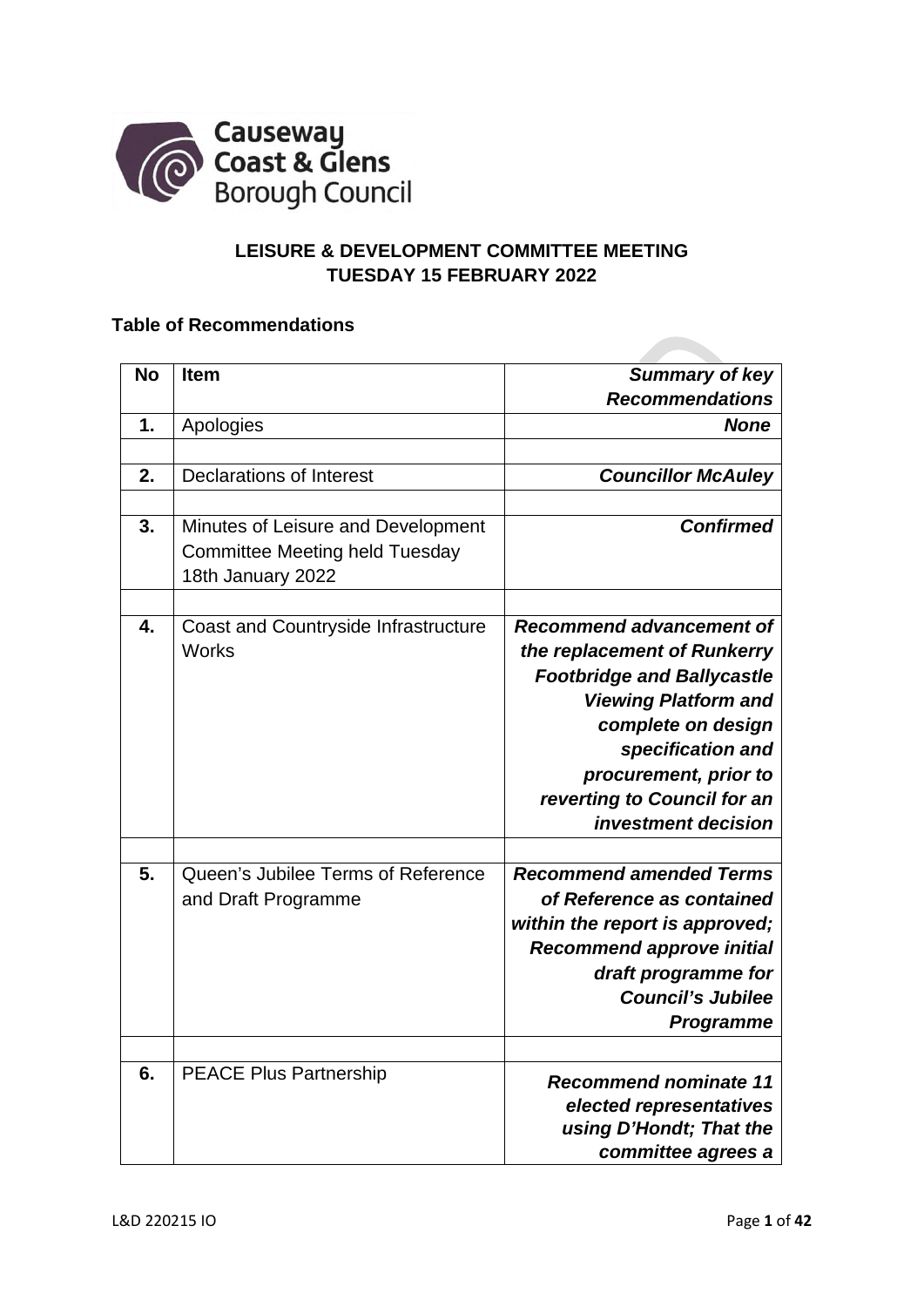

# **LEISURE & DEVELOPMENT COMMITTEE MEETING TUESDAY 15 FEBRUARY 2022**

# **Table of Recommendations**

| No<br><b>Summary of key</b><br><b>Item</b><br><b>Recommendations</b><br>Apologies<br><b>None</b><br>1.<br><b>Declarations of Interest</b><br><b>Councillor McAuley</b><br>2.<br><b>Confirmed</b><br>3.<br>Minutes of Leisure and Development<br><b>Committee Meeting held Tuesday</b><br>18th January 2022<br>$\overline{4}$ .<br><b>Recommend advancement of</b><br><b>Coast and Countryside Infrastructure</b><br><b>Works</b><br>the replacement of Runkerry<br><b>Footbridge and Ballycastle</b><br><b>Viewing Platform and</b><br>complete on design<br>specification and<br>procurement, prior to<br>reverting to Council for an<br>investment decision |
|---------------------------------------------------------------------------------------------------------------------------------------------------------------------------------------------------------------------------------------------------------------------------------------------------------------------------------------------------------------------------------------------------------------------------------------------------------------------------------------------------------------------------------------------------------------------------------------------------------------------------------------------------------------|
|                                                                                                                                                                                                                                                                                                                                                                                                                                                                                                                                                                                                                                                               |
|                                                                                                                                                                                                                                                                                                                                                                                                                                                                                                                                                                                                                                                               |
|                                                                                                                                                                                                                                                                                                                                                                                                                                                                                                                                                                                                                                                               |
|                                                                                                                                                                                                                                                                                                                                                                                                                                                                                                                                                                                                                                                               |
|                                                                                                                                                                                                                                                                                                                                                                                                                                                                                                                                                                                                                                                               |
|                                                                                                                                                                                                                                                                                                                                                                                                                                                                                                                                                                                                                                                               |
|                                                                                                                                                                                                                                                                                                                                                                                                                                                                                                                                                                                                                                                               |
|                                                                                                                                                                                                                                                                                                                                                                                                                                                                                                                                                                                                                                                               |
|                                                                                                                                                                                                                                                                                                                                                                                                                                                                                                                                                                                                                                                               |
|                                                                                                                                                                                                                                                                                                                                                                                                                                                                                                                                                                                                                                                               |
|                                                                                                                                                                                                                                                                                                                                                                                                                                                                                                                                                                                                                                                               |
|                                                                                                                                                                                                                                                                                                                                                                                                                                                                                                                                                                                                                                                               |
|                                                                                                                                                                                                                                                                                                                                                                                                                                                                                                                                                                                                                                                               |
|                                                                                                                                                                                                                                                                                                                                                                                                                                                                                                                                                                                                                                                               |
|                                                                                                                                                                                                                                                                                                                                                                                                                                                                                                                                                                                                                                                               |
|                                                                                                                                                                                                                                                                                                                                                                                                                                                                                                                                                                                                                                                               |
|                                                                                                                                                                                                                                                                                                                                                                                                                                                                                                                                                                                                                                                               |
|                                                                                                                                                                                                                                                                                                                                                                                                                                                                                                                                                                                                                                                               |
|                                                                                                                                                                                                                                                                                                                                                                                                                                                                                                                                                                                                                                                               |
|                                                                                                                                                                                                                                                                                                                                                                                                                                                                                                                                                                                                                                                               |
| 5.<br>Queen's Jubilee Terms of Reference<br><b>Recommend amended Terms</b>                                                                                                                                                                                                                                                                                                                                                                                                                                                                                                                                                                                    |
| of Reference as contained<br>and Draft Programme                                                                                                                                                                                                                                                                                                                                                                                                                                                                                                                                                                                                              |
| within the report is approved;                                                                                                                                                                                                                                                                                                                                                                                                                                                                                                                                                                                                                                |
| <b>Recommend approve initial</b>                                                                                                                                                                                                                                                                                                                                                                                                                                                                                                                                                                                                                              |
| draft programme for                                                                                                                                                                                                                                                                                                                                                                                                                                                                                                                                                                                                                                           |
| <b>Council's Jubilee</b>                                                                                                                                                                                                                                                                                                                                                                                                                                                                                                                                                                                                                                      |
| Programme                                                                                                                                                                                                                                                                                                                                                                                                                                                                                                                                                                                                                                                     |
|                                                                                                                                                                                                                                                                                                                                                                                                                                                                                                                                                                                                                                                               |
| 6.<br><b>PEACE Plus Partnership</b>                                                                                                                                                                                                                                                                                                                                                                                                                                                                                                                                                                                                                           |
|                                                                                                                                                                                                                                                                                                                                                                                                                                                                                                                                                                                                                                                               |
| <b>Recommend nominate 11</b>                                                                                                                                                                                                                                                                                                                                                                                                                                                                                                                                                                                                                                  |
| elected representatives<br>using D'Hondt; That the                                                                                                                                                                                                                                                                                                                                                                                                                                                                                                                                                                                                            |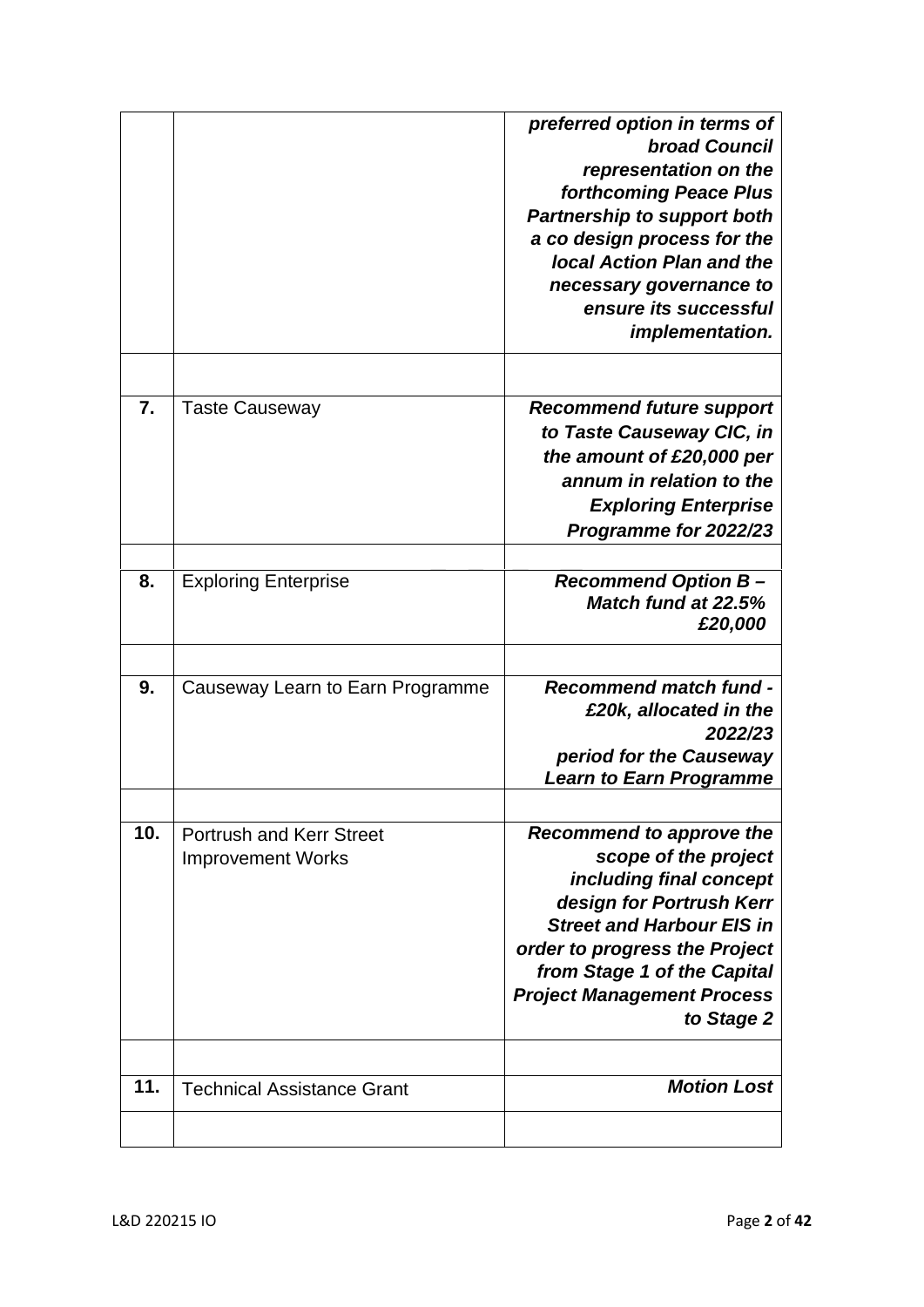|                  |                                                             | preferred option in terms of<br><b>broad Council</b><br>representation on the<br>forthcoming Peace Plus<br><b>Partnership to support both</b><br>a co design process for the<br><b>Jocal Action Plan and the</b><br>necessary governance to<br>ensure its successful<br>implementation. |
|------------------|-------------------------------------------------------------|-----------------------------------------------------------------------------------------------------------------------------------------------------------------------------------------------------------------------------------------------------------------------------------------|
| $\overline{7}$ . | <b>Taste Causeway</b>                                       | <b>Recommend future support</b><br>to Taste Causeway CIC, in<br>the amount of £20,000 per<br>annum in relation to the<br><b>Exploring Enterprise</b><br>Programme for 2022/23                                                                                                           |
| 8.               | <b>Exploring Enterprise</b>                                 | <b>Recommend Option B-</b><br>Match fund at 22.5%<br>£20,000                                                                                                                                                                                                                            |
| 9.               | Causeway Learn to Earn Programme                            | <b>Recommend match fund -</b><br>£20k, allocated in the<br>2022/23<br>period for the Causeway<br><b>Learn to Earn Programme</b>                                                                                                                                                         |
| 10.              | <b>Portrush and Kerr Street</b><br><b>Improvement Works</b> | <b>Recommend to approve the</b><br>scope of the project<br>including final concept<br>design for Portrush Kerr<br><b>Street and Harbour EIS in</b><br>order to progress the Project<br>from Stage 1 of the Capital<br><b>Project Management Process</b><br>to Stage 2                   |
| 11.              | <b>Technical Assistance Grant</b>                           | <b>Motion Lost</b>                                                                                                                                                                                                                                                                      |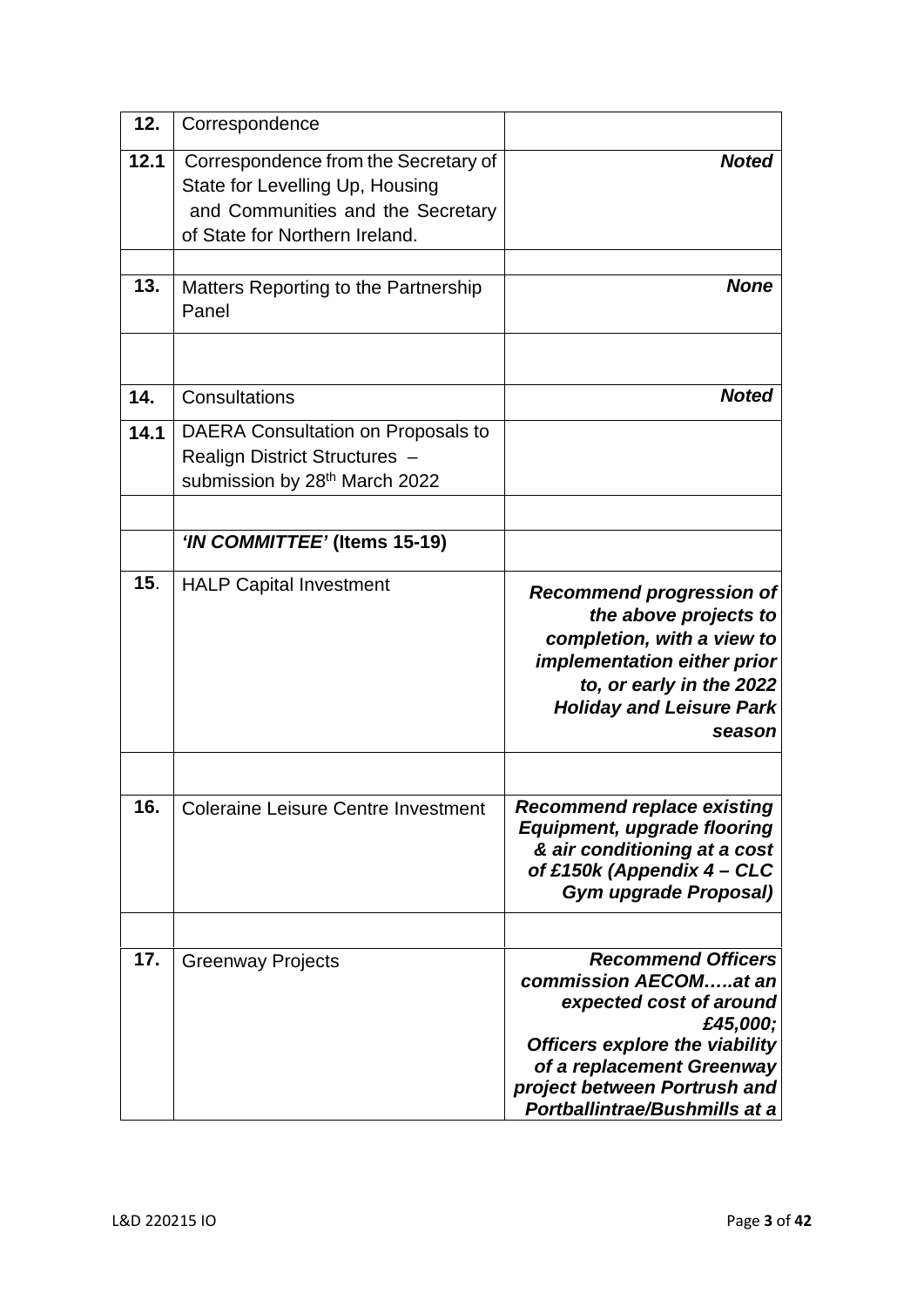| 12.  | Correspondence                                                                                                                                 |                                                                                                                                                                                                                                  |
|------|------------------------------------------------------------------------------------------------------------------------------------------------|----------------------------------------------------------------------------------------------------------------------------------------------------------------------------------------------------------------------------------|
| 12.1 | Correspondence from the Secretary of<br>State for Levelling Up, Housing<br>and Communities and the Secretary<br>of State for Northern Ireland. | <b>Noted</b>                                                                                                                                                                                                                     |
| 13.  | Matters Reporting to the Partnership<br>Panel                                                                                                  | <b>None</b>                                                                                                                                                                                                                      |
| 14.  | Consultations                                                                                                                                  | <b>Noted</b>                                                                                                                                                                                                                     |
| 14.1 | DAERA Consultation on Proposals to<br>Realign District Structures -<br>submission by 28th March 2022                                           |                                                                                                                                                                                                                                  |
|      | 'IN COMMITTEE' (Items 15-19)                                                                                                                   |                                                                                                                                                                                                                                  |
| 15.  | <b>HALP Capital Investment</b>                                                                                                                 | <b>Recommend progression of</b><br>the above projects to<br>completion, with a view to<br>implementation either prior<br>to, or early in the 2022<br><b>Holiday and Leisure Park</b><br>season                                   |
| 16.  | <b>Coleraine Leisure Centre Investment</b>                                                                                                     | <b>Recommend replace existing</b><br><b>Equipment, upgrade flooring</b><br>& air conditioning at a cost<br>of £150k (Appendix 4 - CLC                                                                                            |
|      |                                                                                                                                                | <b>Gym upgrade Proposal)</b>                                                                                                                                                                                                     |
| 17.  | <b>Greenway Projects</b>                                                                                                                       | <b>Recommend Officers</b><br>commission AECOMat an<br>expected cost of around<br>£45,000;<br>Officers explore the viability<br>of a replacement Greenway<br>project between Portrush and<br><b>Portballintrae/Bushmills at a</b> |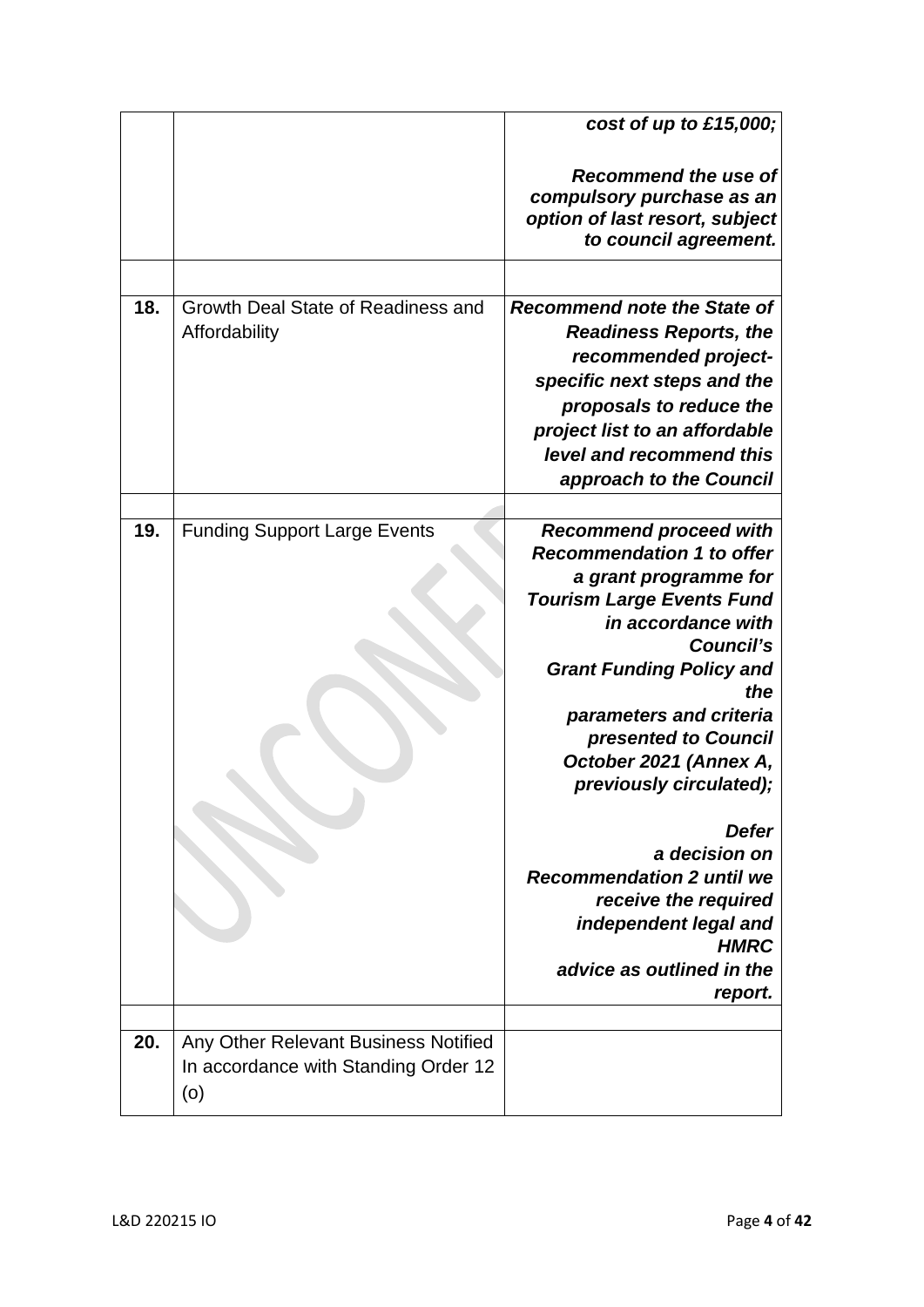|     |                                                                                     | cost of up to $£15,000;$                                                                                                                                                                                                                                                                                                                                                                                                                                                                         |
|-----|-------------------------------------------------------------------------------------|--------------------------------------------------------------------------------------------------------------------------------------------------------------------------------------------------------------------------------------------------------------------------------------------------------------------------------------------------------------------------------------------------------------------------------------------------------------------------------------------------|
|     |                                                                                     | <b>Recommend the use of</b><br>compulsory purchase as an<br>option of last resort, subject<br>to council agreement.                                                                                                                                                                                                                                                                                                                                                                              |
|     |                                                                                     |                                                                                                                                                                                                                                                                                                                                                                                                                                                                                                  |
| 18. | Growth Deal State of Readiness and<br>Affordability                                 | <b>Recommend note the State of</b><br><b>Readiness Reports, the</b><br>recommended project-<br>specific next steps and the<br>proposals to reduce the<br>project list to an affordable<br>level and recommend this<br>approach to the Council                                                                                                                                                                                                                                                    |
|     |                                                                                     |                                                                                                                                                                                                                                                                                                                                                                                                                                                                                                  |
| 19. | <b>Funding Support Large Events</b>                                                 | <b>Recommend proceed with</b><br><b>Recommendation 1 to offer</b><br>a grant programme for<br><b>Tourism Large Events Fund</b><br>in accordance with<br><b>Council's</b><br><b>Grant Funding Policy and</b><br>the<br>parameters and criteria<br>presented to Council<br>October 2021 (Annex A,<br>previously circulated);<br>Defer<br>a decision on<br><b>Recommendation 2 until we</b><br>receive the required<br>independent legal and<br><b>HMRC</b><br>advice as outlined in the<br>report. |
| 20. | Any Other Relevant Business Notified<br>In accordance with Standing Order 12<br>(0) |                                                                                                                                                                                                                                                                                                                                                                                                                                                                                                  |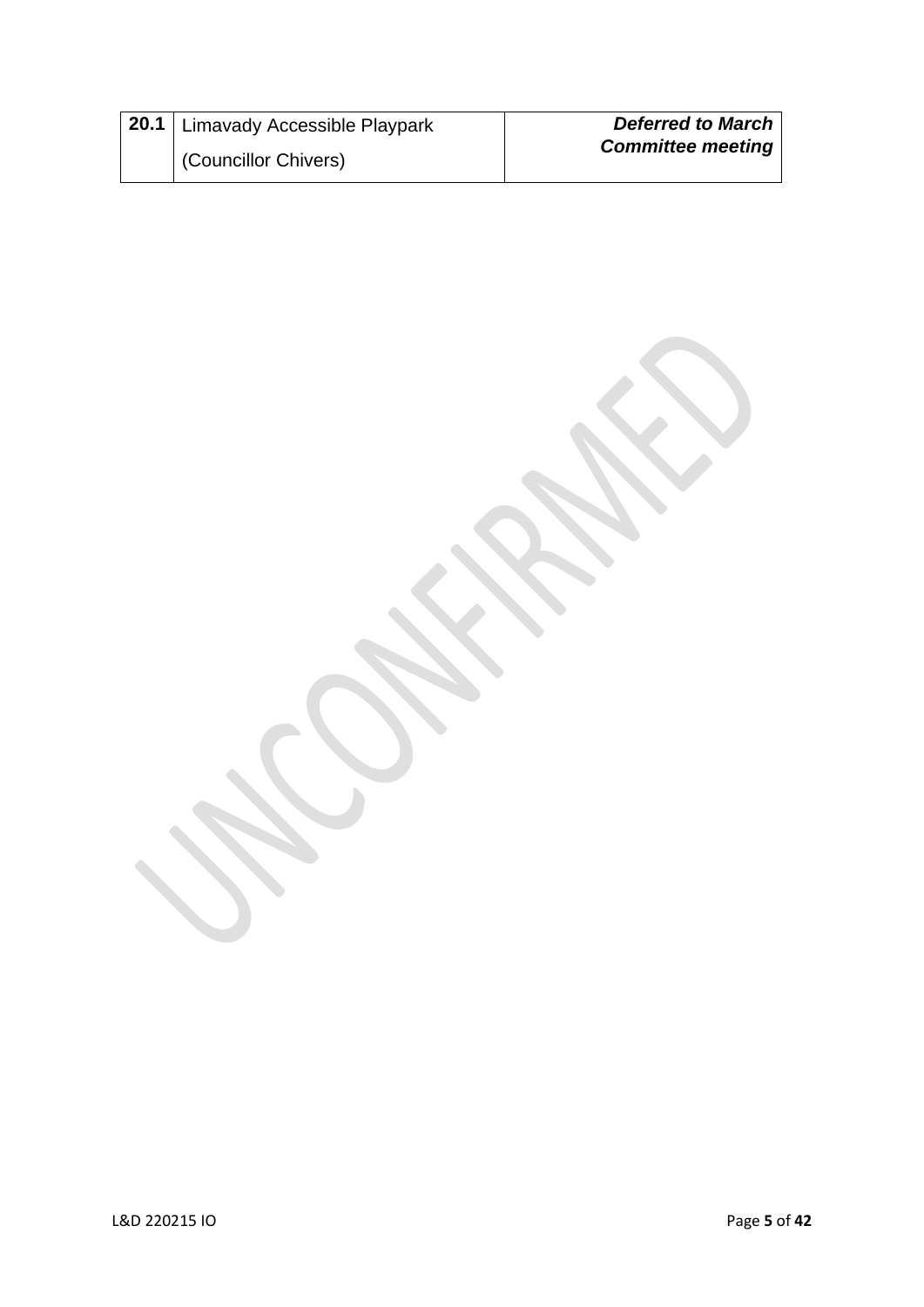| 120.1 Limavady Accessible Playpark | <b>Deferred to March</b> |
|------------------------------------|--------------------------|
| (Councillor Chivers)               | <b>Committee meeting</b> |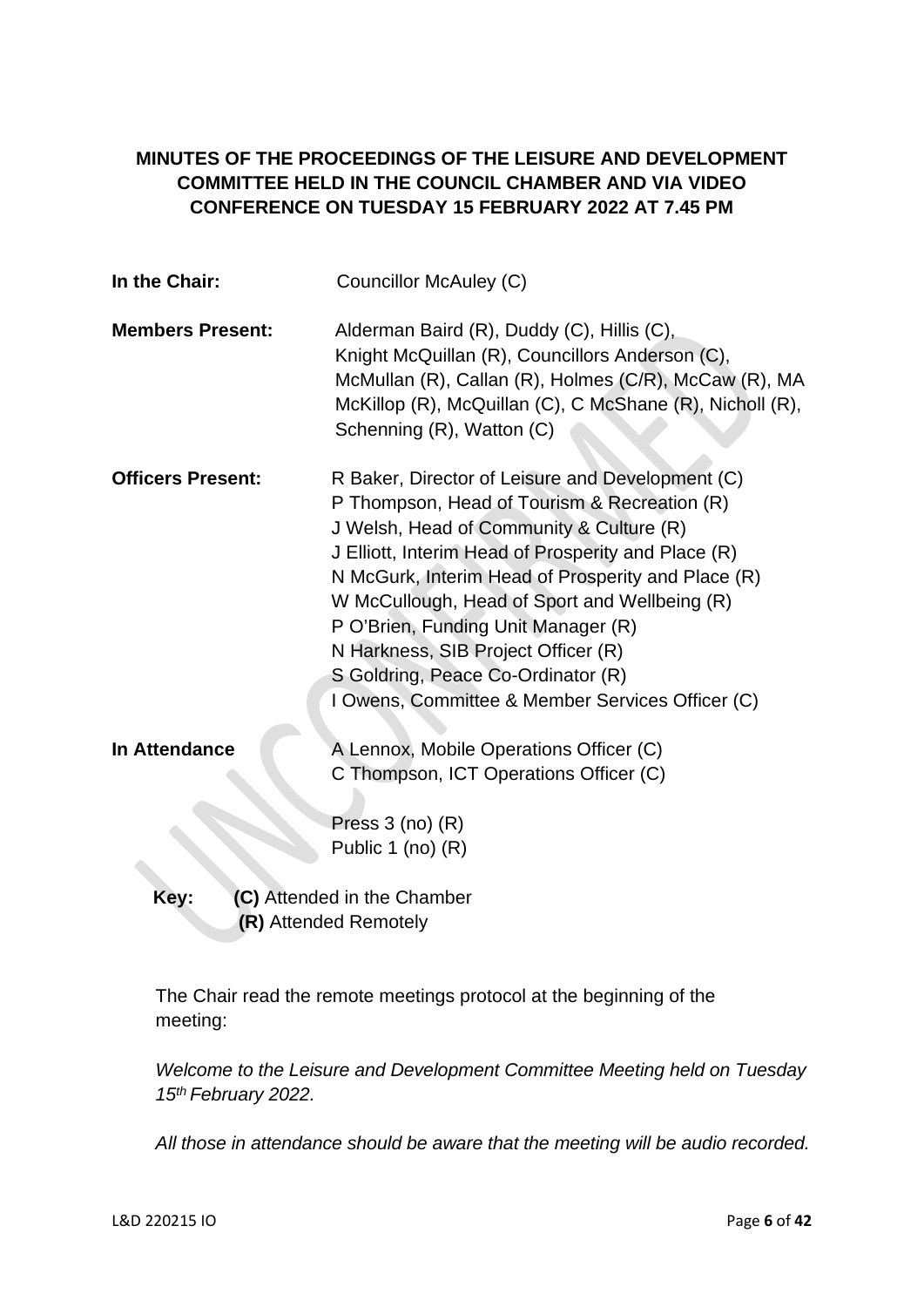# **MINUTES OF THE PROCEEDINGS OF THE LEISURE AND DEVELOPMENT COMMITTEE HELD IN THE COUNCIL CHAMBER AND VIA VIDEO CONFERENCE ON TUESDAY 15 FEBRUARY 2022 AT 7.45 PM**

| In the Chair:            | Councillor McAuley (C)                                                                                                                                                                                                                                                                                                                                                                                                                                                             |
|--------------------------|------------------------------------------------------------------------------------------------------------------------------------------------------------------------------------------------------------------------------------------------------------------------------------------------------------------------------------------------------------------------------------------------------------------------------------------------------------------------------------|
| <b>Members Present:</b>  | Alderman Baird (R), Duddy (C), Hillis (C),<br>Knight McQuillan (R), Councillors Anderson (C),<br>McMullan (R), Callan (R), Holmes (C/R), McCaw (R), MA<br>McKillop (R), McQuillan (C), C McShane (R), Nicholl (R),<br>Schenning (R), Watton (C)                                                                                                                                                                                                                                    |
| <b>Officers Present:</b> | R Baker, Director of Leisure and Development (C)<br>P Thompson, Head of Tourism & Recreation (R)<br>J Welsh, Head of Community & Culture (R)<br>J Elliott, Interim Head of Prosperity and Place (R)<br>N McGurk, Interim Head of Prosperity and Place (R)<br>W McCullough, Head of Sport and Wellbeing (R)<br>P O'Brien, Funding Unit Manager (R)<br>N Harkness, SIB Project Officer (R)<br>S Goldring, Peace Co-Ordinator (R)<br>I Owens, Committee & Member Services Officer (C) |
| <b>In Attendance</b>     | A Lennox, Mobile Operations Officer (C)<br>C Thompson, ICT Operations Officer (C)                                                                                                                                                                                                                                                                                                                                                                                                  |
|                          | Press $3$ (no) $(R)$<br>Public 1 (no) $(R)$                                                                                                                                                                                                                                                                                                                                                                                                                                        |
| Key:                     | (C) Attended in the Chamber<br>(R) Attended Remotely                                                                                                                                                                                                                                                                                                                                                                                                                               |

The Chair read the remote meetings protocol at the beginning of the meeting:

*Welcome to the Leisure and Development Committee Meeting held on Tuesday 15th February 2022.* 

*All those in attendance should be aware that the meeting will be audio recorded.*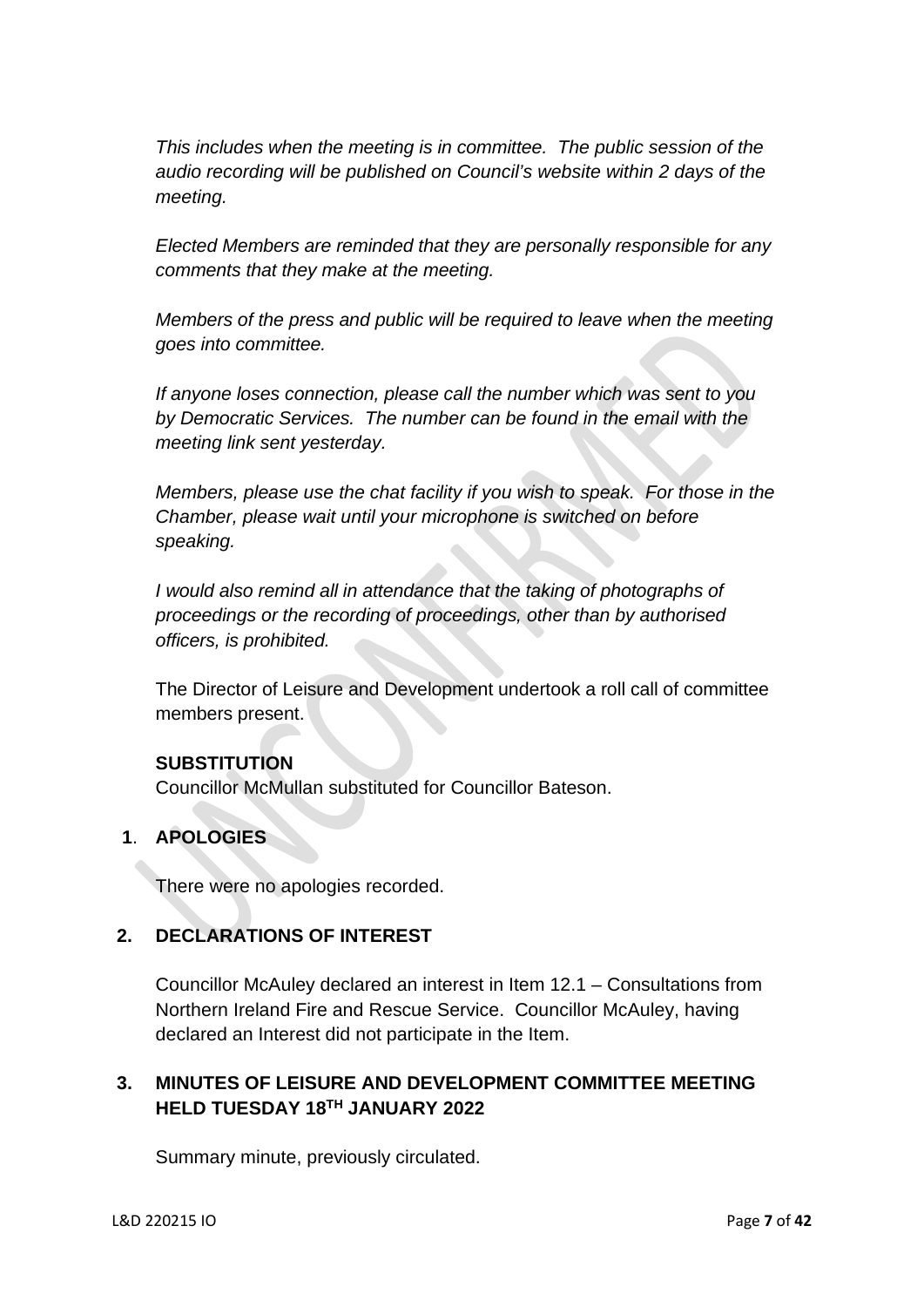*This includes when the meeting is in committee. The public session of the audio recording will be published on Council's website within 2 days of the meeting.* 

*Elected Members are reminded that they are personally responsible for any comments that they make at the meeting.* 

*Members of the press and public will be required to leave when the meeting goes into committee.* 

*If anyone loses connection, please call the number which was sent to you by Democratic Services. The number can be found in the email with the meeting link sent yesterday.* 

*Members, please use the chat facility if you wish to speak. For those in the Chamber, please wait until your microphone is switched on before speaking.* 

*I* would also remind all in attendance that the taking of photographs of *proceedings or the recording of proceedings, other than by authorised officers, is prohibited.* 

The Director of Leisure and Development undertook a roll call of committee members present.

# **SUBSTITUTION**

Councillor McMullan substituted for Councillor Bateson.

# **1**. **APOLOGIES**

There were no apologies recorded.

# **2. DECLARATIONS OF INTEREST**

Councillor McAuley declared an interest in Item 12.1 – Consultations from Northern Ireland Fire and Rescue Service. Councillor McAuley, having declared an Interest did not participate in the Item.

# **3. MINUTES OF LEISURE AND DEVELOPMENT COMMITTEE MEETING HELD TUESDAY 18TH JANUARY 2022**

Summary minute, previously circulated.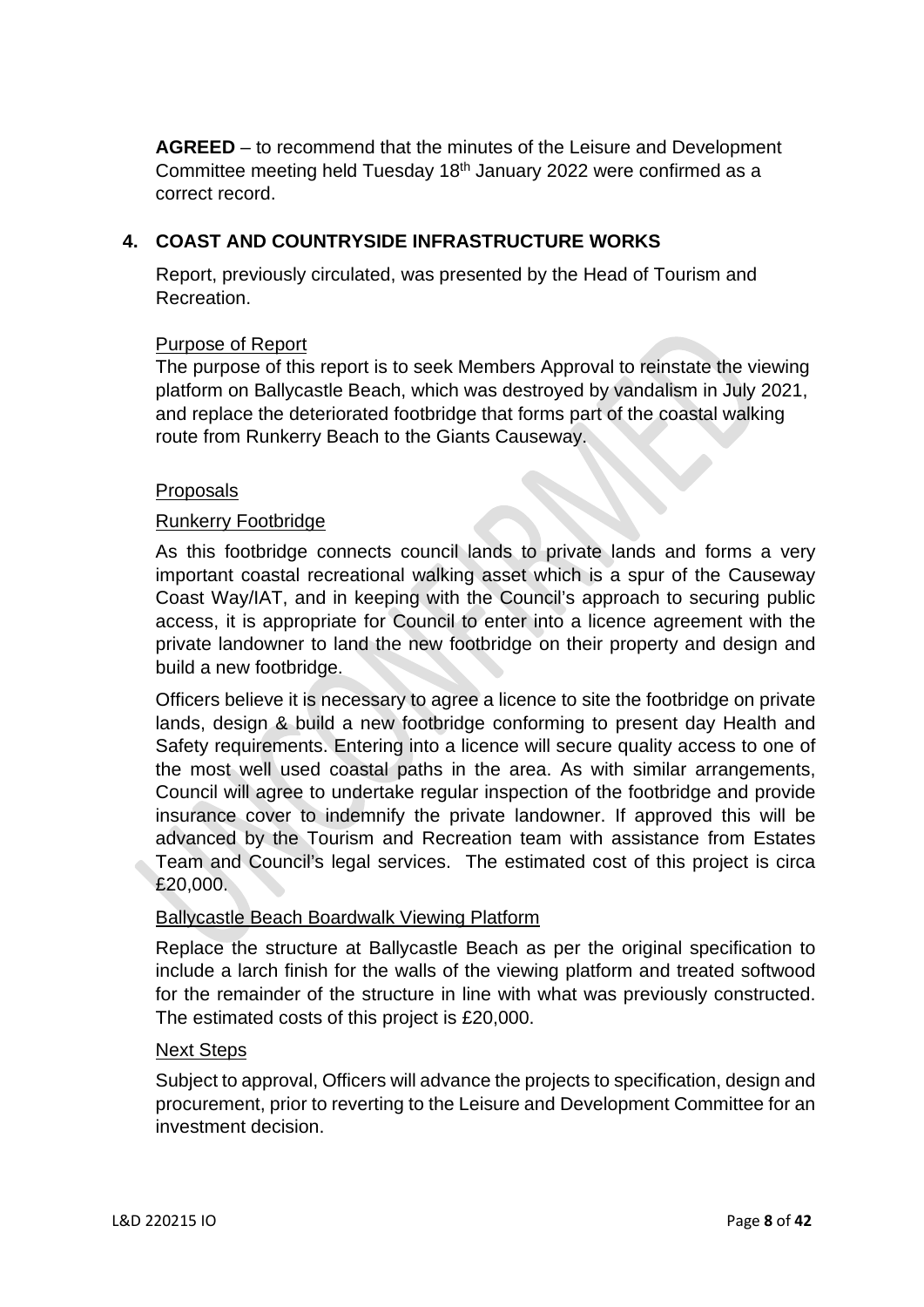**AGREED** – to recommend that the minutes of the Leisure and Development Committee meeting held Tuesday 18th January 2022 were confirmed as a correct record.

# **4. COAST AND COUNTRYSIDE INFRASTRUCTURE WORKS**

 Report, previously circulated, was presented by the Head of Tourism and Recreation.

# Purpose of Report

The purpose of this report is to seek Members Approval to reinstate the viewing platform on Ballycastle Beach, which was destroyed by vandalism in July 2021, and replace the deteriorated footbridge that forms part of the coastal walking route from Runkerry Beach to the Giants Causeway.

# Proposals

# Runkerry Footbridge

As this footbridge connects council lands to private lands and forms a very important coastal recreational walking asset which is a spur of the Causeway Coast Way/IAT, and in keeping with the Council's approach to securing public access, it is appropriate for Council to enter into a licence agreement with the private landowner to land the new footbridge on their property and design and build a new footbridge.

Officers believe it is necessary to agree a licence to site the footbridge on private lands, design & build a new footbridge conforming to present day Health and Safety requirements. Entering into a licence will secure quality access to one of the most well used coastal paths in the area. As with similar arrangements, Council will agree to undertake regular inspection of the footbridge and provide insurance cover to indemnify the private landowner. If approved this will be advanced by the Tourism and Recreation team with assistance from Estates Team and Council's legal services. The estimated cost of this project is circa £20,000.

# Ballycastle Beach Boardwalk Viewing Platform

Replace the structure at Ballycastle Beach as per the original specification to include a larch finish for the walls of the viewing platform and treated softwood for the remainder of the structure in line with what was previously constructed. The estimated costs of this project is £20,000.

# Next Steps

Subject to approval, Officers will advance the projects to specification, design and procurement, prior to reverting to the Leisure and Development Committee for an investment decision.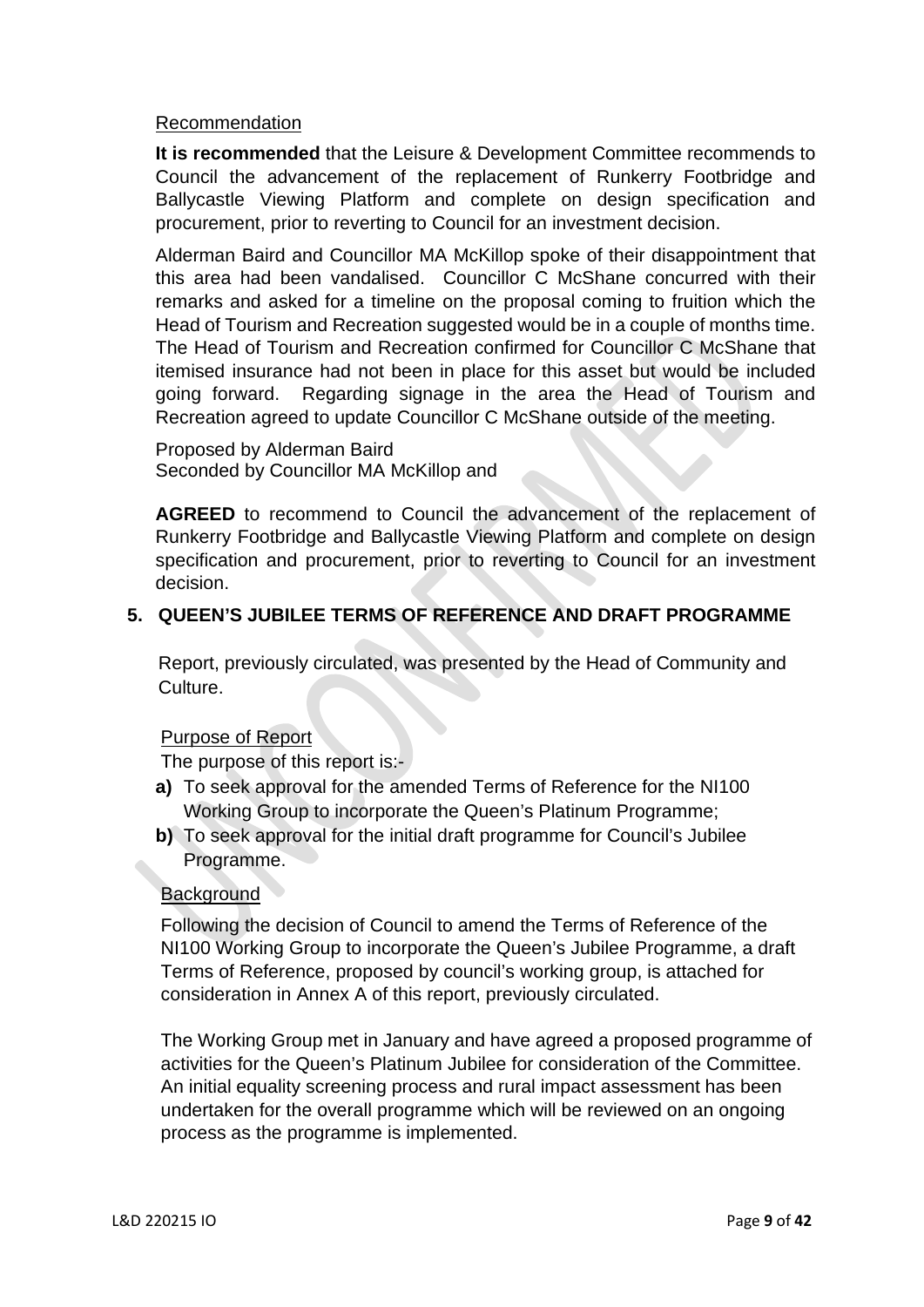## Recommendation

**It is recommended** that the Leisure & Development Committee recommends to Council the advancement of the replacement of Runkerry Footbridge and Ballycastle Viewing Platform and complete on design specification and procurement, prior to reverting to Council for an investment decision.

Alderman Baird and Councillor MA McKillop spoke of their disappointment that this area had been vandalised. Councillor C McShane concurred with their remarks and asked for a timeline on the proposal coming to fruition which the Head of Tourism and Recreation suggested would be in a couple of months time. The Head of Tourism and Recreation confirmed for Councillor C McShane that itemised insurance had not been in place for this asset but would be included going forward. Regarding signage in the area the Head of Tourism and Recreation agreed to update Councillor C McShane outside of the meeting.

Proposed by Alderman Baird Seconded by Councillor MA McKillop and

**AGREED** to recommend to Council the advancement of the replacement of Runkerry Footbridge and Ballycastle Viewing Platform and complete on design specification and procurement, prior to reverting to Council for an investment decision.

# **5. QUEEN'S JUBILEE TERMS OF REFERENCE AND DRAFT PROGRAMME**

 Report, previously circulated, was presented by the Head of Community and Culture.

### Purpose of Report

The purpose of this report is:-

- **a)** To seek approval for the amended Terms of Reference for the NI100 Working Group to incorporate the Queen's Platinum Programme;
- **b)** To seek approval for the initial draft programme for Council's Jubilee Programme.

### **Background**

 Following the decision of Council to amend the Terms of Reference of the NI100 Working Group to incorporate the Queen's Jubilee Programme, a draft Terms of Reference, proposed by council's working group, is attached for consideration in Annex A of this report, previously circulated.

 The Working Group met in January and have agreed a proposed programme of activities for the Queen's Platinum Jubilee for consideration of the Committee. An initial equality screening process and rural impact assessment has been undertaken for the overall programme which will be reviewed on an ongoing process as the programme is implemented.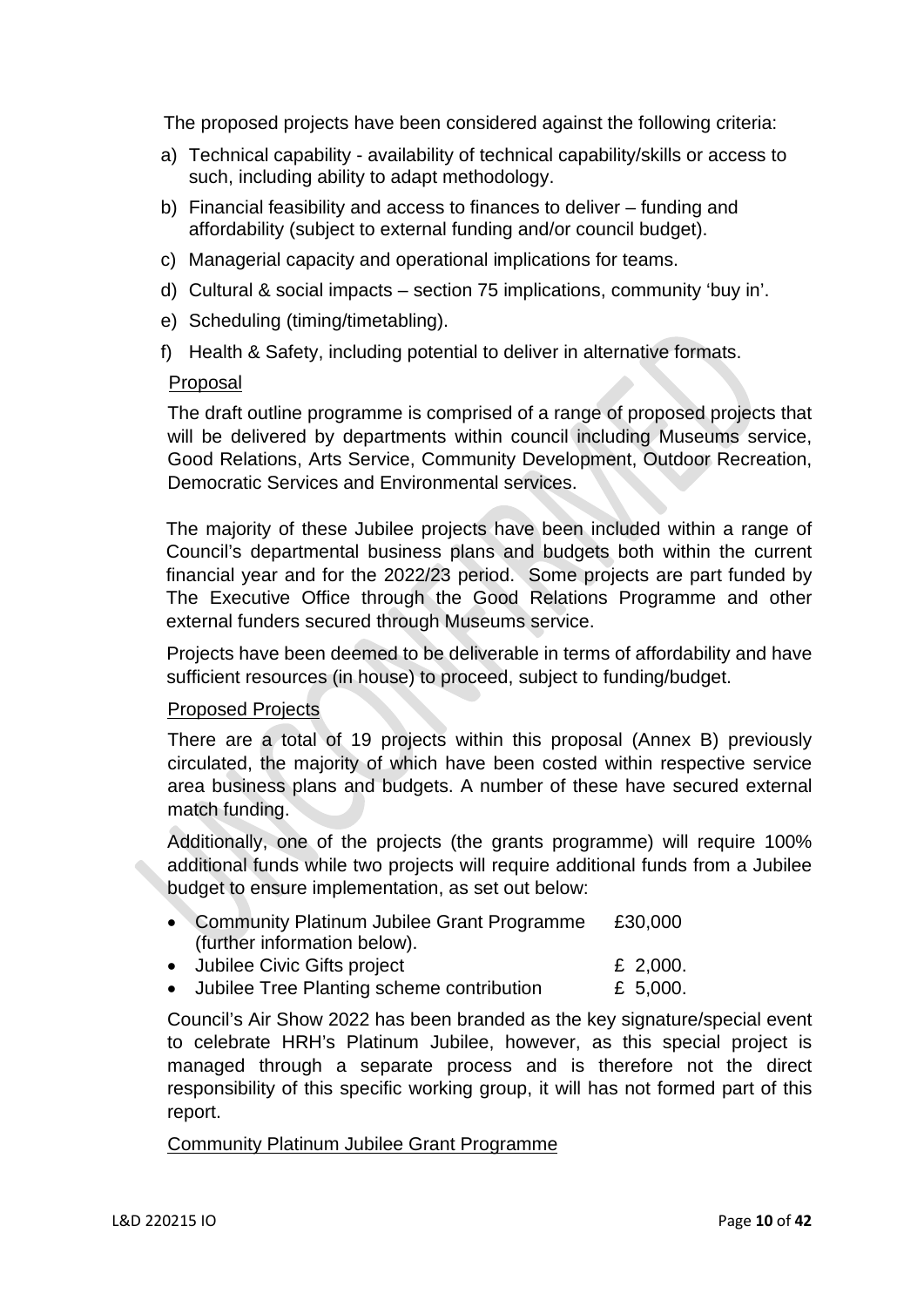The proposed projects have been considered against the following criteria:

- a) Technical capability availability of technical capability/skills or access to such, including ability to adapt methodology.
- b) Financial feasibility and access to finances to deliver funding and affordability (subject to external funding and/or council budget).
- c) Managerial capacity and operational implications for teams.
- d) Cultural & social impacts section 75 implications, community 'buy in'.
- e) Scheduling (timing/timetabling).
- f) Health & Safety, including potential to deliver in alternative formats.

#### Proposal

The draft outline programme is comprised of a range of proposed projects that will be delivered by departments within council including Museums service, Good Relations, Arts Service, Community Development, Outdoor Recreation, Democratic Services and Environmental services.

The majority of these Jubilee projects have been included within a range of Council's departmental business plans and budgets both within the current financial year and for the 2022/23 period. Some projects are part funded by The Executive Office through the Good Relations Programme and other external funders secured through Museums service.

Projects have been deemed to be deliverable in terms of affordability and have sufficient resources (in house) to proceed, subject to funding/budget.

### Proposed Projects

There are a total of 19 projects within this proposal (Annex B) previously circulated, the majority of which have been costed within respective service area business plans and budgets. A number of these have secured external match funding.

Additionally, one of the projects (the grants programme) will require 100% additional funds while two projects will require additional funds from a Jubilee budget to ensure implementation, as set out below:

- Community Platinum Jubilee Grant Programme £30,000 (further information below).
- Jubilee Civic Gifts project **E** 2,000.
- Jubilee Tree Planting scheme contribution  $E$  5,000.

Council's Air Show 2022 has been branded as the key signature/special event to celebrate HRH's Platinum Jubilee, however, as this special project is managed through a separate process and is therefore not the direct responsibility of this specific working group, it will has not formed part of this report.

### Community Platinum Jubilee Grant Programme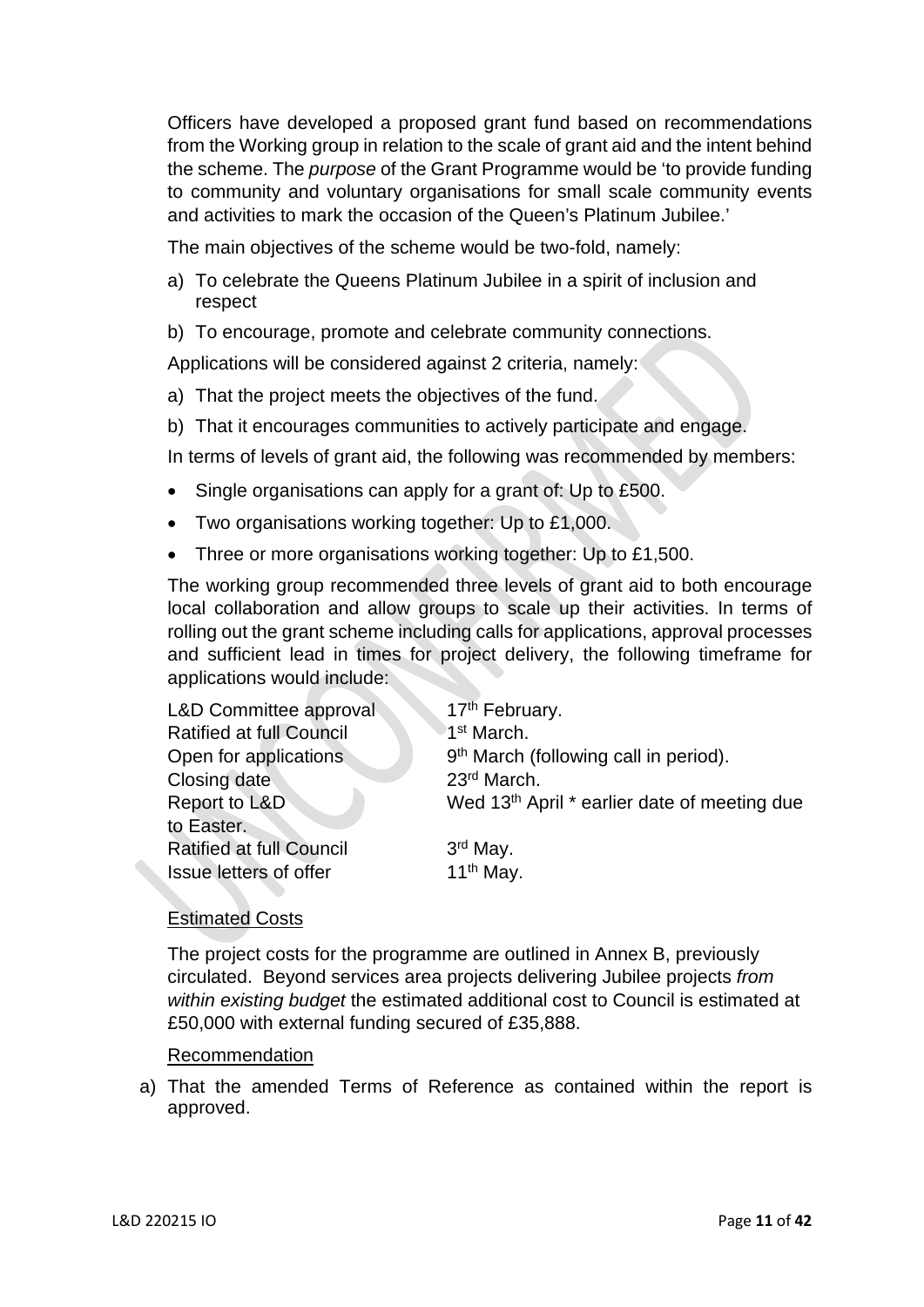Officers have developed a proposed grant fund based on recommendations from the Working group in relation to the scale of grant aid and the intent behind the scheme. The *purpose* of the Grant Programme would be 'to provide funding to community and voluntary organisations for small scale community events and activities to mark the occasion of the Queen's Platinum Jubilee.'

The main objectives of the scheme would be two-fold, namely:

- a) To celebrate the Queens Platinum Jubilee in a spirit of inclusion and respect
- b) To encourage, promote and celebrate community connections.

Applications will be considered against 2 criteria, namely:

- a) That the project meets the objectives of the fund.
- b) That it encourages communities to actively participate and engage.
- In terms of levels of grant aid, the following was recommended by members:
- Single organisations can apply for a grant of: Up to £500.
- Two organisations working together: Up to £1,000.
- Three or more organisations working together: Up to £1,500.

The working group recommended three levels of grant aid to both encourage local collaboration and allow groups to scale up their activities. In terms of rolling out the grant scheme including calls for applications, approval processes and sufficient lead in times for project delivery, the following timeframe for applications would include:

| <b>L&amp;D Committee approval</b> | 17 <sup>th</sup> February.                               |
|-----------------------------------|----------------------------------------------------------|
| <b>Ratified at full Council</b>   | 1 <sup>st</sup> March.                                   |
| Open for applications             | 9 <sup>th</sup> March (following call in period).        |
| Closing date                      | 23rd March.                                              |
| Report to L&D                     | Wed 13 <sup>th</sup> April * earlier date of meeting due |
| to Easter.                        |                                                          |
| <b>Ratified at full Council</b>   | $3rd$ May.                                               |
| Issue letters of offer            | 11 <sup>th</sup> May.                                    |

# Estimated Costs

The project costs for the programme are outlined in Annex B, previously circulated. Beyond services area projects delivering Jubilee projects *from within existing budget* the estimated additional cost to Council is estimated at £50,000 with external funding secured of £35,888.

# Recommendation

a) That the amended Terms of Reference as contained within the report is approved.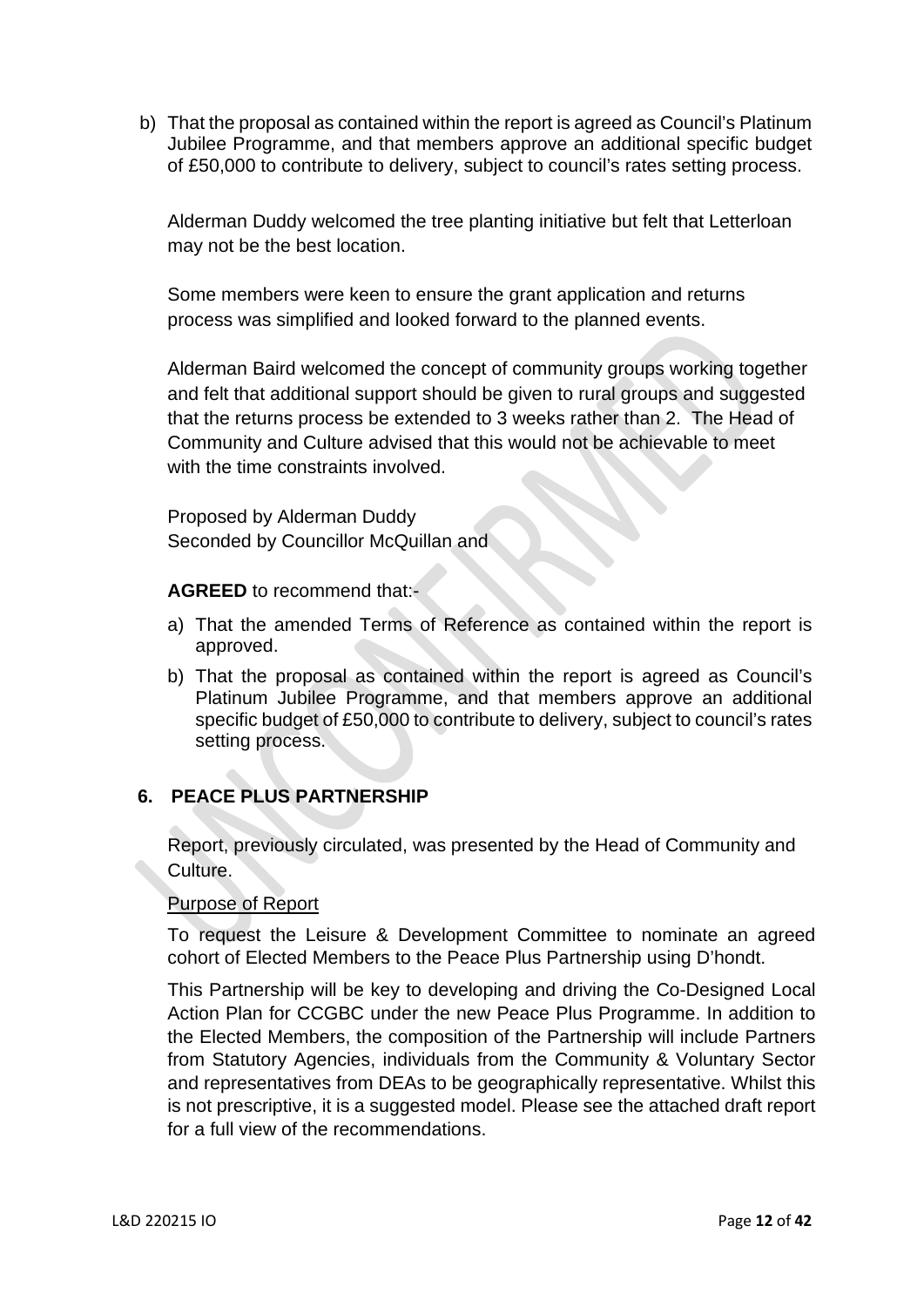b) That the proposal as contained within the report is agreed as Council's Platinum Jubilee Programme, and that members approve an additional specific budget of £50,000 to contribute to delivery, subject to council's rates setting process.

Alderman Duddy welcomed the tree planting initiative but felt that Letterloan may not be the best location.

Some members were keen to ensure the grant application and returns process was simplified and looked forward to the planned events.

Alderman Baird welcomed the concept of community groups working together and felt that additional support should be given to rural groups and suggested that the returns process be extended to 3 weeks rather than 2. The Head of Community and Culture advised that this would not be achievable to meet with the time constraints involved.

Proposed by Alderman Duddy Seconded by Councillor McQuillan and

**AGREED** to recommend that:-

- a) That the amended Terms of Reference as contained within the report is approved.
- b) That the proposal as contained within the report is agreed as Council's Platinum Jubilee Programme, and that members approve an additional specific budget of £50,000 to contribute to delivery, subject to council's rates setting process.

# **6. PEACE PLUS PARTNERSHIP**

Report, previously circulated, was presented by the Head of Community and Culture.

# Purpose of Report

To request the Leisure & Development Committee to nominate an agreed cohort of Elected Members to the Peace Plus Partnership using D'hondt.

This Partnership will be key to developing and driving the Co-Designed Local Action Plan for CCGBC under the new Peace Plus Programme. In addition to the Elected Members, the composition of the Partnership will include Partners from Statutory Agencies, individuals from the Community & Voluntary Sector and representatives from DEAs to be geographically representative. Whilst this is not prescriptive, it is a suggested model. Please see the attached draft report for a full view of the recommendations.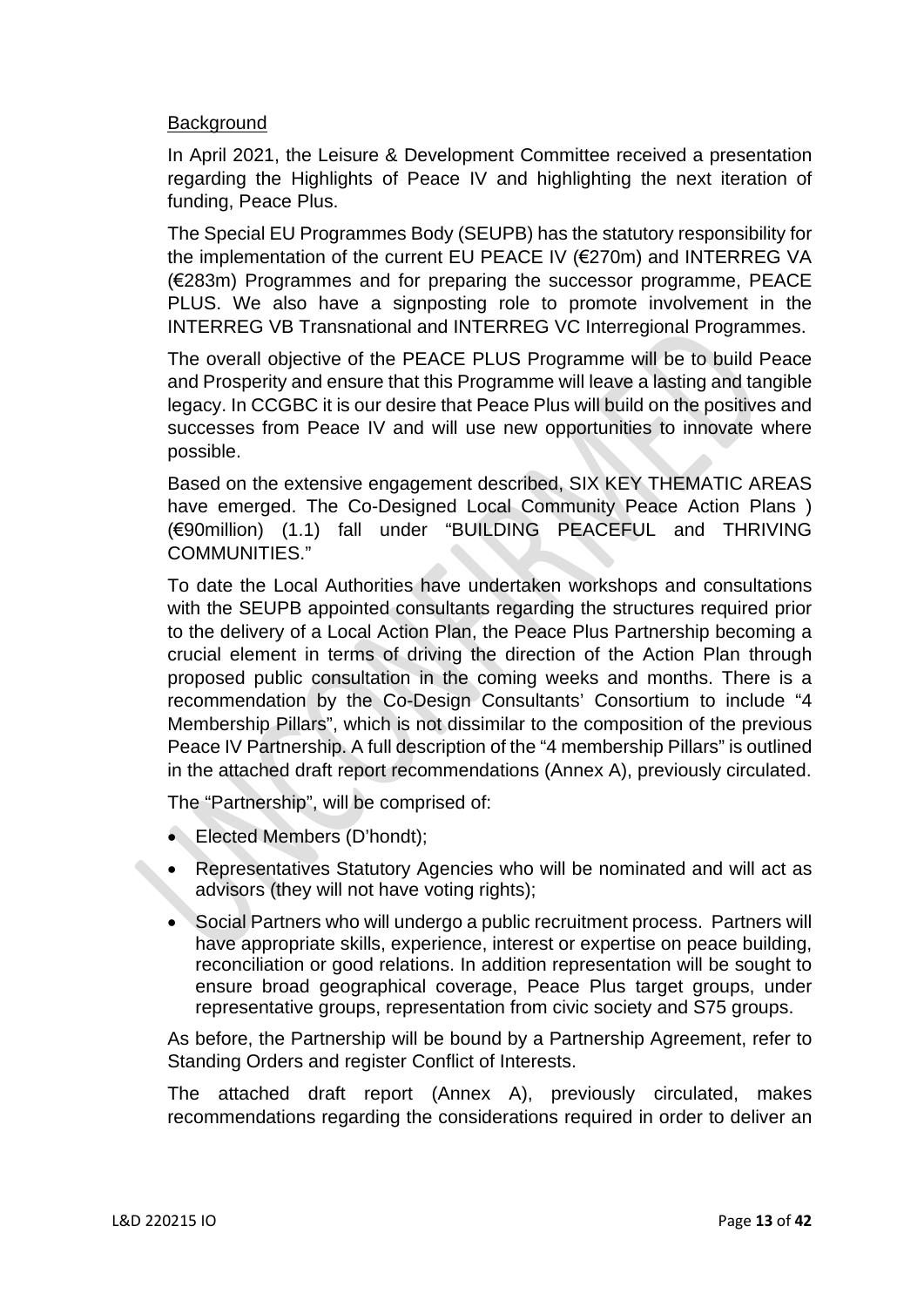## **Background**

In April 2021, the Leisure & Development Committee received a presentation regarding the Highlights of Peace IV and highlighting the next iteration of funding, Peace Plus.

The Special EU Programmes Body (SEUPB) has the statutory responsibility for the implementation of the current EU PEACE IV (€270m) and INTERREG VA (€283m) Programmes and for preparing the successor programme, PEACE PLUS. We also have a signposting role to promote involvement in the INTERREG VB Transnational and INTERREG VC Interregional Programmes.

The overall objective of the PEACE PLUS Programme will be to build Peace and Prosperity and ensure that this Programme will leave a lasting and tangible legacy. In CCGBC it is our desire that Peace Plus will build on the positives and successes from Peace IV and will use new opportunities to innovate where possible.

Based on the extensive engagement described, SIX KEY THEMATIC AREAS have emerged. The Co-Designed Local Community Peace Action Plans ) (€90million) (1.1) fall under "BUILDING PEACEFUL and THRIVING COMMUNITIES."

To date the Local Authorities have undertaken workshops and consultations with the SEUPB appointed consultants regarding the structures required prior to the delivery of a Local Action Plan, the Peace Plus Partnership becoming a crucial element in terms of driving the direction of the Action Plan through proposed public consultation in the coming weeks and months. There is a recommendation by the Co-Design Consultants' Consortium to include "4 Membership Pillars", which is not dissimilar to the composition of the previous Peace IV Partnership. A full description of the "4 membership Pillars" is outlined in the attached draft report recommendations (Annex A), previously circulated.

The "Partnership", will be comprised of:

- Elected Members (D'hondt);
- Representatives Statutory Agencies who will be nominated and will act as advisors (they will not have voting rights);
- Social Partners who will undergo a public recruitment process. Partners will have appropriate skills, experience, interest or expertise on peace building, reconciliation or good relations. In addition representation will be sought to ensure broad geographical coverage, Peace Plus target groups, under representative groups, representation from civic society and S75 groups.

As before, the Partnership will be bound by a Partnership Agreement, refer to Standing Orders and register Conflict of Interests.

The attached draft report (Annex A), previously circulated, makes recommendations regarding the considerations required in order to deliver an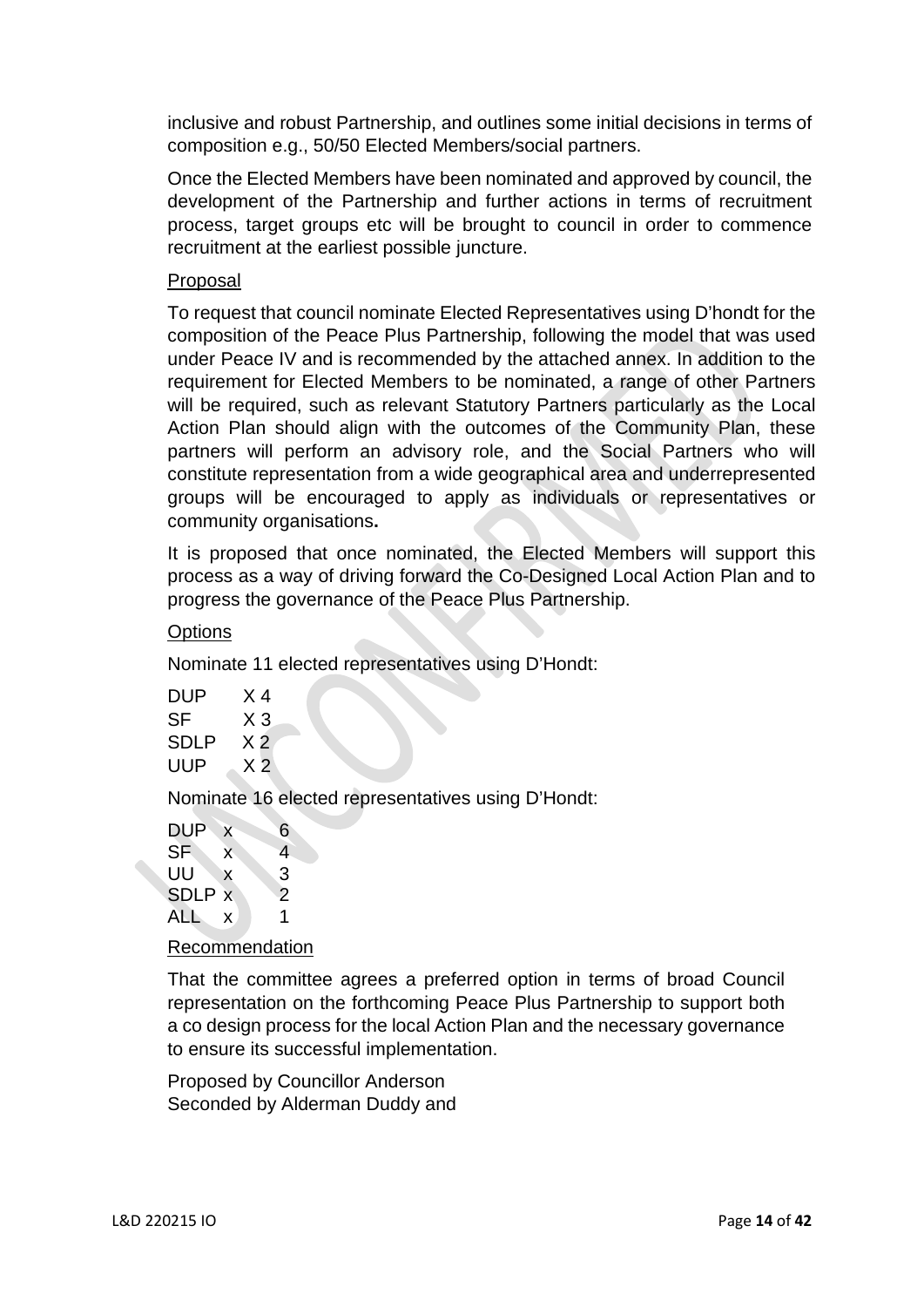inclusive and robust Partnership, and outlines some initial decisions in terms of composition e.g., 50/50 Elected Members/social partners.

Once the Elected Members have been nominated and approved by council, the development of the Partnership and further actions in terms of recruitment process, target groups etc will be brought to council in order to commence recruitment at the earliest possible juncture.

## Proposal

To request that council nominate Elected Representatives using D'hondt for the composition of the Peace Plus Partnership, following the model that was used under Peace IV and is recommended by the attached annex. In addition to the requirement for Elected Members to be nominated, a range of other Partners will be required, such as relevant Statutory Partners particularly as the Local Action Plan should align with the outcomes of the Community Plan, these partners will perform an advisory role, and the Social Partners who will constitute representation from a wide geographical area and underrepresented groups will be encouraged to apply as individuals or representatives or community organisations**.** 

It is proposed that once nominated, the Elected Members will support this process as a way of driving forward the Co-Designed Local Action Plan and to progress the governance of the Peace Plus Partnership.

# **Options**

Nominate 11 elected representatives using D'Hondt:

| DUP  | X 4            |
|------|----------------|
| SF   | X 3            |
| SDLP | X 2            |
| UUP  | X <sub>2</sub> |

Nominate 16 elected representatives using D'Hondt:

| DUP       | X | 6              |
|-----------|---|----------------|
| <b>SF</b> | X | $\overline{4}$ |
| UU        | X | 3              |
| SDLP x    |   | $\overline{2}$ |
| ALL       | X | 1              |
|           |   |                |

### Recommendation

That the committee agrees a preferred option in terms of broad Council representation on the forthcoming Peace Plus Partnership to support both a co design process for the local Action Plan and the necessary governance to ensure its successful implementation.

Proposed by Councillor Anderson Seconded by Alderman Duddy and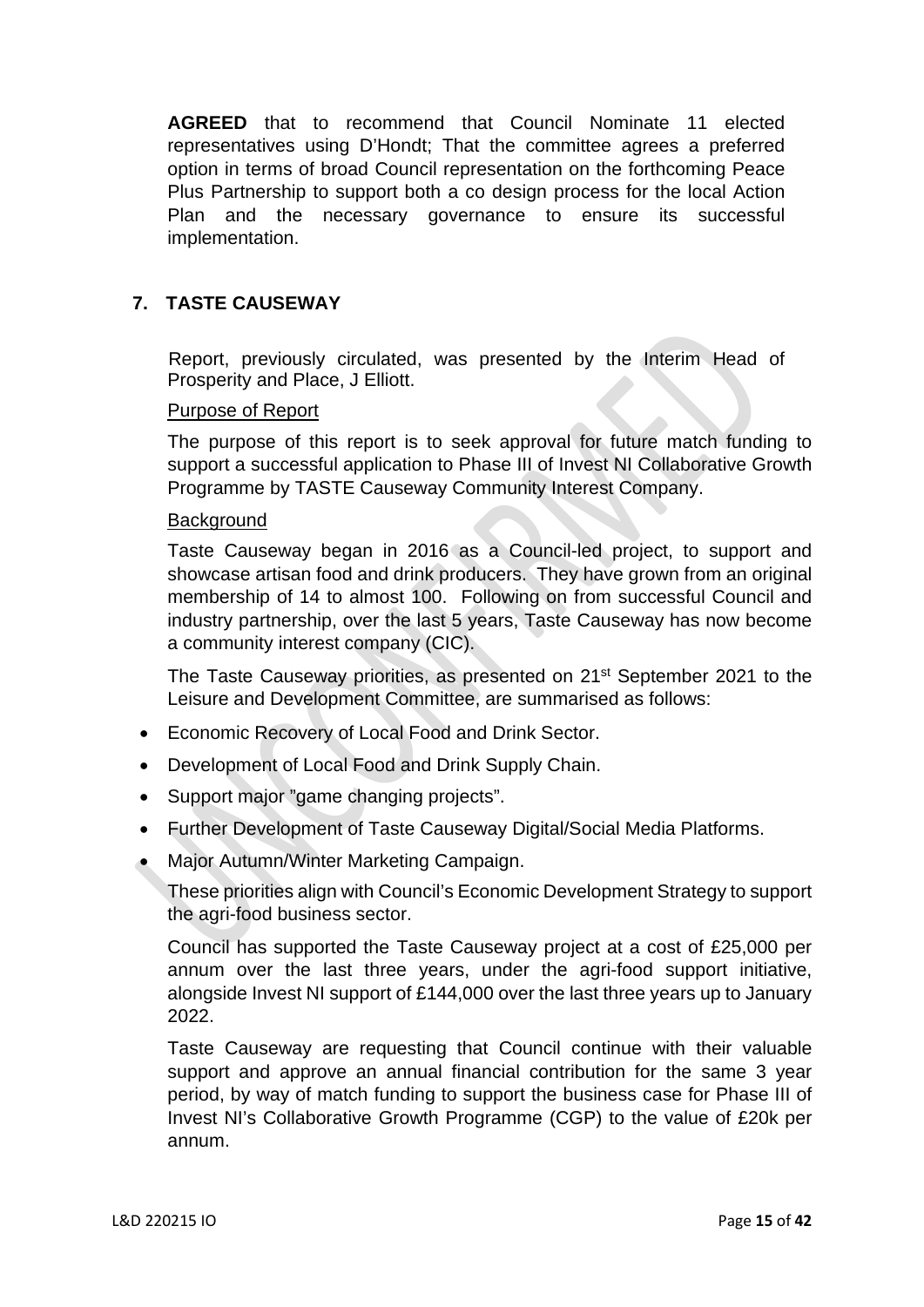**AGREED** that to recommend that Council Nominate 11 elected representatives using D'Hondt; That the committee agrees a preferred option in terms of broad Council representation on the forthcoming Peace Plus Partnership to support both a co design process for the local Action Plan and the necessary governance to ensure its successful implementation.

# **7. TASTE CAUSEWAY**

Report, previously circulated, was presented by the Interim Head of Prosperity and Place, J Elliott.

### Purpose of Report

The purpose of this report is to seek approval for future match funding to support a successful application to Phase III of Invest NI Collaborative Growth Programme by TASTE Causeway Community Interest Company.

### **Background**

Taste Causeway began in 2016 as a Council-led project, to support and showcase artisan food and drink producers. They have grown from an original membership of 14 to almost 100. Following on from successful Council and industry partnership, over the last 5 years, Taste Causeway has now become a community interest company (CIC).

The Taste Causeway priorities, as presented on 21st September 2021 to the Leisure and Development Committee, are summarised as follows:

- Economic Recovery of Local Food and Drink Sector.
- Development of Local Food and Drink Supply Chain.
- Support major "game changing projects".
- Further Development of Taste Causeway Digital/Social Media Platforms.
- Major Autumn/Winter Marketing Campaign.

These priorities align with Council's Economic Development Strategy to support the agri-food business sector.

Council has supported the Taste Causeway project at a cost of £25,000 per annum over the last three years, under the agri-food support initiative, alongside Invest NI support of £144,000 over the last three years up to January 2022.

Taste Causeway are requesting that Council continue with their valuable support and approve an annual financial contribution for the same 3 year period, by way of match funding to support the business case for Phase III of Invest NI's Collaborative Growth Programme (CGP) to the value of £20k per annum.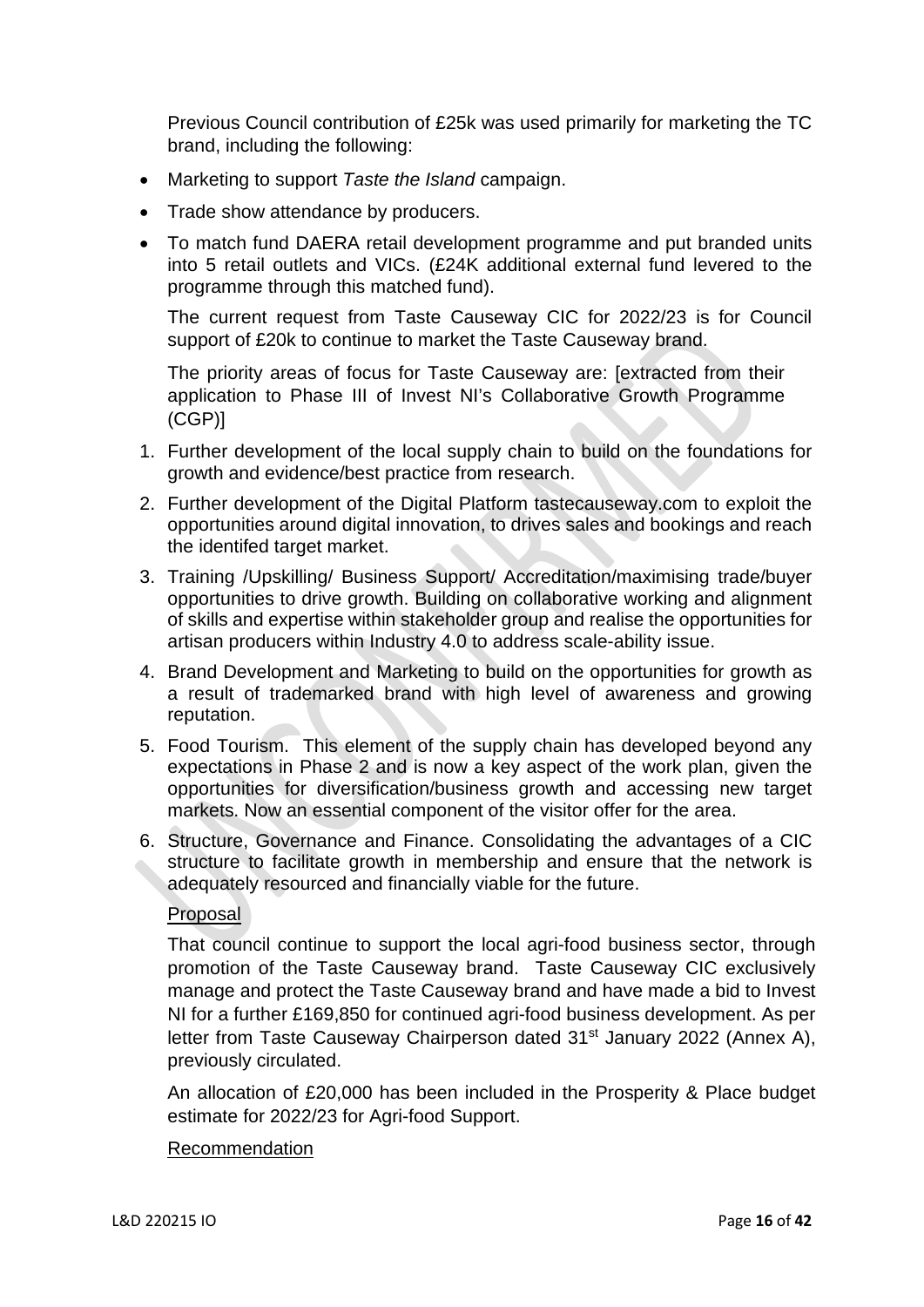Previous Council contribution of £25k was used primarily for marketing the TC brand, including the following:

- Marketing to support *Taste the Island* campaign.
- Trade show attendance by producers.
- To match fund DAERA retail development programme and put branded units into 5 retail outlets and VICs. (£24K additional external fund levered to the programme through this matched fund).

The current request from Taste Causeway CIC for 2022/23 is for Council support of £20k to continue to market the Taste Causeway brand.

The priority areas of focus for Taste Causeway are: [extracted from their application to Phase III of Invest NI's Collaborative Growth Programme (CGP)]

- 1. Further development of the local supply chain to build on the foundations for growth and evidence/best practice from research.
- 2. Further development of the Digital Platform tastecauseway.com to exploit the opportunities around digital innovation, to drives sales and bookings and reach the identifed target market.
- 3. Training /Upskilling/ Business Support/ Accreditation/maximising trade/buyer opportunities to drive growth. Building on collaborative working and alignment of skills and expertise within stakeholder group and realise the opportunities for artisan producers within Industry 4.0 to address scale-ability issue.
- 4. Brand Development and Marketing to build on the opportunities for growth as a result of trademarked brand with high level of awareness and growing reputation.
- 5. Food Tourism. This element of the supply chain has developed beyond any expectations in Phase 2 and is now a key aspect of the work plan, given the opportunities for diversification/business growth and accessing new target markets. Now an essential component of the visitor offer for the area.
- 6. Structure, Governance and Finance. Consolidating the advantages of a CIC structure to facilitate growth in membership and ensure that the network is adequately resourced and financially viable for the future.

# **Proposal**

That council continue to support the local agri-food business sector, through promotion of the Taste Causeway brand. Taste Causeway CIC exclusively manage and protect the Taste Causeway brand and have made a bid to Invest NI for a further £169,850 for continued agri-food business development. As per letter from Taste Causeway Chairperson dated 31<sup>st</sup> January 2022 (Annex A), previously circulated.

An allocation of £20,000 has been included in the Prosperity & Place budget estimate for 2022/23 for Agri-food Support.

# Recommendation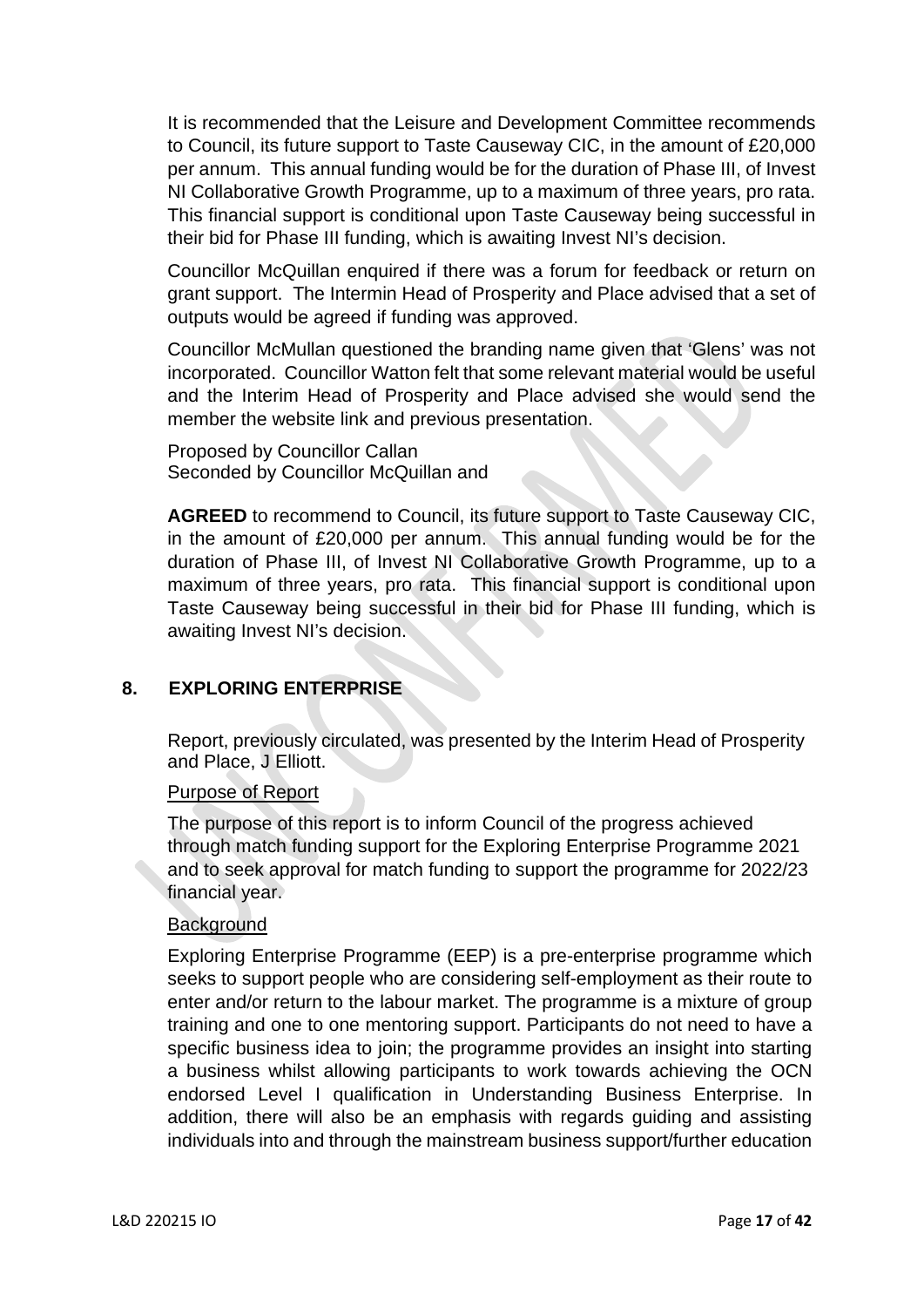It is recommended that the Leisure and Development Committee recommends to Council, its future support to Taste Causeway CIC, in the amount of £20,000 per annum. This annual funding would be for the duration of Phase III, of Invest NI Collaborative Growth Programme, up to a maximum of three years, pro rata. This financial support is conditional upon Taste Causeway being successful in their bid for Phase III funding, which is awaiting Invest NI's decision.

Councillor McQuillan enquired if there was a forum for feedback or return on grant support. The Intermin Head of Prosperity and Place advised that a set of outputs would be agreed if funding was approved.

Councillor McMullan questioned the branding name given that 'Glens' was not incorporated. Councillor Watton felt that some relevant material would be useful and the Interim Head of Prosperity and Place advised she would send the member the website link and previous presentation.

Proposed by Councillor Callan Seconded by Councillor McQuillan and

**AGREED** to recommend to Council, its future support to Taste Causeway CIC, in the amount of £20,000 per annum. This annual funding would be for the duration of Phase III, of Invest NI Collaborative Growth Programme, up to a maximum of three years, pro rata. This financial support is conditional upon Taste Causeway being successful in their bid for Phase III funding, which is awaiting Invest NI's decision.

# **8. EXPLORING ENTERPRISE**

Report, previously circulated, was presented by the Interim Head of Prosperity and Place, J Elliott.

### Purpose of Report

The purpose of this report is to inform Council of the progress achieved through match funding support for the Exploring Enterprise Programme 2021 and to seek approval for match funding to support the programme for 2022/23 financial year.

### **Background**

Exploring Enterprise Programme (EEP) is a pre-enterprise programme which seeks to support people who are considering self-employment as their route to enter and/or return to the labour market. The programme is a mixture of group training and one to one mentoring support. Participants do not need to have a specific business idea to join; the programme provides an insight into starting a business whilst allowing participants to work towards achieving the OCN endorsed Level I qualification in Understanding Business Enterprise. In addition, there will also be an emphasis with regards guiding and assisting individuals into and through the mainstream business support/further education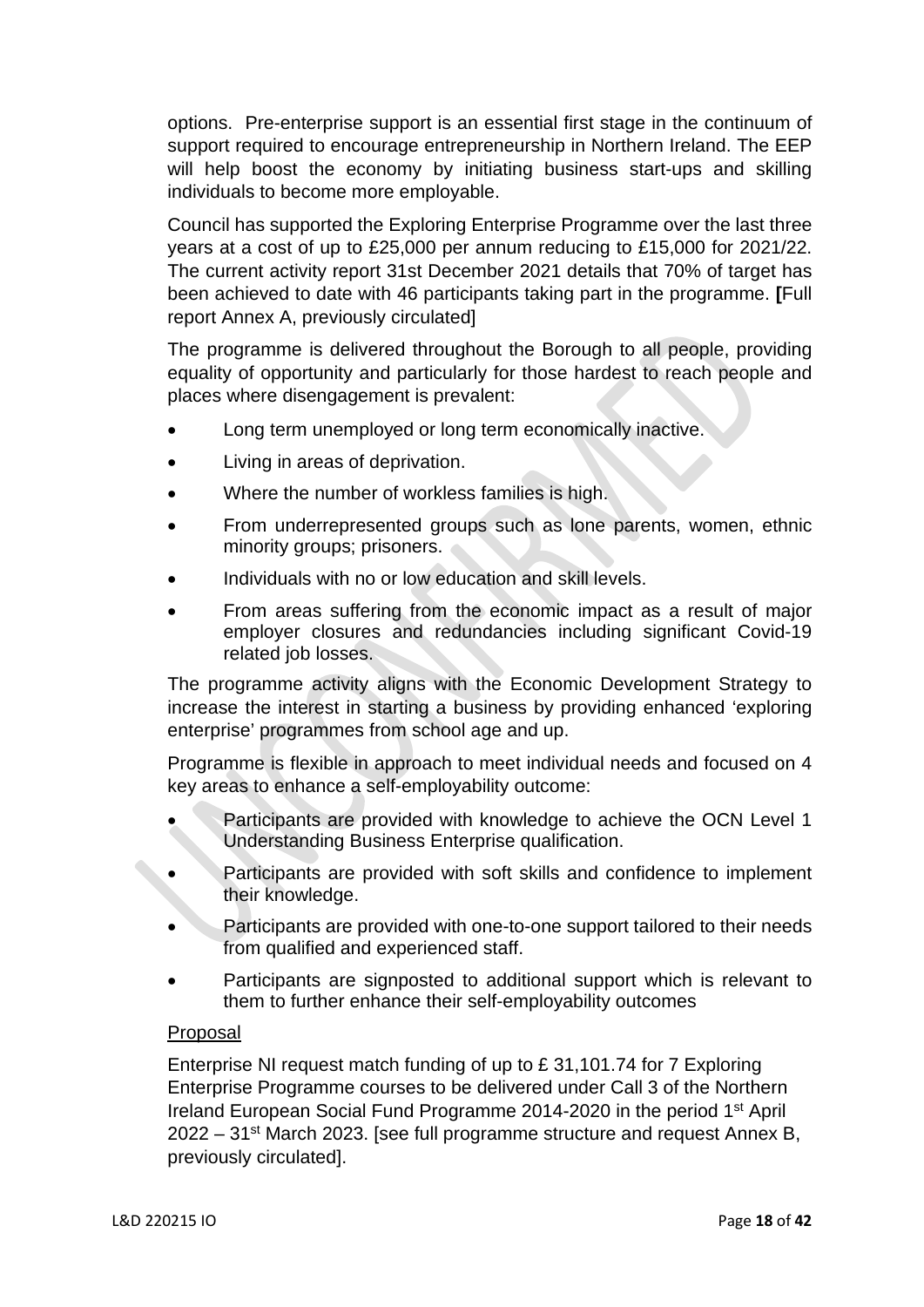options. Pre-enterprise support is an essential first stage in the continuum of support required to encourage entrepreneurship in Northern Ireland. The EEP will help boost the economy by initiating business start-ups and skilling individuals to become more employable.

Council has supported the Exploring Enterprise Programme over the last three years at a cost of up to £25,000 per annum reducing to £15,000 for 2021/22. The current activity report 31st December 2021 details that 70% of target has been achieved to date with 46 participants taking part in the programme. **[**Full report Annex A, previously circulated]

The programme is delivered throughout the Borough to all people, providing equality of opportunity and particularly for those hardest to reach people and places where disengagement is prevalent:

- Long term unemployed or long term economically inactive.
- Living in areas of deprivation.
- Where the number of workless families is high.
- From underrepresented groups such as lone parents, women, ethnic minority groups; prisoners.
- Individuals with no or low education and skill levels.
- From areas suffering from the economic impact as a result of major employer closures and redundancies including significant Covid-19 related job losses.

The programme activity aligns with the Economic Development Strategy to increase the interest in starting a business by providing enhanced 'exploring enterprise' programmes from school age and up.

Programme is flexible in approach to meet individual needs and focused on 4 key areas to enhance a self-employability outcome:

- Participants are provided with knowledge to achieve the OCN Level 1 Understanding Business Enterprise qualification.
- Participants are provided with soft skills and confidence to implement their knowledge.
- Participants are provided with one-to-one support tailored to their needs from qualified and experienced staff.
- Participants are signposted to additional support which is relevant to them to further enhance their self-employability outcomes

# Proposal

Enterprise NI request match funding of up to £ 31,101.74 for 7 Exploring Enterprise Programme courses to be delivered under Call 3 of the Northern Ireland European Social Fund Programme 2014-2020 in the period 1st April  $2022 - 31$ <sup>st</sup> March 2023. [see full programme structure and request Annex B, previously circulated].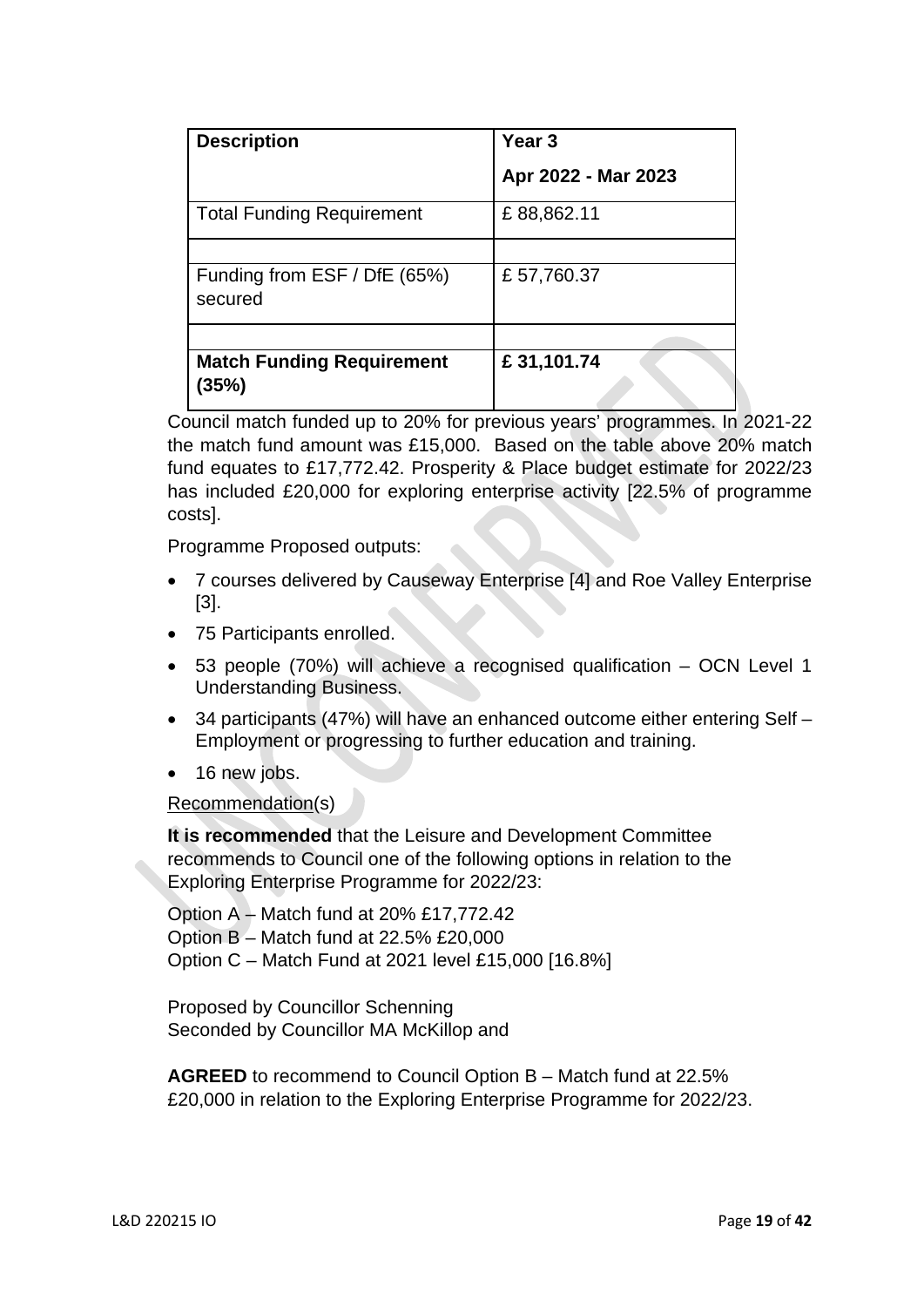| <b>Description</b>                        | Year <sub>3</sub>   |  |  |
|-------------------------------------------|---------------------|--|--|
|                                           | Apr 2022 - Mar 2023 |  |  |
| <b>Total Funding Requirement</b>          | £88,862.11          |  |  |
|                                           |                     |  |  |
| Funding from ESF / DfE (65%)<br>secured   | £57,760.37          |  |  |
|                                           |                     |  |  |
| <b>Match Funding Requirement</b><br>(35%) | £31,101.74          |  |  |

Council match funded up to 20% for previous years' programmes. In 2021-22 the match fund amount was £15,000. Based on the table above 20% match fund equates to £17,772.42. Prosperity & Place budget estimate for 2022/23 has included £20,000 for exploring enterprise activity [22.5% of programme costs].

Programme Proposed outputs:

- 7 courses delivered by Causeway Enterprise [4] and Roe Valley Enterprise [3].
- 75 Participants enrolled.
- 53 people (70%) will achieve a recognised qualification OCN Level 1 Understanding Business.
- 34 participants (47%) will have an enhanced outcome either entering Self Employment or progressing to further education and training.
- 16 new jobs.

### Recommendation(s)

**It is recommended** that the Leisure and Development Committee recommends to Council one of the following options in relation to the Exploring Enterprise Programme for 2022/23:

Option A – Match fund at 20% £17,772.42 Option B – Match fund at 22.5% £20,000 Option C – Match Fund at 2021 level £15,000 [16.8%]

Proposed by Councillor Schenning Seconded by Councillor MA McKillop and

**AGREED** to recommend to Council Option B – Match fund at 22.5% £20,000 in relation to the Exploring Enterprise Programme for 2022/23.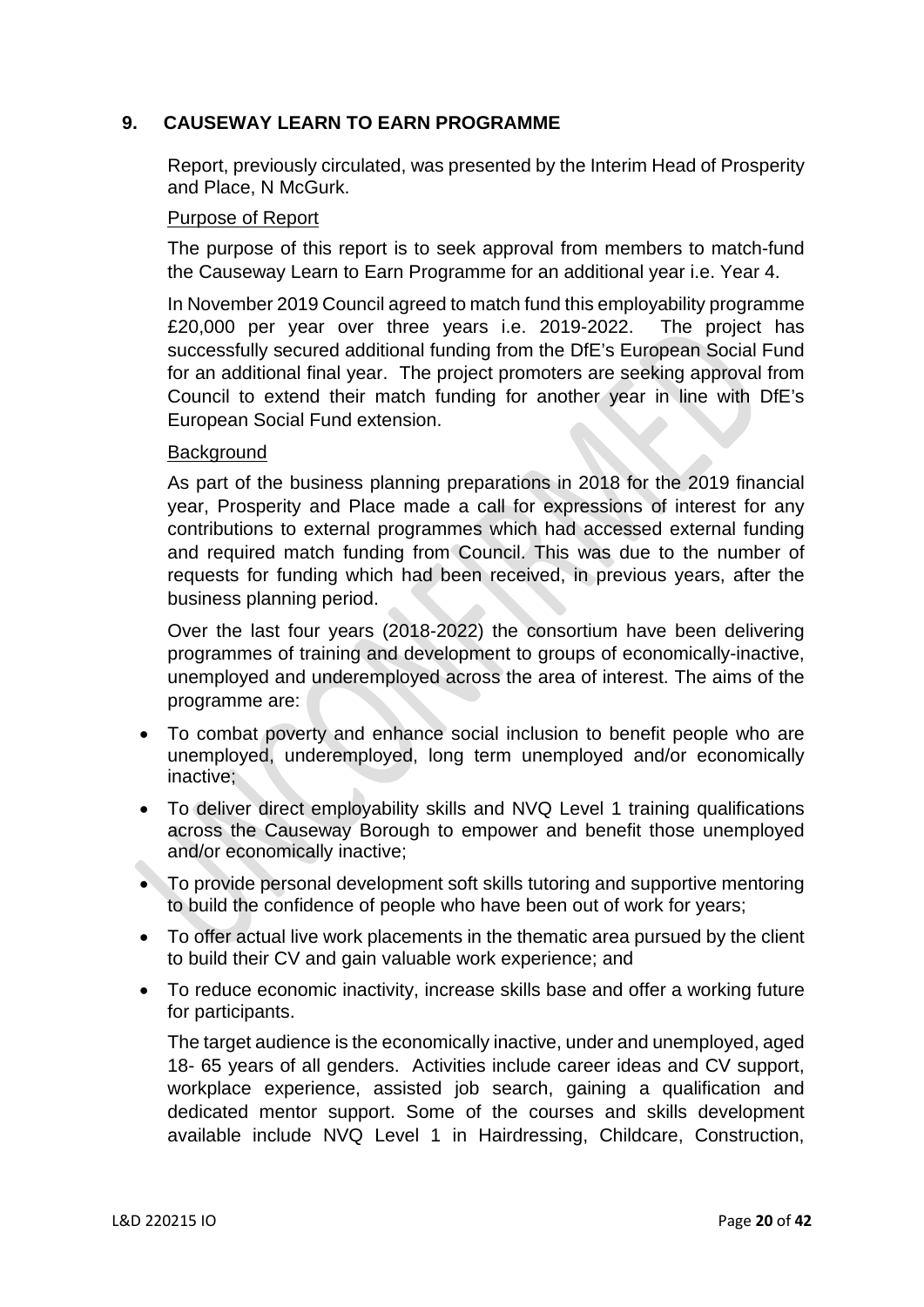# **9. CAUSEWAY LEARN TO EARN PROGRAMME**

Report, previously circulated, was presented by the Interim Head of Prosperity and Place, N McGurk.

## Purpose of Report

The purpose of this report is to seek approval from members to match-fund the Causeway Learn to Earn Programme for an additional year i.e. Year 4.

In November 2019 Council agreed to match fund this employability programme £20,000 per year over three years i.e. 2019-2022. The project has successfully secured additional funding from the DfE's European Social Fund for an additional final year. The project promoters are seeking approval from Council to extend their match funding for another year in line with DfE's European Social Fund extension.

## Background

As part of the business planning preparations in 2018 for the 2019 financial year, Prosperity and Place made a call for expressions of interest for any contributions to external programmes which had accessed external funding and required match funding from Council. This was due to the number of requests for funding which had been received, in previous years, after the business planning period.

Over the last four years (2018-2022) the consortium have been delivering programmes of training and development to groups of economically-inactive, unemployed and underemployed across the area of interest. The aims of the programme are:

- To combat poverty and enhance social inclusion to benefit people who are unemployed, underemployed, long term unemployed and/or economically inactive;
- To deliver direct employability skills and NVQ Level 1 training qualifications across the Causeway Borough to empower and benefit those unemployed and/or economically inactive;
- To provide personal development soft skills tutoring and supportive mentoring to build the confidence of people who have been out of work for years;
- To offer actual live work placements in the thematic area pursued by the client to build their CV and gain valuable work experience; and
- To reduce economic inactivity, increase skills base and offer a working future for participants.

The target audience is the economically inactive, under and unemployed, aged 18- 65 years of all genders. Activities include career ideas and CV support, workplace experience, assisted job search, gaining a qualification and dedicated mentor support. Some of the courses and skills development available include NVQ Level 1 in Hairdressing, Childcare, Construction,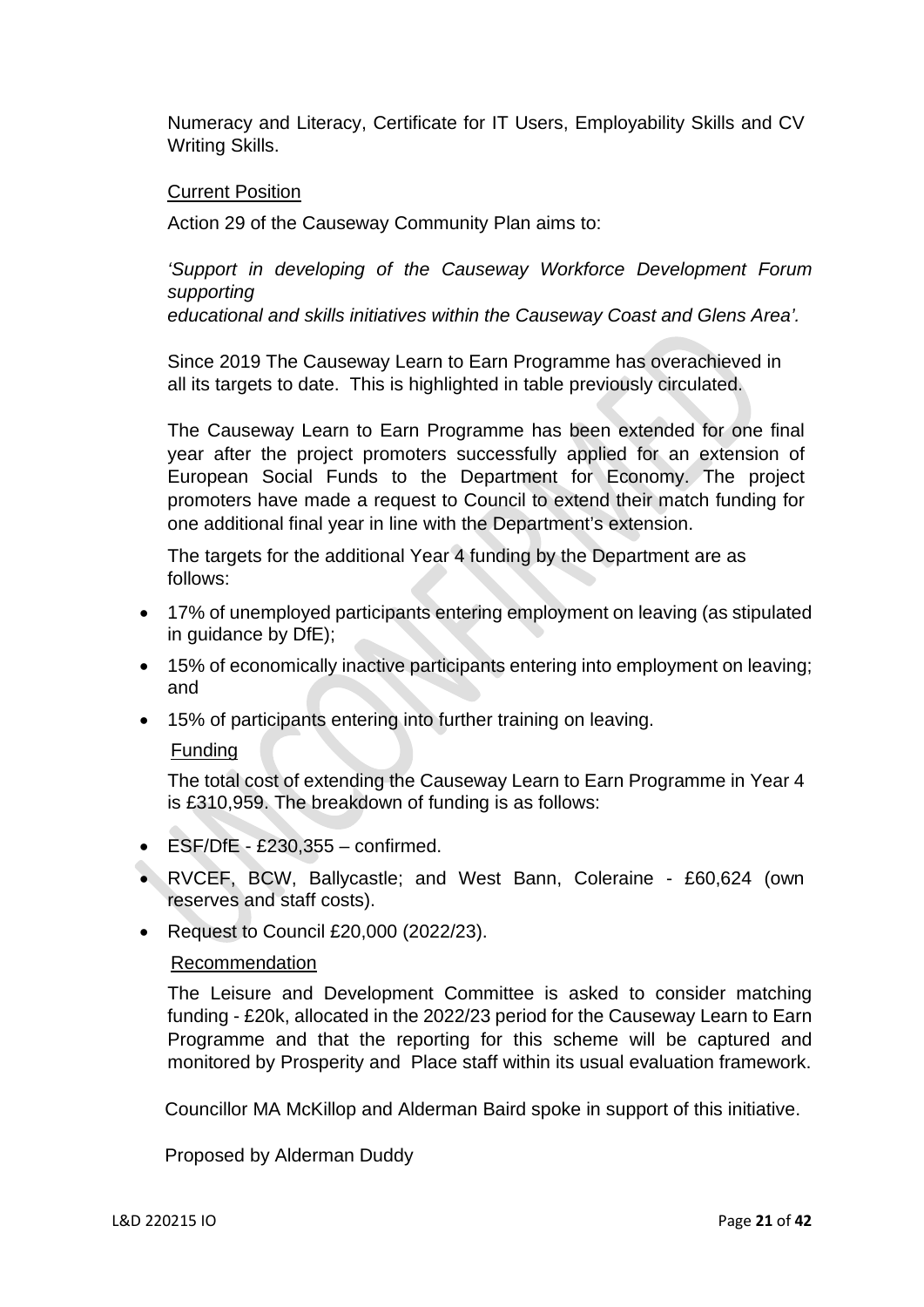Numeracy and Literacy, Certificate for IT Users, Employability Skills and CV Writing Skills.

## **Current Position**

Action 29 of the Causeway Community Plan aims to:

*'Support in developing of the Causeway Workforce Development Forum supporting* 

 *educational and skills initiatives within the Causeway Coast and Glens Area'.* 

Since 2019 The Causeway Learn to Earn Programme has overachieved in all its targets to date. This is highlighted in table previously circulated.

The Causeway Learn to Earn Programme has been extended for one final year after the project promoters successfully applied for an extension of European Social Funds to the Department for Economy. The project promoters have made a request to Council to extend their match funding for one additional final year in line with the Department's extension.

The targets for the additional Year 4 funding by the Department are as follows:

- 17% of unemployed participants entering employment on leaving (as stipulated in guidance by DfE);
- 15% of economically inactive participants entering into employment on leaving; and
- 15% of participants entering into further training on leaving.

### Funding

The total cost of extending the Causeway Learn to Earn Programme in Year 4 is £310,959. The breakdown of funding is as follows:

- $\bullet$  ESF/DfE £230,355 confirmed.
- RVCEF, BCW, Ballycastle; and West Bann, Coleraine £60,624 (own reserves and staff costs).
- Request to Council £20,000 (2022/23).

### Recommendation

The Leisure and Development Committee is asked to consider matching funding - £20k, allocated in the 2022/23 period for the Causeway Learn to Earn Programme and that the reporting for this scheme will be captured and monitored by Prosperity and Place staff within its usual evaluation framework.

Councillor MA McKillop and Alderman Baird spoke in support of this initiative.

Proposed by Alderman Duddy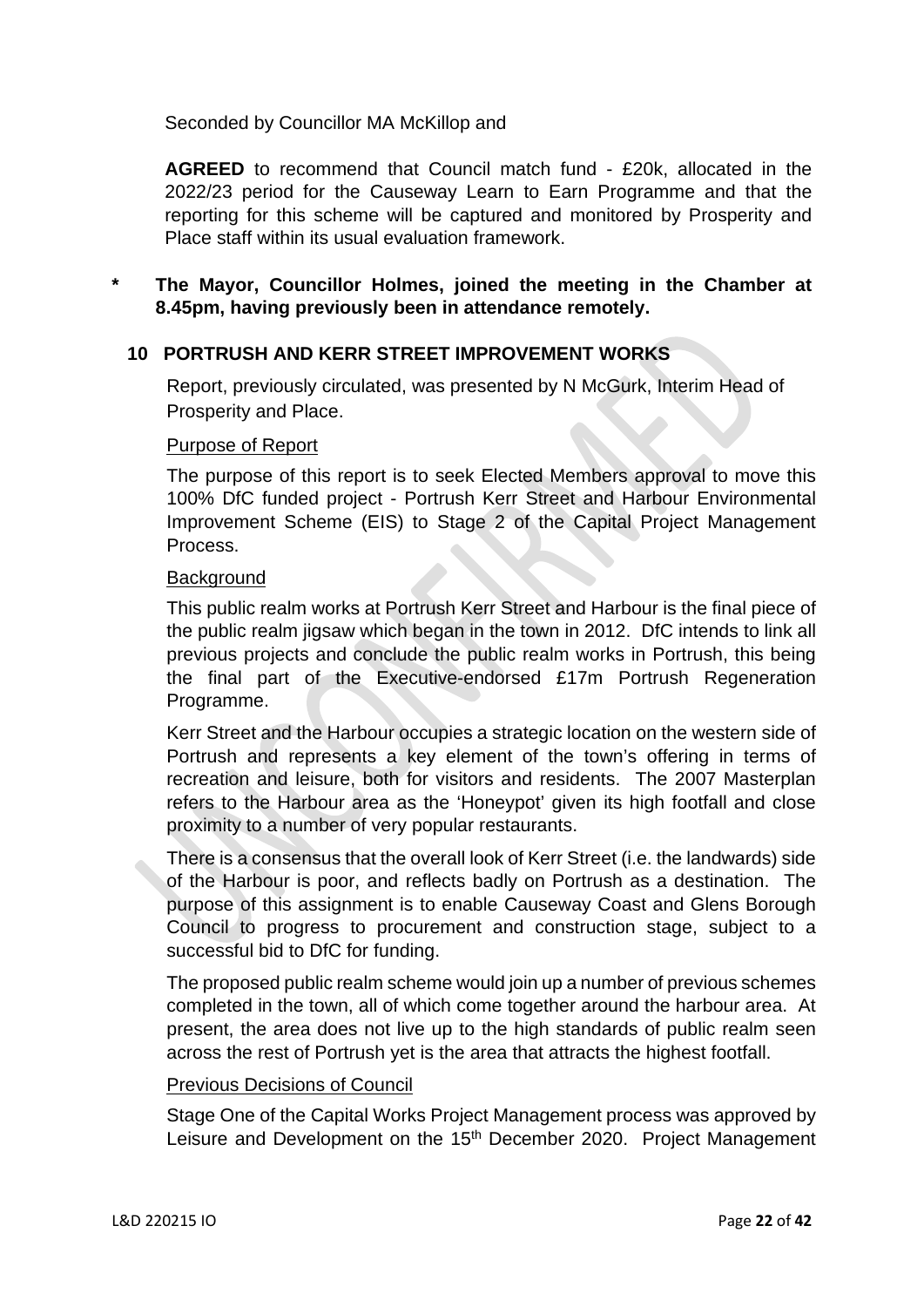Seconded by Councillor MA McKillop and

**AGREED** to recommend that Council match fund - £20k, allocated in the 2022/23 period for the Causeway Learn to Earn Programme and that the reporting for this scheme will be captured and monitored by Prosperity and Place staff within its usual evaluation framework.

# **\* The Mayor, Councillor Holmes, joined the meeting in the Chamber at 8.45pm, having previously been in attendance remotely.**

# **10 PORTRUSH AND KERR STREET IMPROVEMENT WORKS**

Report, previously circulated, was presented by N McGurk, Interim Head of Prosperity and Place.

#### Purpose of Report

The purpose of this report is to seek Elected Members approval to move this 100% DfC funded project - Portrush Kerr Street and Harbour Environmental Improvement Scheme (EIS) to Stage 2 of the Capital Project Management Process.

#### **Background**

This public realm works at Portrush Kerr Street and Harbour is the final piece of the public realm jigsaw which began in the town in 2012. DfC intends to link all previous projects and conclude the public realm works in Portrush, this being the final part of the Executive-endorsed £17m Portrush Regeneration Programme.

Kerr Street and the Harbour occupies a strategic location on the western side of Portrush and represents a key element of the town's offering in terms of recreation and leisure, both for visitors and residents. The 2007 Masterplan refers to the Harbour area as the 'Honeypot' given its high footfall and close proximity to a number of very popular restaurants.

There is a consensus that the overall look of Kerr Street (i.e. the landwards) side of the Harbour is poor, and reflects badly on Portrush as a destination. The purpose of this assignment is to enable Causeway Coast and Glens Borough Council to progress to procurement and construction stage, subject to a successful bid to DfC for funding.

The proposed public realm scheme would join up a number of previous schemes completed in the town, all of which come together around the harbour area. At present, the area does not live up to the high standards of public realm seen across the rest of Portrush yet is the area that attracts the highest footfall.

### Previous Decisions of Council

Stage One of the Capital Works Project Management process was approved by Leisure and Development on the 15<sup>th</sup> December 2020. Project Management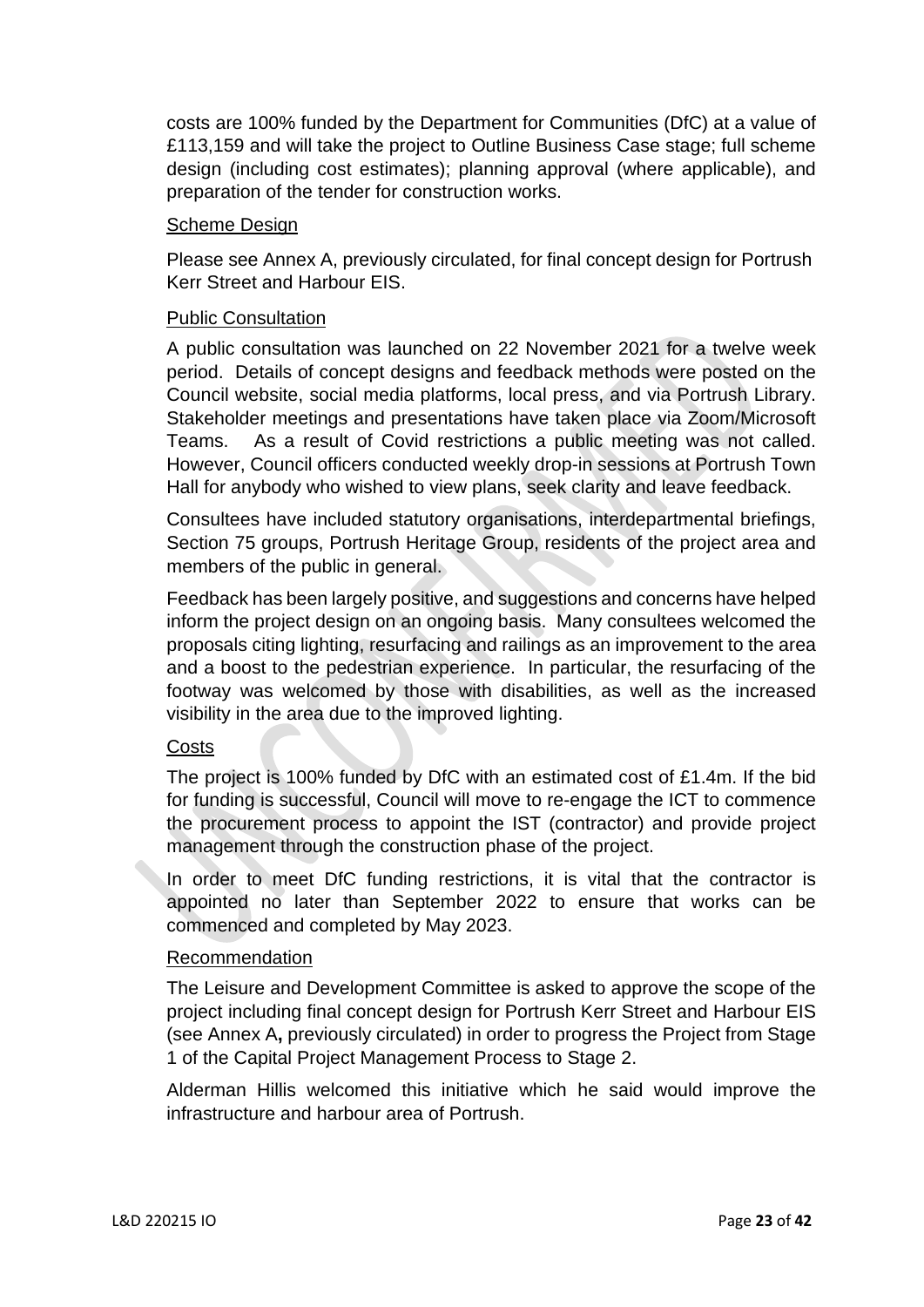costs are 100% funded by the Department for Communities (DfC) at a value of £113,159 and will take the project to Outline Business Case stage; full scheme design (including cost estimates); planning approval (where applicable), and preparation of the tender for construction works.

## Scheme Design

Please see Annex A, previously circulated, for final concept design for Portrush Kerr Street and Harbour EIS.

## Public Consultation

A public consultation was launched on 22 November 2021 for a twelve week period. Details of concept designs and feedback methods were posted on the Council website, social media platforms, local press, and via Portrush Library. Stakeholder meetings and presentations have taken place via Zoom/Microsoft Teams. As a result of Covid restrictions a public meeting was not called. However, Council officers conducted weekly drop-in sessions at Portrush Town Hall for anybody who wished to view plans, seek clarity and leave feedback.

Consultees have included statutory organisations, interdepartmental briefings, Section 75 groups, Portrush Heritage Group, residents of the project area and members of the public in general.

Feedback has been largely positive, and suggestions and concerns have helped inform the project design on an ongoing basis. Many consultees welcomed the proposals citing lighting, resurfacing and railings as an improvement to the area and a boost to the pedestrian experience. In particular, the resurfacing of the footway was welcomed by those with disabilities, as well as the increased visibility in the area due to the improved lighting.

### **Costs**

The project is 100% funded by DfC with an estimated cost of £1.4m. If the bid for funding is successful, Council will move to re-engage the ICT to commence the procurement process to appoint the IST (contractor) and provide project management through the construction phase of the project.

In order to meet DfC funding restrictions, it is vital that the contractor is appointed no later than September 2022 to ensure that works can be commenced and completed by May 2023.

## Recommendation

The Leisure and Development Committee is asked to approve the scope of the project including final concept design for Portrush Kerr Street and Harbour EIS (see Annex A**,** previously circulated) in order to progress the Project from Stage 1 of the Capital Project Management Process to Stage 2.

Alderman Hillis welcomed this initiative which he said would improve the infrastructure and harbour area of Portrush.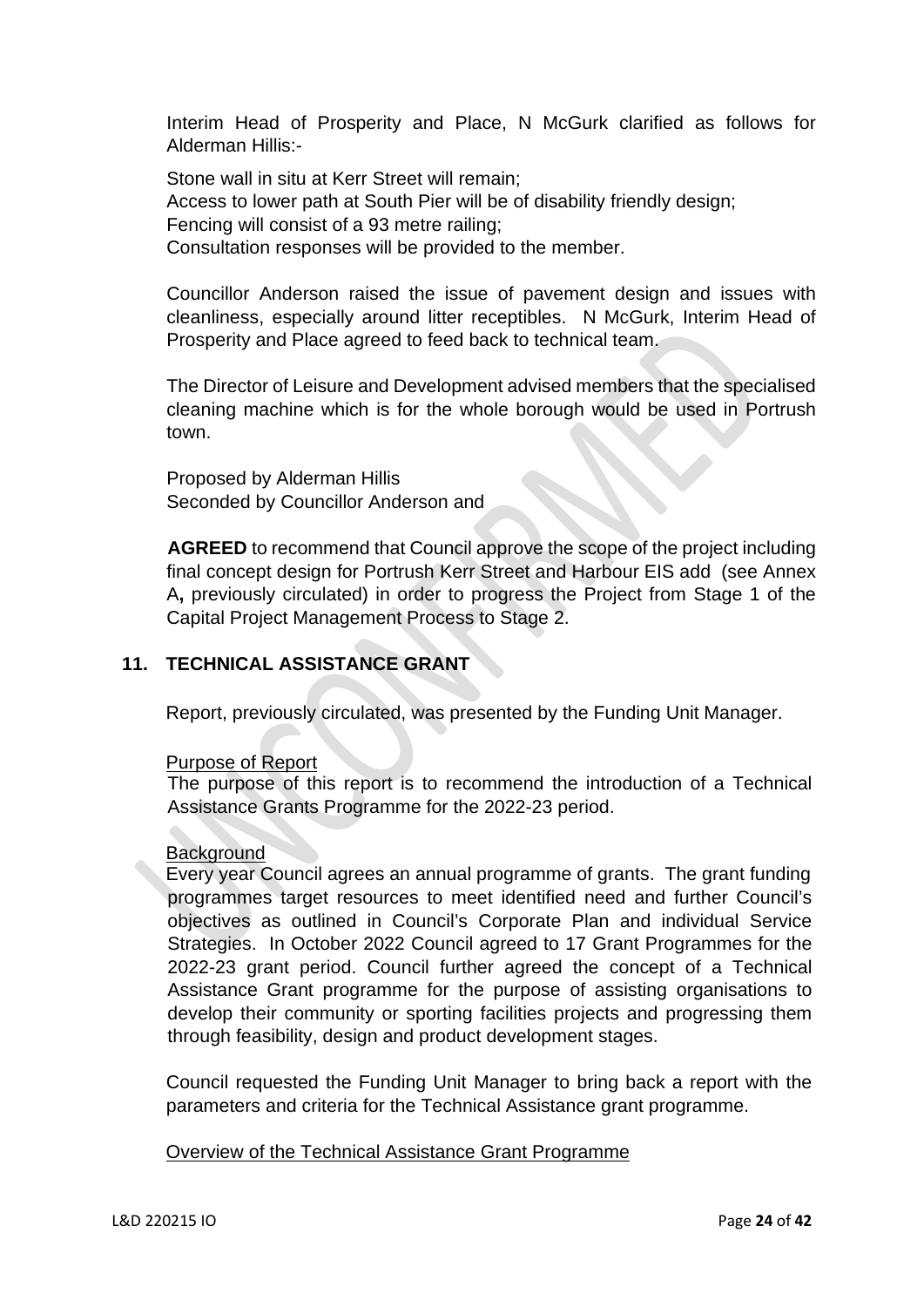Interim Head of Prosperity and Place, N McGurk clarified as follows for Alderman Hillis:-

Stone wall in situ at Kerr Street will remain; Access to lower path at South Pier will be of disability friendly design; Fencing will consist of a 93 metre railing; Consultation responses will be provided to the member.

Councillor Anderson raised the issue of pavement design and issues with cleanliness, especially around litter receptibles. N McGurk, Interim Head of Prosperity and Place agreed to feed back to technical team.

The Director of Leisure and Development advised members that the specialised cleaning machine which is for the whole borough would be used in Portrush town.

Proposed by Alderman Hillis Seconded by Councillor Anderson and

**AGREED** to recommend that Council approve the scope of the project including final concept design for Portrush Kerr Street and Harbour EIS add (see Annex A**,** previously circulated) in order to progress the Project from Stage 1 of the Capital Project Management Process to Stage 2.

# **11. TECHNICAL ASSISTANCE GRANT**

Report, previously circulated, was presented by the Funding Unit Manager.

### Purpose of Report

The purpose of this report is to recommend the introduction of a Technical Assistance Grants Programme for the 2022-23 period.

### **Background**

 Every year Council agrees an annual programme of grants. The grant funding programmes target resources to meet identified need and further Council's objectives as outlined in Council's Corporate Plan and individual Service Strategies. In October 2022 Council agreed to 17 Grant Programmes for the 2022-23 grant period. Council further agreed the concept of a Technical Assistance Grant programme for the purpose of assisting organisations to develop their community or sporting facilities projects and progressing them through feasibility, design and product development stages.

Council requested the Funding Unit Manager to bring back a report with the parameters and criteria for the Technical Assistance grant programme.

### Overview of the Technical Assistance Grant Programme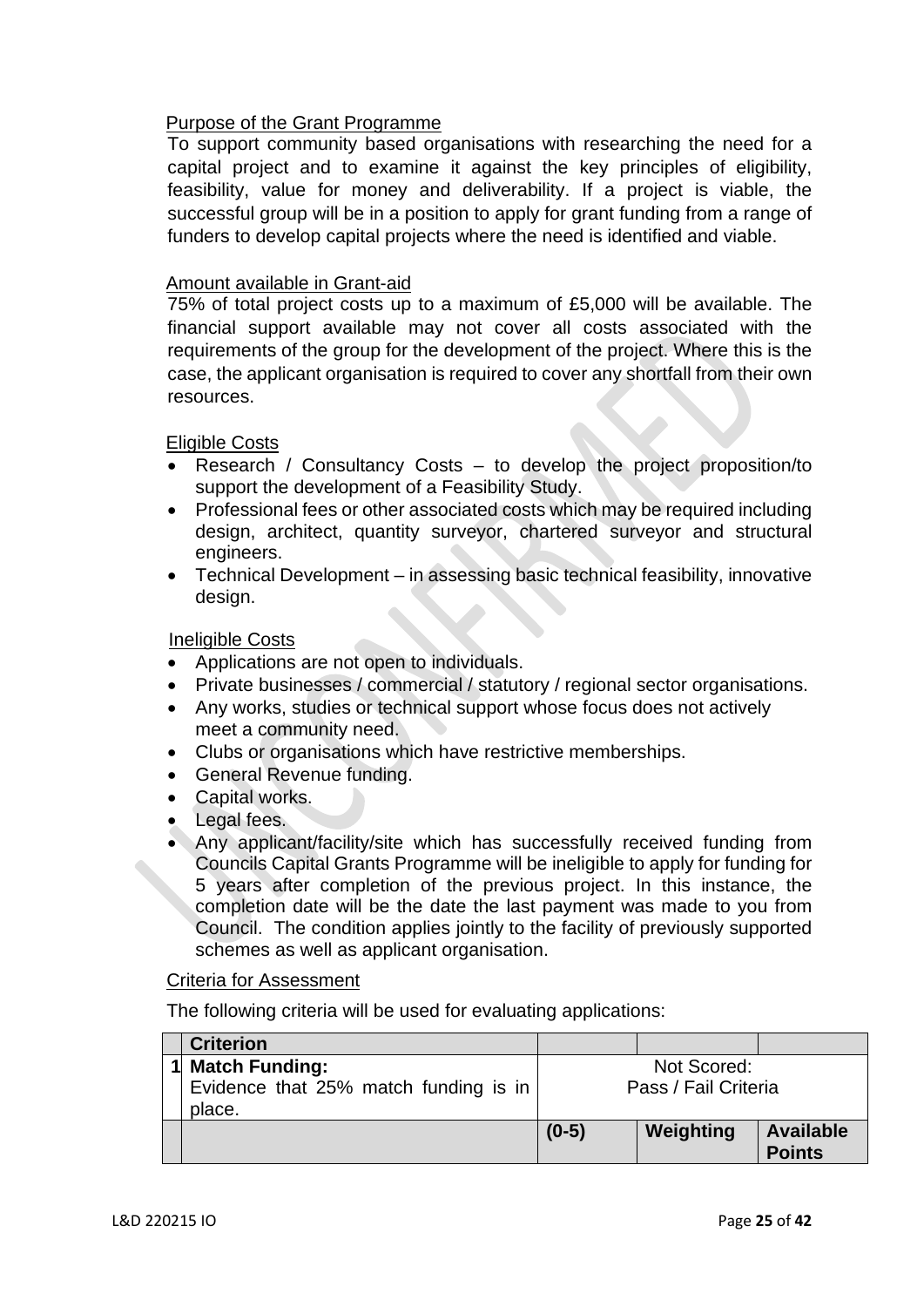# Purpose of the Grant Programme

To support community based organisations with researching the need for a capital project and to examine it against the key principles of eligibility, feasibility, value for money and deliverability. If a project is viable, the successful group will be in a position to apply for grant funding from a range of funders to develop capital projects where the need is identified and viable.

## Amount available in Grant-aid

75% of total project costs up to a maximum of £5,000 will be available. The financial support available may not cover all costs associated with the requirements of the group for the development of the project. Where this is the case, the applicant organisation is required to cover any shortfall from their own resources.

## Eligible Costs

- Research / Consultancy Costs to develop the project proposition/to support the development of a Feasibility Study.
- Professional fees or other associated costs which may be required including design, architect, quantity surveyor, chartered surveyor and structural engineers.
- Technical Development in assessing basic technical feasibility, innovative design.

## Ineligible Costs

- Applications are not open to individuals.
- Private businesses / commercial / statutory / regional sector organisations.
- Any works, studies or technical support whose focus does not actively meet a community need.
- Clubs or organisations which have restrictive memberships.
- General Revenue funding.
- Capital works.
- Legal fees.
- Any applicant/facility/site which has successfully received funding from Councils Capital Grants Programme will be ineligible to apply for funding for 5 years after completion of the previous project. In this instance, the completion date will be the date the last payment was made to you from Council. The condition applies jointly to the facility of previously supported schemes as well as applicant organisation.

#### Criteria for Assessment

The following criteria will be used for evaluating applications:

| <b>Criterion</b>                                |                      |           |                                   |
|-------------------------------------------------|----------------------|-----------|-----------------------------------|
| 1 Match Funding:                                | Not Scored:          |           |                                   |
| Evidence that 25% match funding is in<br>place. | Pass / Fail Criteria |           |                                   |
|                                                 | $(0-5)$              | Weighting | <b>Available</b><br><b>Points</b> |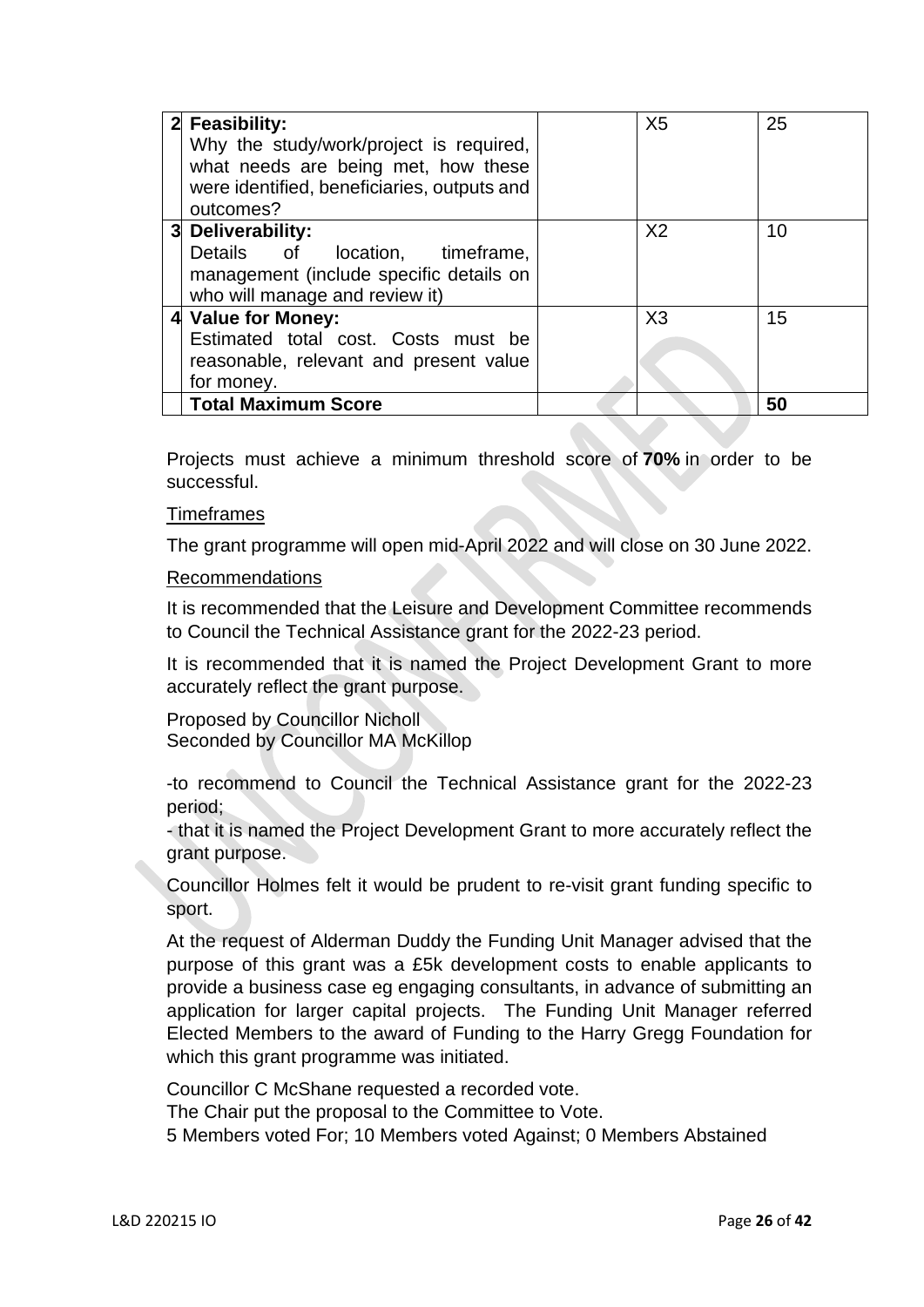| 2 Feasibility:                              | X <sub>5</sub> | 25 |
|---------------------------------------------|----------------|----|
| Why the study/work/project is required,     |                |    |
| what needs are being met, how these         |                |    |
| were identified, beneficiaries, outputs and |                |    |
| outcomes?                                   |                |    |
| 3 Deliverability:                           | X <sub>2</sub> | 10 |
| Details of<br>location, timeframe,          |                |    |
| management (include specific details on     |                |    |
| who will manage and review it)              |                |    |
| 4 Value for Money:                          | X3             | 15 |
| Estimated total cost. Costs must be         |                |    |
| reasonable, relevant and present value      |                |    |
| for money.                                  |                |    |
| <b>Total Maximum Score</b>                  |                | 50 |

Projects must achieve a minimum threshold score of **70%** in order to be successful.

## Timeframes

The grant programme will open mid-April 2022 and will close on 30 June 2022.

### Recommendations

It is recommended that the Leisure and Development Committee recommends to Council the Technical Assistance grant for the 2022-23 period.

It is recommended that it is named the Project Development Grant to more accurately reflect the grant purpose.

Proposed by Councillor Nicholl Seconded by Councillor MA McKillop

-to recommend to Council the Technical Assistance grant for the 2022-23 period;

- that it is named the Project Development Grant to more accurately reflect the grant purpose.

Councillor Holmes felt it would be prudent to re-visit grant funding specific to sport.

At the request of Alderman Duddy the Funding Unit Manager advised that the purpose of this grant was a £5k development costs to enable applicants to provide a business case eg engaging consultants, in advance of submitting an application for larger capital projects. The Funding Unit Manager referred Elected Members to the award of Funding to the Harry Gregg Foundation for which this grant programme was initiated.

Councillor C McShane requested a recorded vote.

The Chair put the proposal to the Committee to Vote.

5 Members voted For; 10 Members voted Against; 0 Members Abstained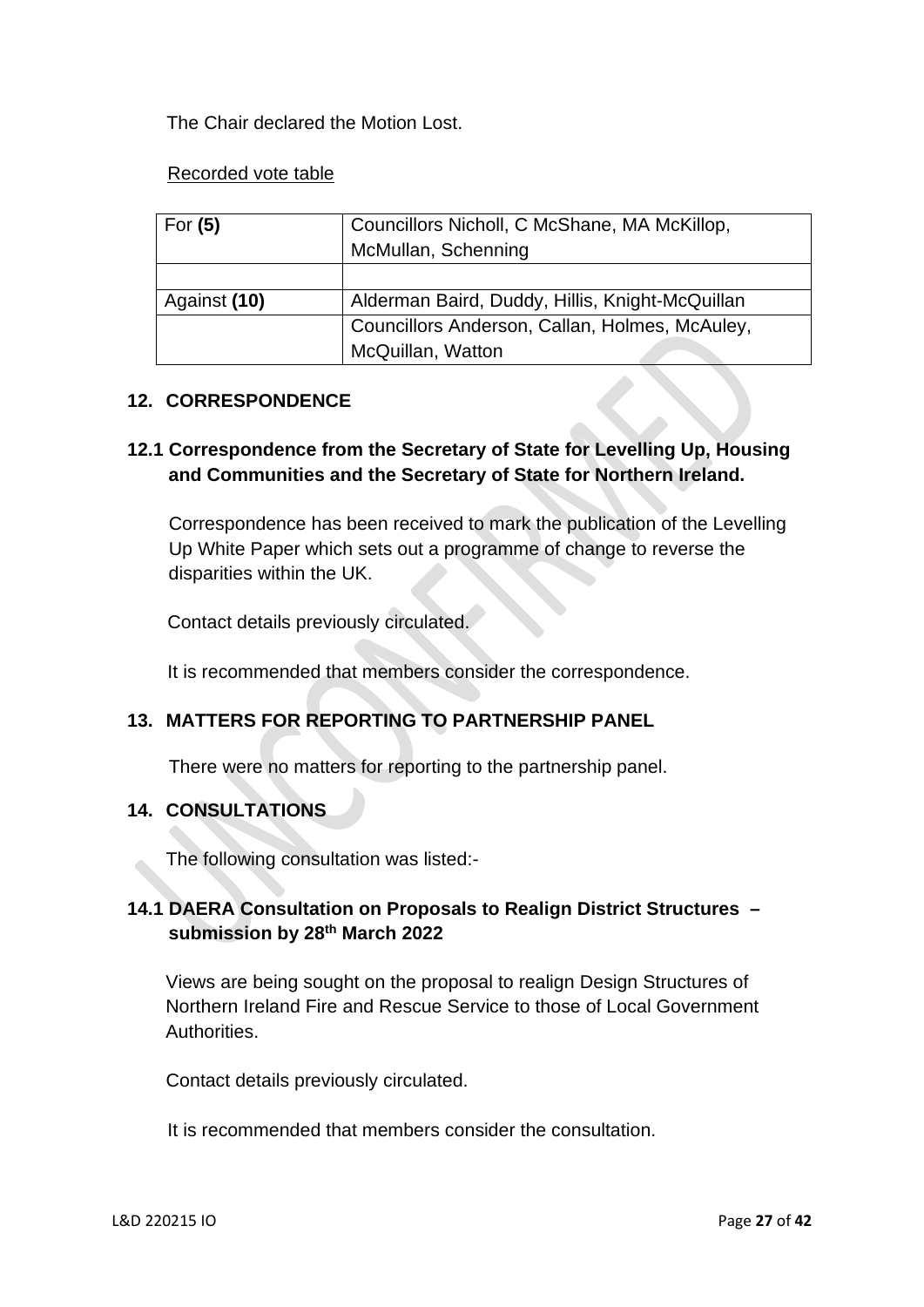The Chair declared the Motion Lost.

## Recorded vote table

| For $(5)$    | Councillors Nicholl, C McShane, MA McKillop,<br>McMullan, Schenning |
|--------------|---------------------------------------------------------------------|
|              |                                                                     |
| Against (10) | Alderman Baird, Duddy, Hillis, Knight-McQuillan                     |
|              | Councillors Anderson, Callan, Holmes, McAuley,                      |
|              | McQuillan, Watton                                                   |

# **12. CORRESPONDENCE**

# **12.1 Correspondence from the Secretary of State for Levelling Up, Housing and Communities and the Secretary of State for Northern Ireland.**

 Correspondence has been received to mark the publication of the Levelling Up White Paper which sets out a programme of change to reverse the disparities within the UK.

Contact details previously circulated.

It is recommended that members consider the correspondence.

# **13. MATTERS FOR REPORTING TO PARTNERSHIP PANEL**

There were no matters for reporting to the partnership panel.

# **14. CONSULTATIONS**

The following consultation was listed:-

# **14.1 DAERA Consultation on Proposals to Realign District Structures – submission by 28th March 2022**

Views are being sought on the proposal to realign Design Structures of Northern Ireland Fire and Rescue Service to those of Local Government Authorities.

Contact details previously circulated.

It is recommended that members consider the consultation.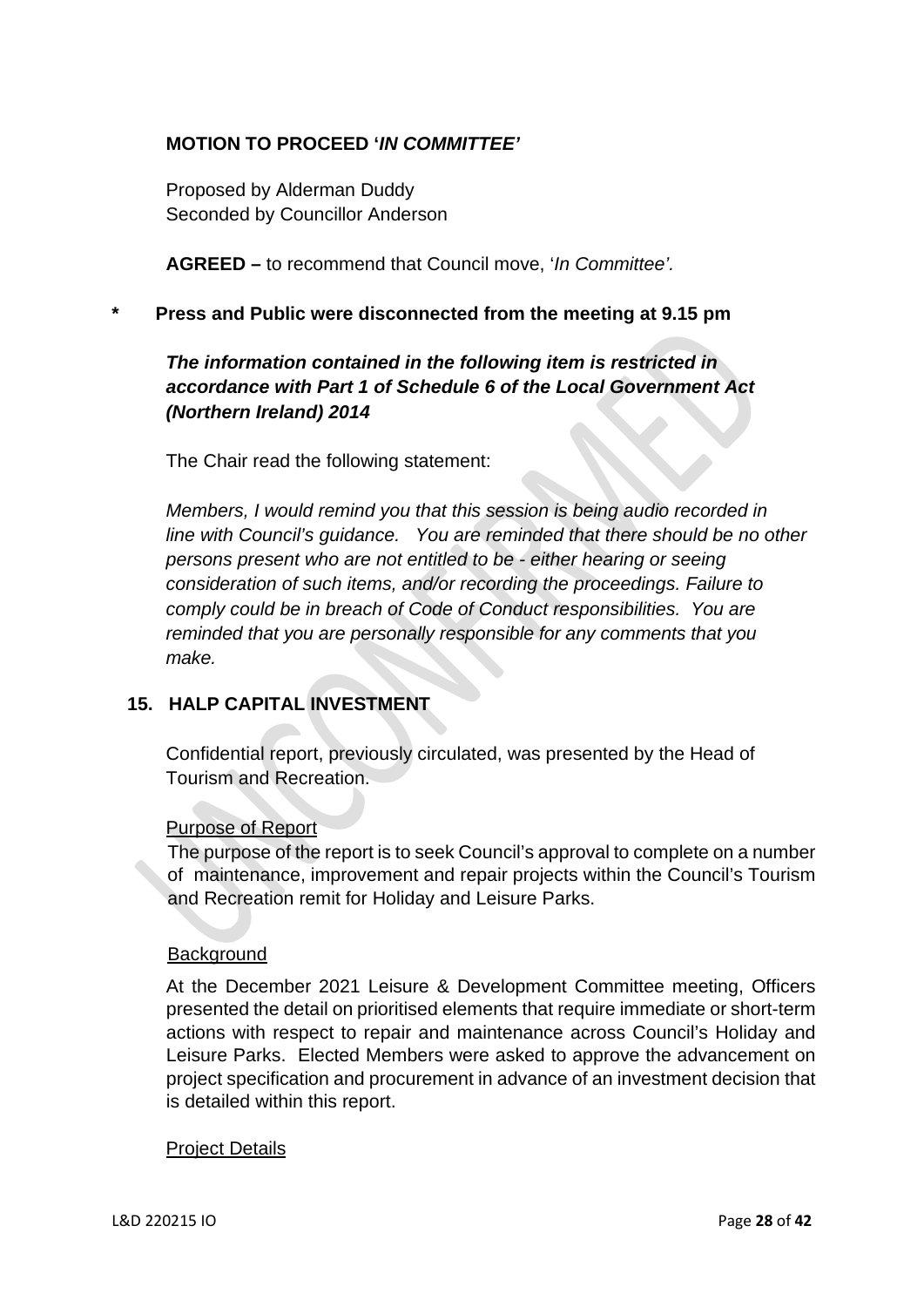# **MOTION TO PROCEED '***IN COMMITTEE'*

 Proposed by Alderman Duddy Seconded by Councillor Anderson

 **AGREED –** to recommend that Council move, '*In Committee'.*

**\* Press and Public were disconnected from the meeting at 9.15 pm** 

# *The information contained in the following item is restricted in accordance with Part 1 of Schedule 6 of the Local Government Act (Northern Ireland) 2014*

The Chair read the following statement:

 *Members, I would remind you that this session is being audio recorded in line with Council's guidance. You are reminded that there should be no other persons present who are not entitled to be - either hearing or seeing consideration of such items, and/or recording the proceedings. Failure to comply could be in breach of Code of Conduct responsibilities. You are reminded that you are personally responsible for any comments that you make.* 

# **15. HALP CAPITAL INVESTMENT**

 Confidential report, previously circulated, was presented by the Head of Tourism and Recreation.

### Purpose of Report

The purpose of the report is to seek Council's approval to complete on a number of maintenance, improvement and repair projects within the Council's Tourism and Recreation remit for Holiday and Leisure Parks.

### **Background**

At the December 2021 Leisure & Development Committee meeting, Officers presented the detail on prioritised elements that require immediate or short-term actions with respect to repair and maintenance across Council's Holiday and Leisure Parks. Elected Members were asked to approve the advancement on project specification and procurement in advance of an investment decision that is detailed within this report.

### Project Details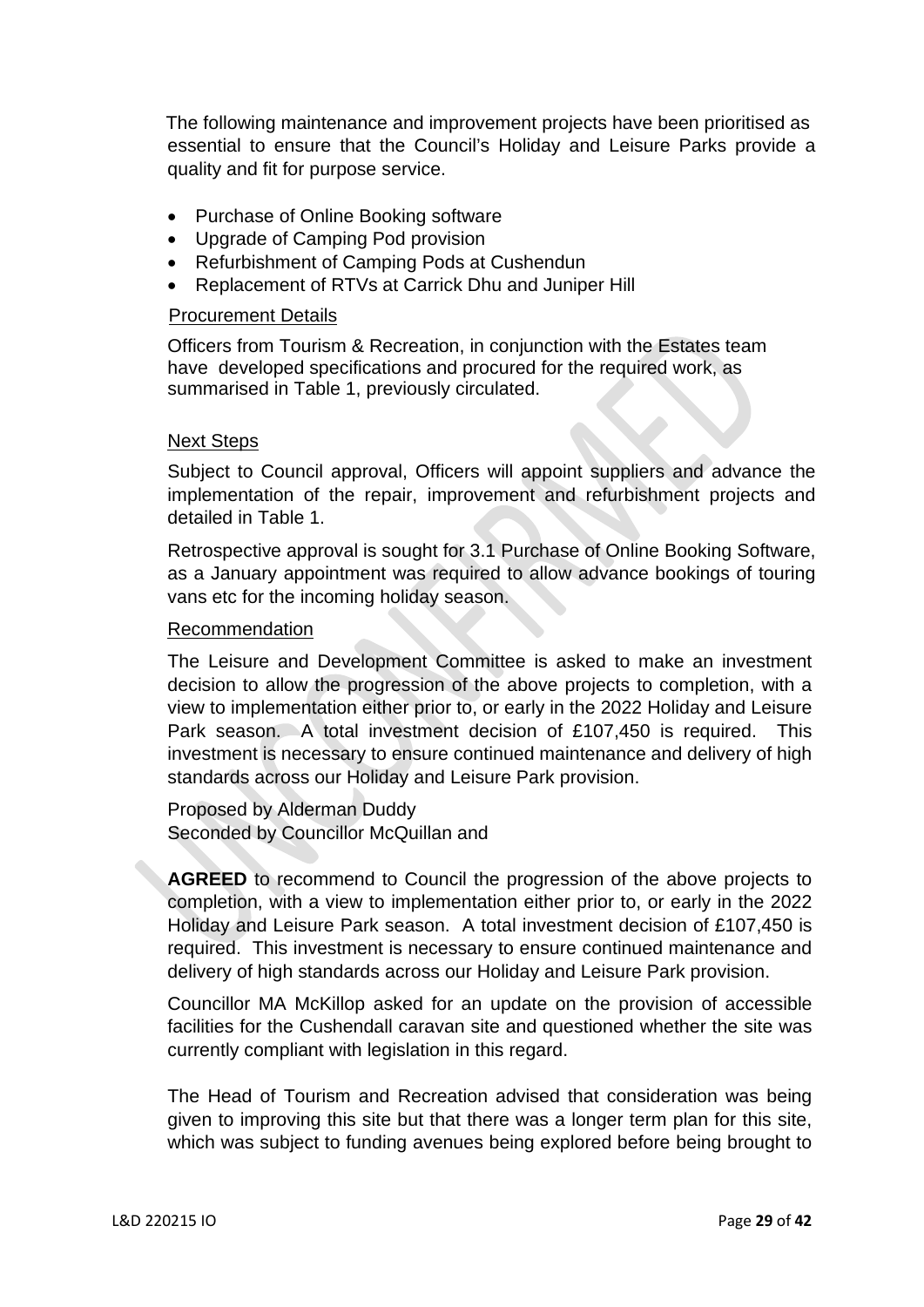The following maintenance and improvement projects have been prioritised as essential to ensure that the Council's Holiday and Leisure Parks provide a quality and fit for purpose service.

- Purchase of Online Booking software
- Upgrade of Camping Pod provision
- Refurbishment of Camping Pods at Cushendun
- Replacement of RTVs at Carrick Dhu and Juniper Hill

#### Procurement Details

Officers from Tourism & Recreation, in conjunction with the Estates team have developed specifications and procured for the required work, as summarised in Table 1, previously circulated.

#### Next Steps

Subject to Council approval, Officers will appoint suppliers and advance the implementation of the repair, improvement and refurbishment projects and detailed in Table 1.

Retrospective approval is sought for 3.1 Purchase of Online Booking Software, as a January appointment was required to allow advance bookings of touring vans etc for the incoming holiday season.

#### Recommendation

The Leisure and Development Committee is asked to make an investment decision to allow the progression of the above projects to completion, with a view to implementation either prior to, or early in the 2022 Holiday and Leisure Park season. A total investment decision of £107,450 is required. This investment is necessary to ensure continued maintenance and delivery of high standards across our Holiday and Leisure Park provision.

Proposed by Alderman Duddy Seconded by Councillor McQuillan and

**AGREED** to recommend to Council the progression of the above projects to completion, with a view to implementation either prior to, or early in the 2022 Holiday and Leisure Park season. A total investment decision of £107,450 is required. This investment is necessary to ensure continued maintenance and delivery of high standards across our Holiday and Leisure Park provision.

Councillor MA McKillop asked for an update on the provision of accessible facilities for the Cushendall caravan site and questioned whether the site was currently compliant with legislation in this regard.

The Head of Tourism and Recreation advised that consideration was being given to improving this site but that there was a longer term plan for this site, which was subject to funding avenues being explored before being brought to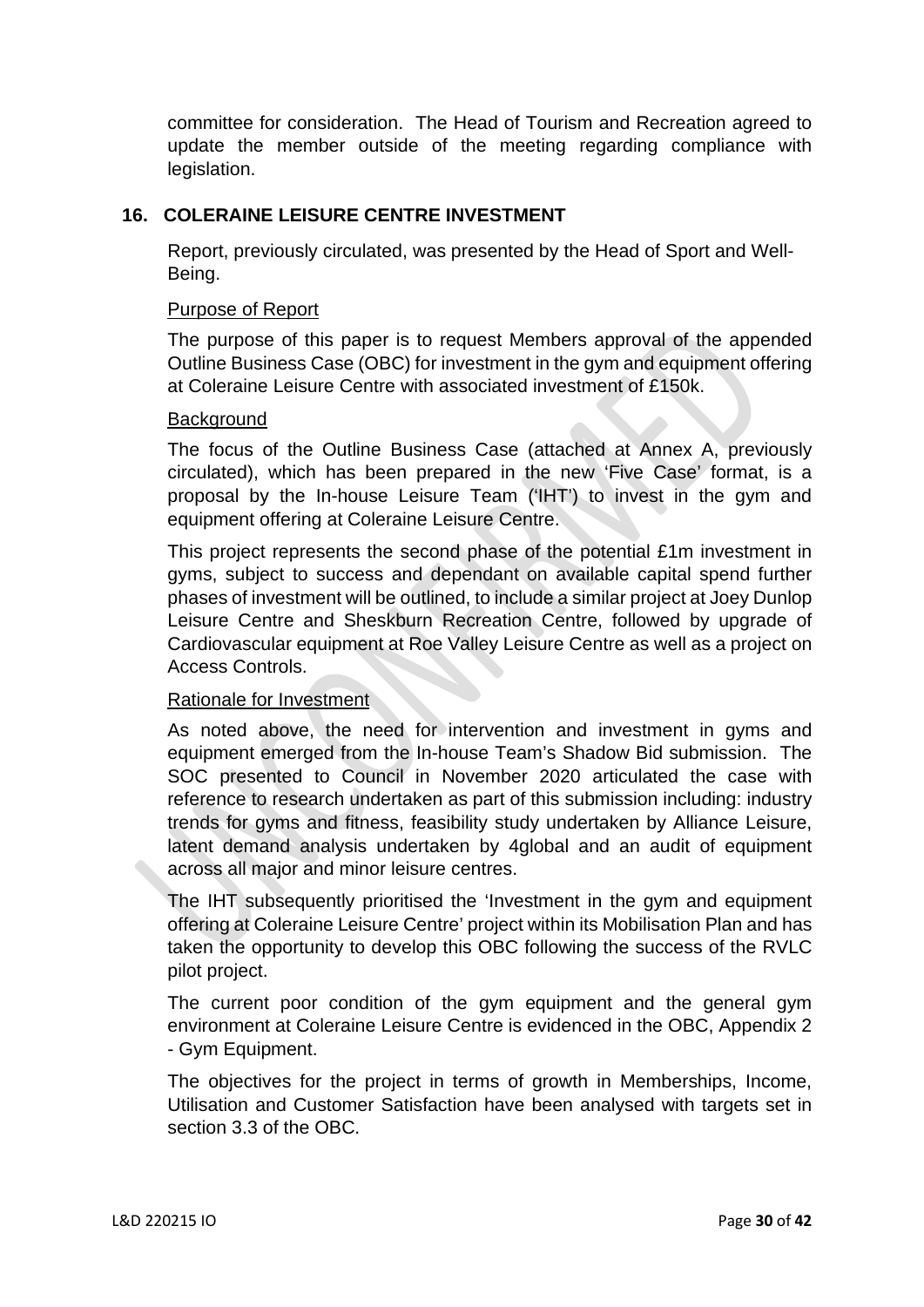committee for consideration. The Head of Tourism and Recreation agreed to update the member outside of the meeting regarding compliance with legislation.

# **16. COLERAINE LEISURE CENTRE INVESTMENT**

Report, previously circulated, was presented by the Head of Sport and Well-Being.

### Purpose of Report

The purpose of this paper is to request Members approval of the appended Outline Business Case (OBC) for investment in the gym and equipment offering at Coleraine Leisure Centre with associated investment of £150k.

## **Background**

The focus of the Outline Business Case (attached at Annex A, previously circulated), which has been prepared in the new 'Five Case' format, is a proposal by the In-house Leisure Team ('IHT') to invest in the gym and equipment offering at Coleraine Leisure Centre.

This project represents the second phase of the potential £1m investment in gyms, subject to success and dependant on available capital spend further phases of investment will be outlined, to include a similar project at Joey Dunlop Leisure Centre and Sheskburn Recreation Centre, followed by upgrade of Cardiovascular equipment at Roe Valley Leisure Centre as well as a project on Access Controls.

# Rationale for Investment

As noted above, the need for intervention and investment in gyms and equipment emerged from the In-house Team's Shadow Bid submission. The SOC presented to Council in November 2020 articulated the case with reference to research undertaken as part of this submission including: industry trends for gyms and fitness, feasibility study undertaken by Alliance Leisure, latent demand analysis undertaken by 4global and an audit of equipment across all major and minor leisure centres.

The IHT subsequently prioritised the 'Investment in the gym and equipment offering at Coleraine Leisure Centre' project within its Mobilisation Plan and has taken the opportunity to develop this OBC following the success of the RVLC pilot project.

The current poor condition of the gym equipment and the general gym environment at Coleraine Leisure Centre is evidenced in the OBC, Appendix 2 - Gym Equipment.

The objectives for the project in terms of growth in Memberships, Income, Utilisation and Customer Satisfaction have been analysed with targets set in section 3.3 of the OBC.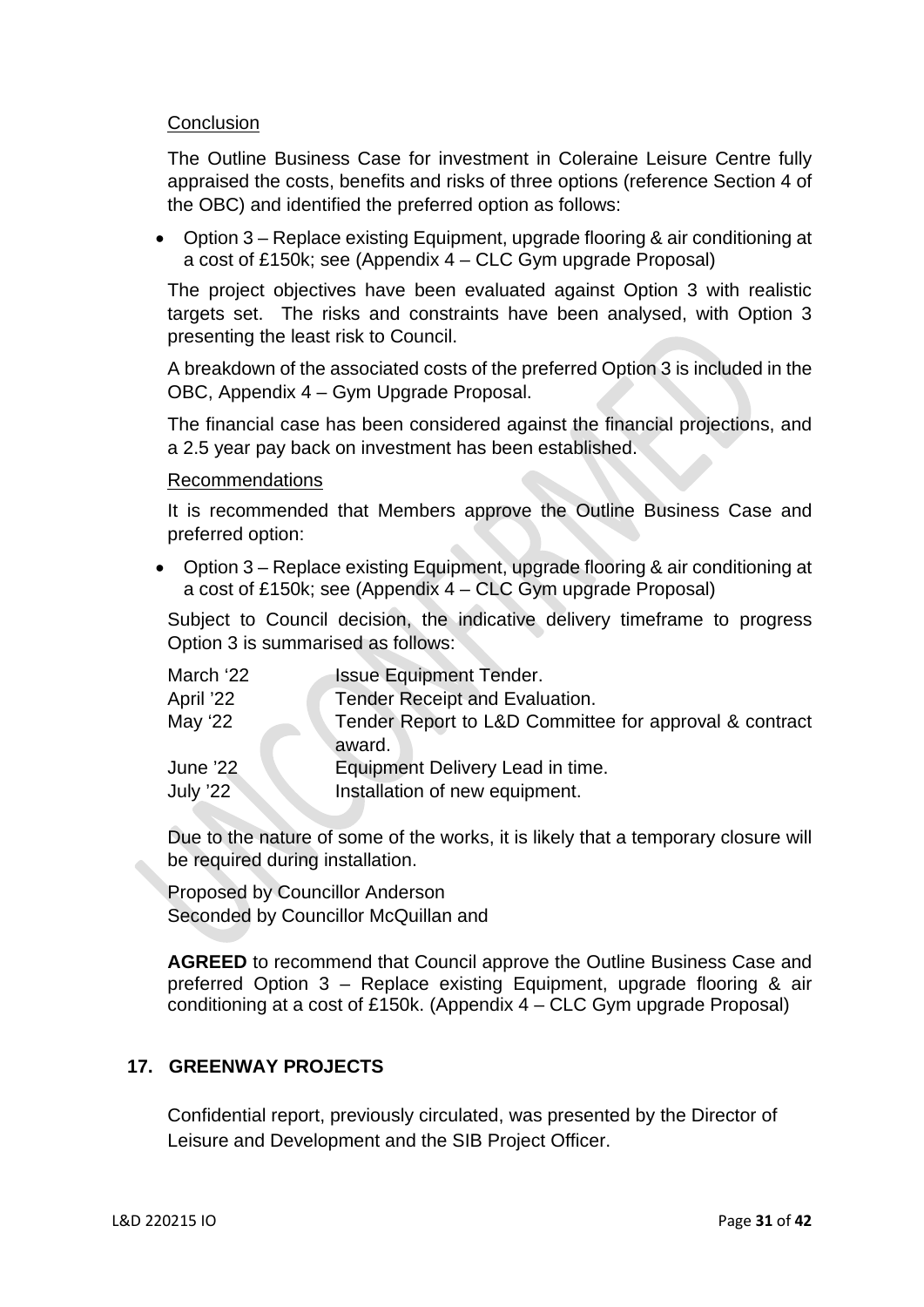## **Conclusion**

The Outline Business Case for investment in Coleraine Leisure Centre fully appraised the costs, benefits and risks of three options (reference Section 4 of the OBC) and identified the preferred option as follows:

• Option 3 – Replace existing Equipment, upgrade flooring & air conditioning at a cost of £150k; see (Appendix 4 – CLC Gym upgrade Proposal)

The project objectives have been evaluated against Option 3 with realistic targets set. The risks and constraints have been analysed, with Option 3 presenting the least risk to Council.

A breakdown of the associated costs of the preferred Option 3 is included in the OBC, Appendix 4 – Gym Upgrade Proposal.

The financial case has been considered against the financial projections, and a 2.5 year pay back on investment has been established.

Recommendations

It is recommended that Members approve the Outline Business Case and preferred option:

 Option 3 – Replace existing Equipment, upgrade flooring & air conditioning at a cost of £150k; see (Appendix 4 – CLC Gym upgrade Proposal)

Subject to Council decision, the indicative delivery timeframe to progress Option 3 is summarised as follows:

| March '22                   | <b>Issue Equipment Tender.</b>                                     |
|-----------------------------|--------------------------------------------------------------------|
| April '22                   | <b>Tender Receipt and Evaluation.</b>                              |
| May '22                     | Tender Report to L&D Committee for approval & contract<br>award.   |
| <b>June '22</b><br>July '22 | Equipment Delivery Lead in time.<br>Installation of new equipment. |

Due to the nature of some of the works, it is likely that a temporary closure will be required during installation.

Proposed by Councillor Anderson Seconded by Councillor McQuillan and

**AGREED** to recommend that Council approve the Outline Business Case and preferred Option 3 – Replace existing Equipment, upgrade flooring & air conditioning at a cost of £150k. (Appendix 4 – CLC Gym upgrade Proposal)

# **17. GREENWAY PROJECTS**

Confidential report, previously circulated, was presented by the Director of Leisure and Development and the SIB Project Officer.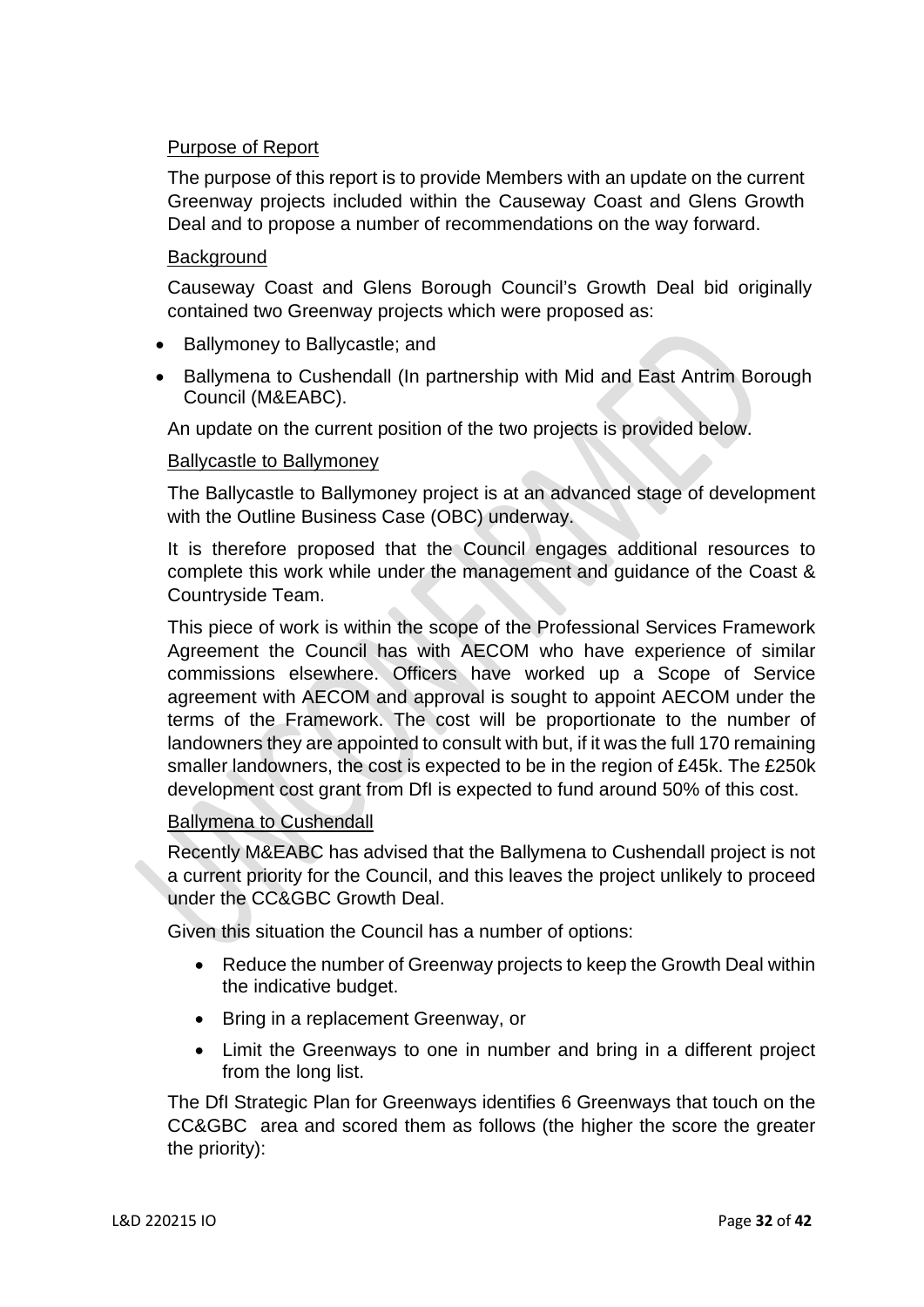# Purpose of Report

The purpose of this report is to provide Members with an update on the current Greenway projects included within the Causeway Coast and Glens Growth Deal and to propose a number of recommendations on the way forward.

# **Background**

Causeway Coast and Glens Borough Council's Growth Deal bid originally contained two Greenway projects which were proposed as:

- Ballymoney to Ballycastle; and
- Ballymena to Cushendall (In partnership with Mid and East Antrim Borough Council (M&EABC).

An update on the current position of the two projects is provided below.

## Ballycastle to Ballymoney

The Ballycastle to Ballymoney project is at an advanced stage of development with the Outline Business Case (OBC) underway.

It is therefore proposed that the Council engages additional resources to complete this work while under the management and guidance of the Coast & Countryside Team.

This piece of work is within the scope of the Professional Services Framework Agreement the Council has with AECOM who have experience of similar commissions elsewhere. Officers have worked up a Scope of Service agreement with AECOM and approval is sought to appoint AECOM under the terms of the Framework. The cost will be proportionate to the number of landowners they are appointed to consult with but, if it was the full 170 remaining smaller landowners, the cost is expected to be in the region of £45k. The £250k development cost grant from DfI is expected to fund around 50% of this cost.

# Ballymena to Cushendall

Recently M&EABC has advised that the Ballymena to Cushendall project is not a current priority for the Council, and this leaves the project unlikely to proceed under the CC&GBC Growth Deal.

Given this situation the Council has a number of options:

- Reduce the number of Greenway projects to keep the Growth Deal within the indicative budget.
- Bring in a replacement Greenway, or
- Limit the Greenways to one in number and bring in a different project from the long list.

The DfI Strategic Plan for Greenways identifies 6 Greenways that touch on the CC&GBC area and scored them as follows (the higher the score the greater the priority):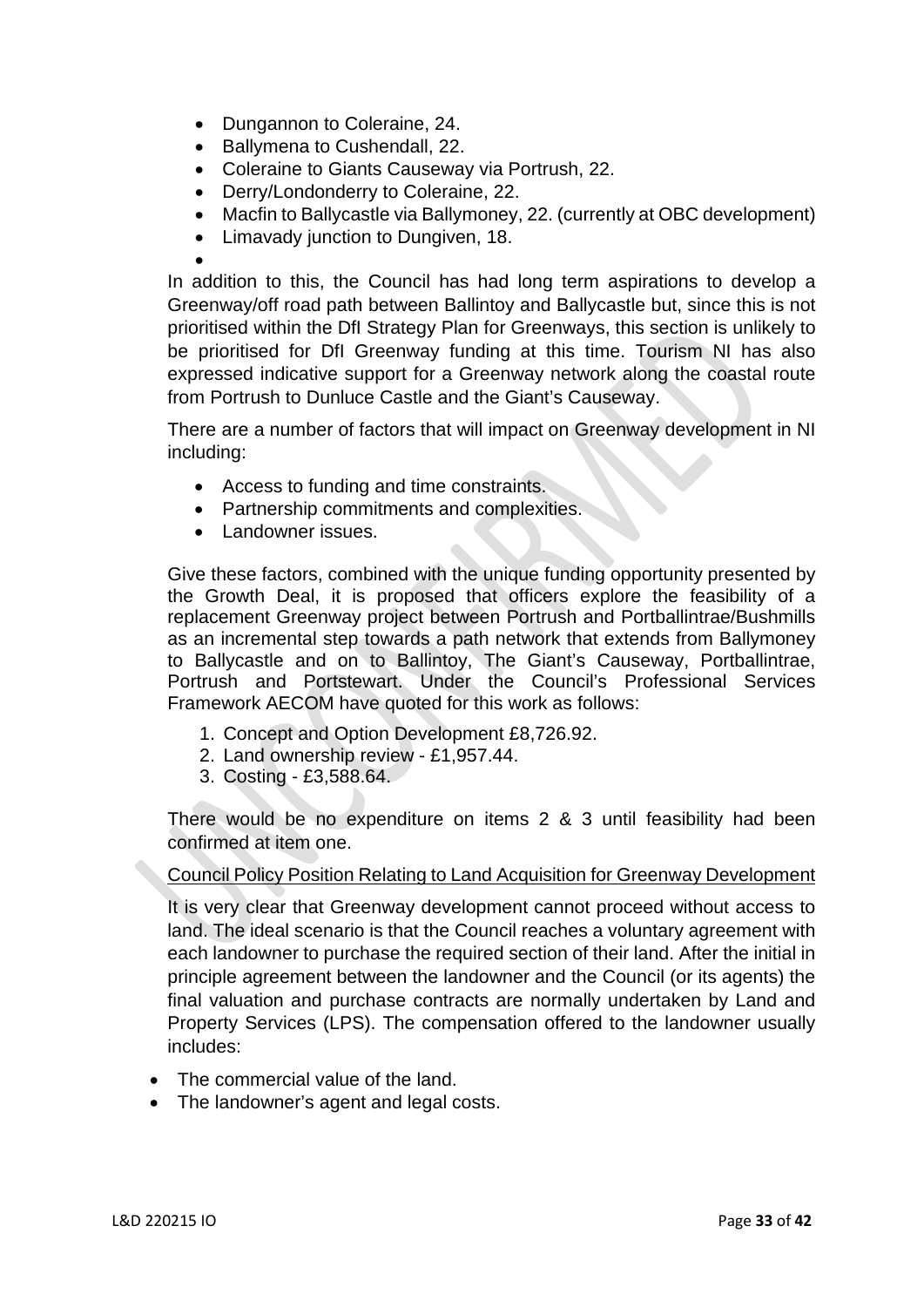- Dungannon to Coleraine, 24.
- Ballymena to Cushendall, 22.
- Coleraine to Giants Causeway via Portrush, 22.
- Derry/Londonderry to Coleraine, 22.
- Macfin to Ballycastle via Ballymoney, 22. (currently at OBC development)
- Limavady junction to Dungiven, 18.

 $\bullet$ 

In addition to this, the Council has had long term aspirations to develop a Greenway/off road path between Ballintoy and Ballycastle but, since this is not prioritised within the DfI Strategy Plan for Greenways, this section is unlikely to be prioritised for DfI Greenway funding at this time. Tourism NI has also expressed indicative support for a Greenway network along the coastal route from Portrush to Dunluce Castle and the Giant's Causeway.

There are a number of factors that will impact on Greenway development in NI including:

- Access to funding and time constraints.
- Partnership commitments and complexities.
- Landowner issues.

Give these factors, combined with the unique funding opportunity presented by the Growth Deal, it is proposed that officers explore the feasibility of a replacement Greenway project between Portrush and Portballintrae/Bushmills as an incremental step towards a path network that extends from Ballymoney to Ballycastle and on to Ballintoy, The Giant's Causeway, Portballintrae, Portrush and Portstewart. Under the Council's Professional Services Framework AECOM have quoted for this work as follows:

- 1. Concept and Option Development £8,726.92.
- 2. Land ownership review £1,957.44.
- 3. Costing £3,588.64.

There would be no expenditure on items 2 & 3 until feasibility had been confirmed at item one.

# Council Policy Position Relating to Land Acquisition for Greenway Development

It is very clear that Greenway development cannot proceed without access to land. The ideal scenario is that the Council reaches a voluntary agreement with each landowner to purchase the required section of their land. After the initial in principle agreement between the landowner and the Council (or its agents) the final valuation and purchase contracts are normally undertaken by Land and Property Services (LPS). The compensation offered to the landowner usually includes:

- The commercial value of the land.
- The landowner's agent and legal costs.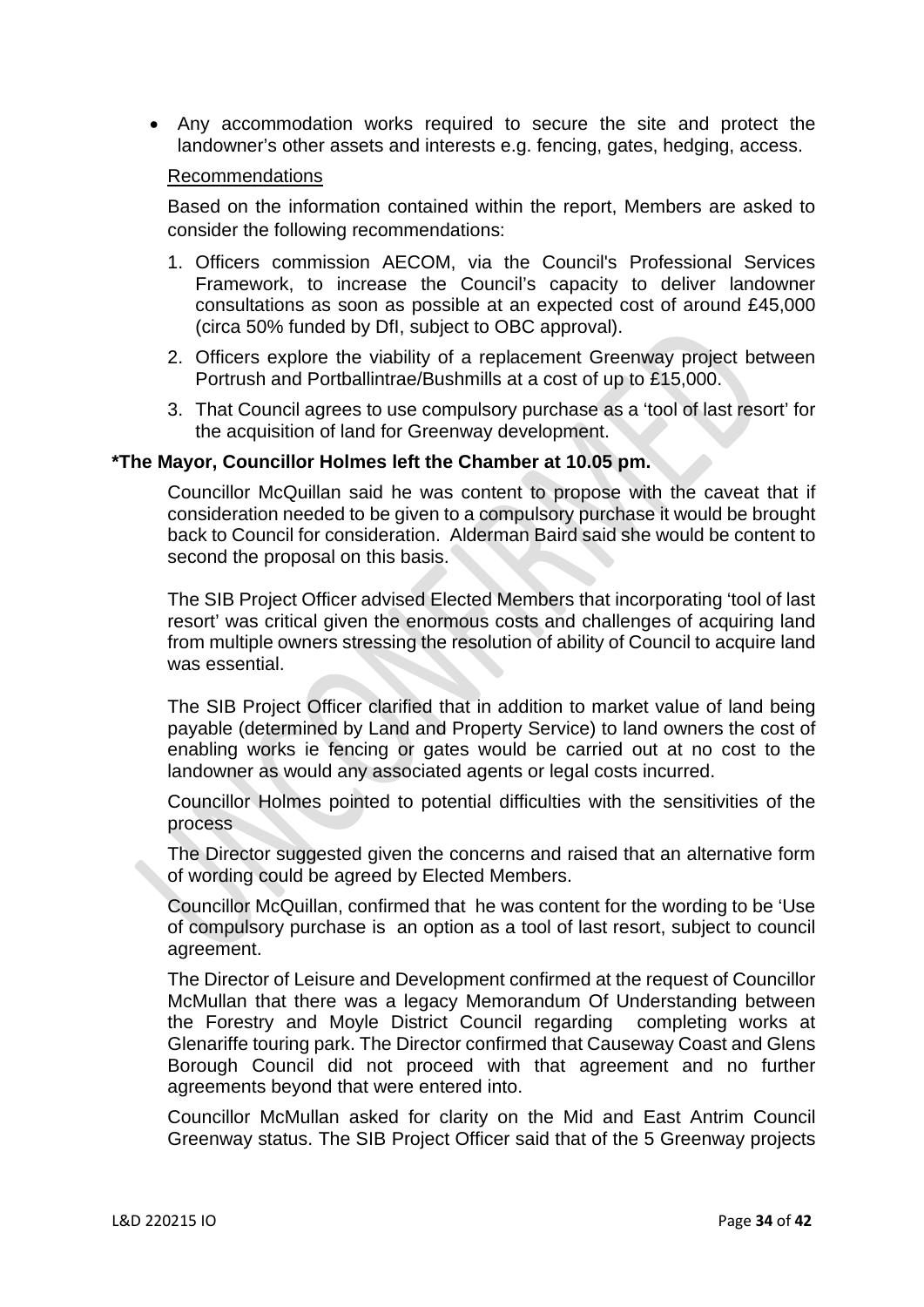Any accommodation works required to secure the site and protect the landowner's other assets and interests e.g. fencing, gates, hedging, access.

#### Recommendations

Based on the information contained within the report, Members are asked to consider the following recommendations:

- 1. Officers commission AECOM, via the Council's Professional Services Framework, to increase the Council's capacity to deliver landowner consultations as soon as possible at an expected cost of around £45,000 (circa 50% funded by DfI, subject to OBC approval).
- 2. Officers explore the viability of a replacement Greenway project between Portrush and Portballintrae/Bushmills at a cost of up to £15,000.
- 3. That Council agrees to use compulsory purchase as a 'tool of last resort' for the acquisition of land for Greenway development.

#### **\*The Mayor, Councillor Holmes left the Chamber at 10.05 pm.**

Councillor McQuillan said he was content to propose with the caveat that if consideration needed to be given to a compulsory purchase it would be brought back to Council for consideration. Alderman Baird said she would be content to second the proposal on this basis.

The SIB Project Officer advised Elected Members that incorporating 'tool of last resort' was critical given the enormous costs and challenges of acquiring land from multiple owners stressing the resolution of ability of Council to acquire land was essential.

The SIB Project Officer clarified that in addition to market value of land being payable (determined by Land and Property Service) to land owners the cost of enabling works ie fencing or gates would be carried out at no cost to the landowner as would any associated agents or legal costs incurred.

Councillor Holmes pointed to potential difficulties with the sensitivities of the process

The Director suggested given the concerns and raised that an alternative form of wording could be agreed by Elected Members.

Councillor McQuillan, confirmed that he was content for the wording to be 'Use of compulsory purchase is an option as a tool of last resort, subject to council agreement.

The Director of Leisure and Development confirmed at the request of Councillor McMullan that there was a legacy Memorandum Of Understanding between the Forestry and Moyle District Council regarding completing works at Glenariffe touring park. The Director confirmed that Causeway Coast and Glens Borough Council did not proceed with that agreement and no further agreements beyond that were entered into.

Councillor McMullan asked for clarity on the Mid and East Antrim Council Greenway status. The SIB Project Officer said that of the 5 Greenway projects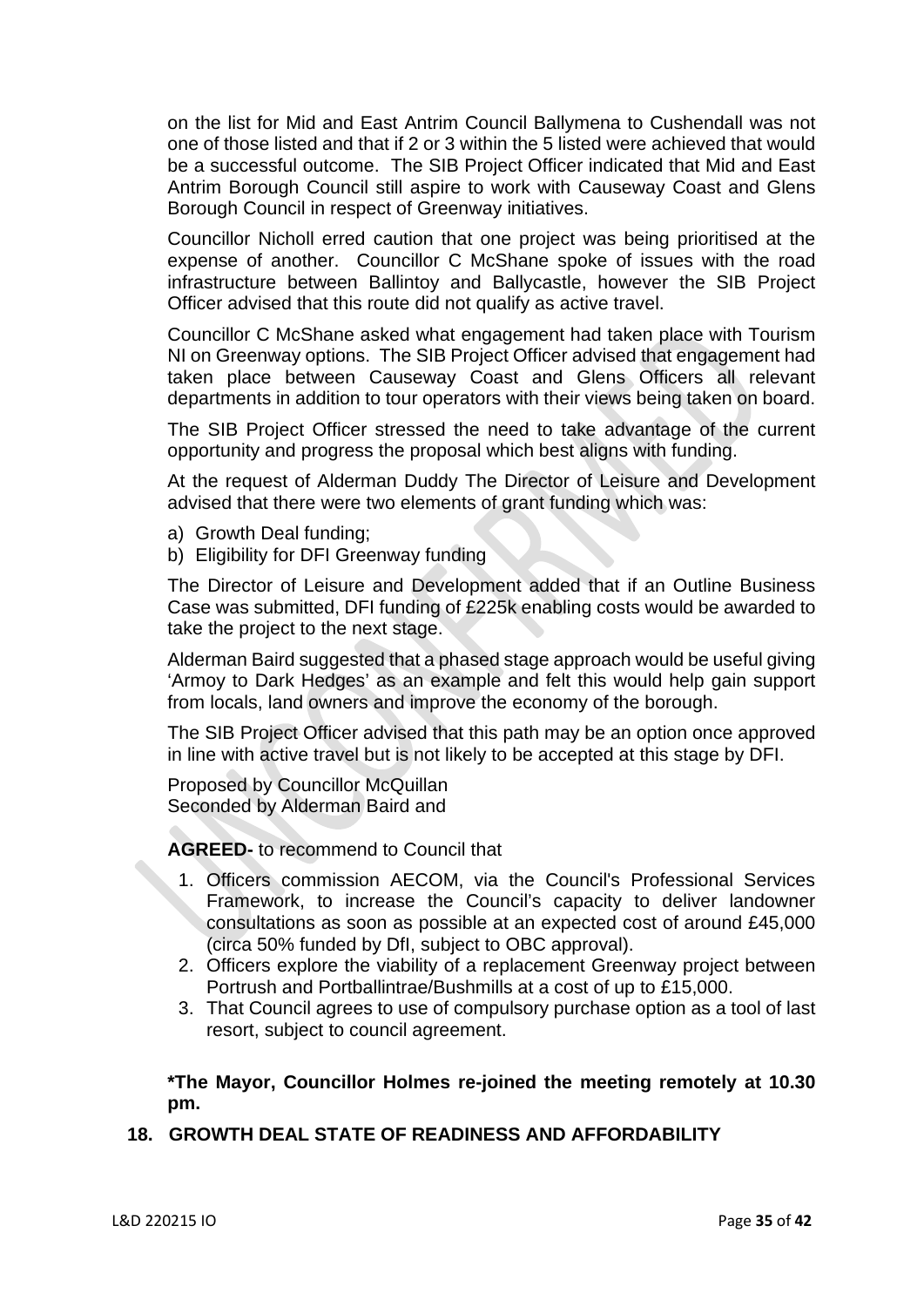on the list for Mid and East Antrim Council Ballymena to Cushendall was not one of those listed and that if 2 or 3 within the 5 listed were achieved that would be a successful outcome. The SIB Project Officer indicated that Mid and East Antrim Borough Council still aspire to work with Causeway Coast and Glens Borough Council in respect of Greenway initiatives.

Councillor Nicholl erred caution that one project was being prioritised at the expense of another. Councillor C McShane spoke of issues with the road infrastructure between Ballintoy and Ballycastle, however the SIB Project Officer advised that this route did not qualify as active travel.

Councillor C McShane asked what engagement had taken place with Tourism NI on Greenway options. The SIB Project Officer advised that engagement had taken place between Causeway Coast and Glens Officers all relevant departments in addition to tour operators with their views being taken on board.

The SIB Project Officer stressed the need to take advantage of the current opportunity and progress the proposal which best aligns with funding.

At the request of Alderman Duddy The Director of Leisure and Development advised that there were two elements of grant funding which was:

- a) Growth Deal funding;
- b) Eligibility for DFI Greenway funding

The Director of Leisure and Development added that if an Outline Business Case was submitted, DFI funding of £225k enabling costs would be awarded to take the project to the next stage.

Alderman Baird suggested that a phased stage approach would be useful giving 'Armoy to Dark Hedges' as an example and felt this would help gain support from locals, land owners and improve the economy of the borough.

The SIB Project Officer advised that this path may be an option once approved in line with active travel but is not likely to be accepted at this stage by DFI.

Proposed by Councillor McQuillan Seconded by Alderman Baird and

**AGREED-** to recommend to Council that

- 1. Officers commission AECOM, via the Council's Professional Services Framework, to increase the Council's capacity to deliver landowner consultations as soon as possible at an expected cost of around £45,000 (circa 50% funded by DfI, subject to OBC approval).
- 2. Officers explore the viability of a replacement Greenway project between Portrush and Portballintrae/Bushmills at a cost of up to £15,000.
- 3. That Council agrees to use of compulsory purchase option as a tool of last resort, subject to council agreement.

**\*The Mayor, Councillor Holmes re-joined the meeting remotely at 10.30 pm.** 

# **18. GROWTH DEAL STATE OF READINESS AND AFFORDABILITY**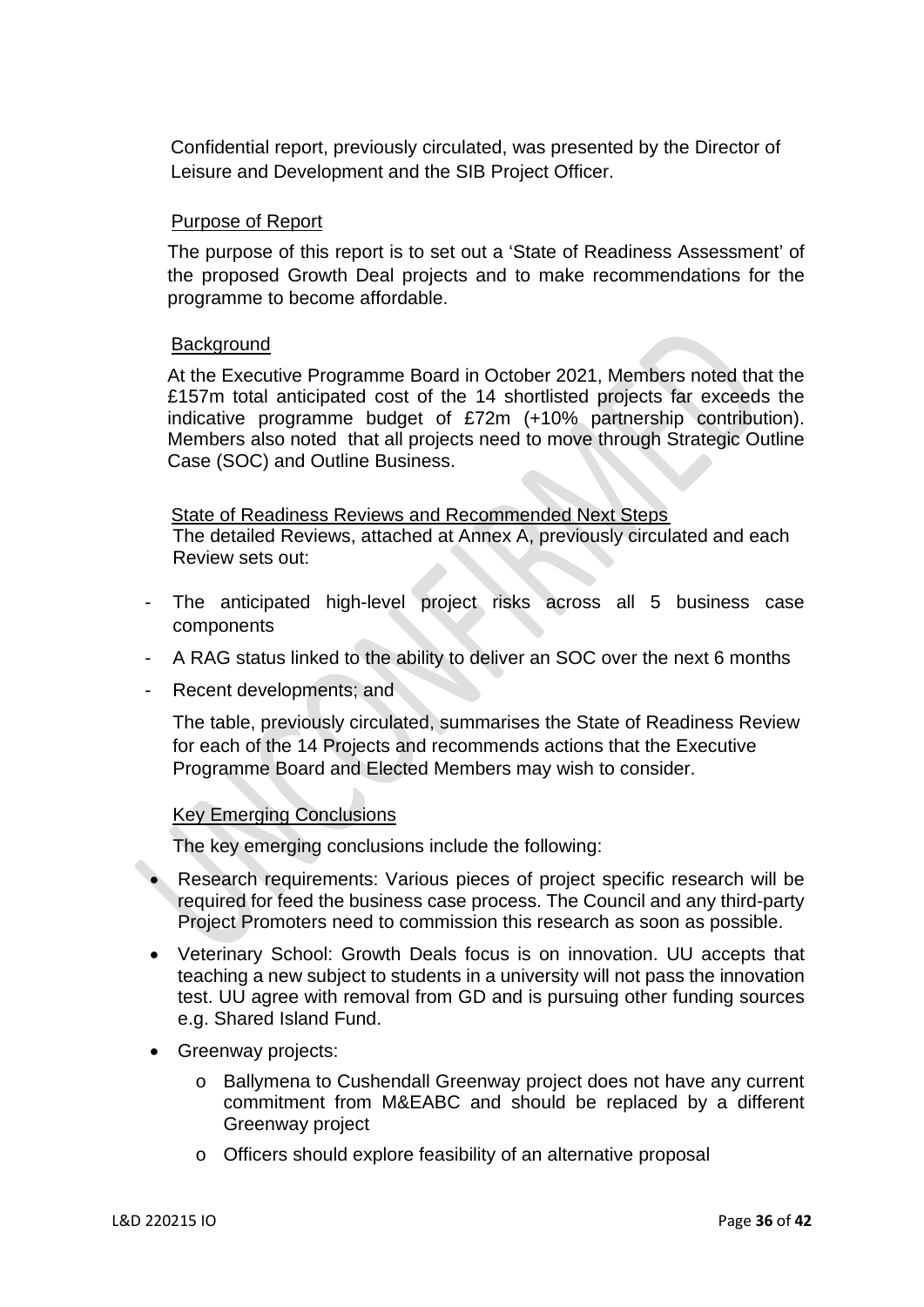Confidential report, previously circulated, was presented by the Director of Leisure and Development and the SIB Project Officer.

## Purpose of Report

The purpose of this report is to set out a 'State of Readiness Assessment' of the proposed Growth Deal projects and to make recommendations for the programme to become affordable.

## **Background**

At the Executive Programme Board in October 2021, Members noted that the £157m total anticipated cost of the 14 shortlisted projects far exceeds the indicative programme budget of £72m (+10% partnership contribution). Members also noted that all projects need to move through Strategic Outline Case (SOC) and Outline Business.

 State of Readiness Reviews and Recommended Next Steps The detailed Reviews, attached at Annex A, previously circulated and each Review sets out:

- The anticipated high-level project risks across all 5 business case components
- A RAG status linked to the ability to deliver an SOC over the next 6 months
- Recent developments; and

 The table, previously circulated, summarises the State of Readiness Review for each of the 14 Projects and recommends actions that the Executive Programme Board and Elected Members may wish to consider.

### Key Emerging Conclusions

The key emerging conclusions include the following:

- Research requirements: Various pieces of project specific research will be required for feed the business case process. The Council and any third-party Project Promoters need to commission this research as soon as possible.
- Veterinary School: Growth Deals focus is on innovation. UU accepts that teaching a new subject to students in a university will not pass the innovation test. UU agree with removal from GD and is pursuing other funding sources e.g. Shared Island Fund.
- Greenway projects:
	- o Ballymena to Cushendall Greenway project does not have any current commitment from M&EABC and should be replaced by a different Greenway project
	- o Officers should explore feasibility of an alternative proposal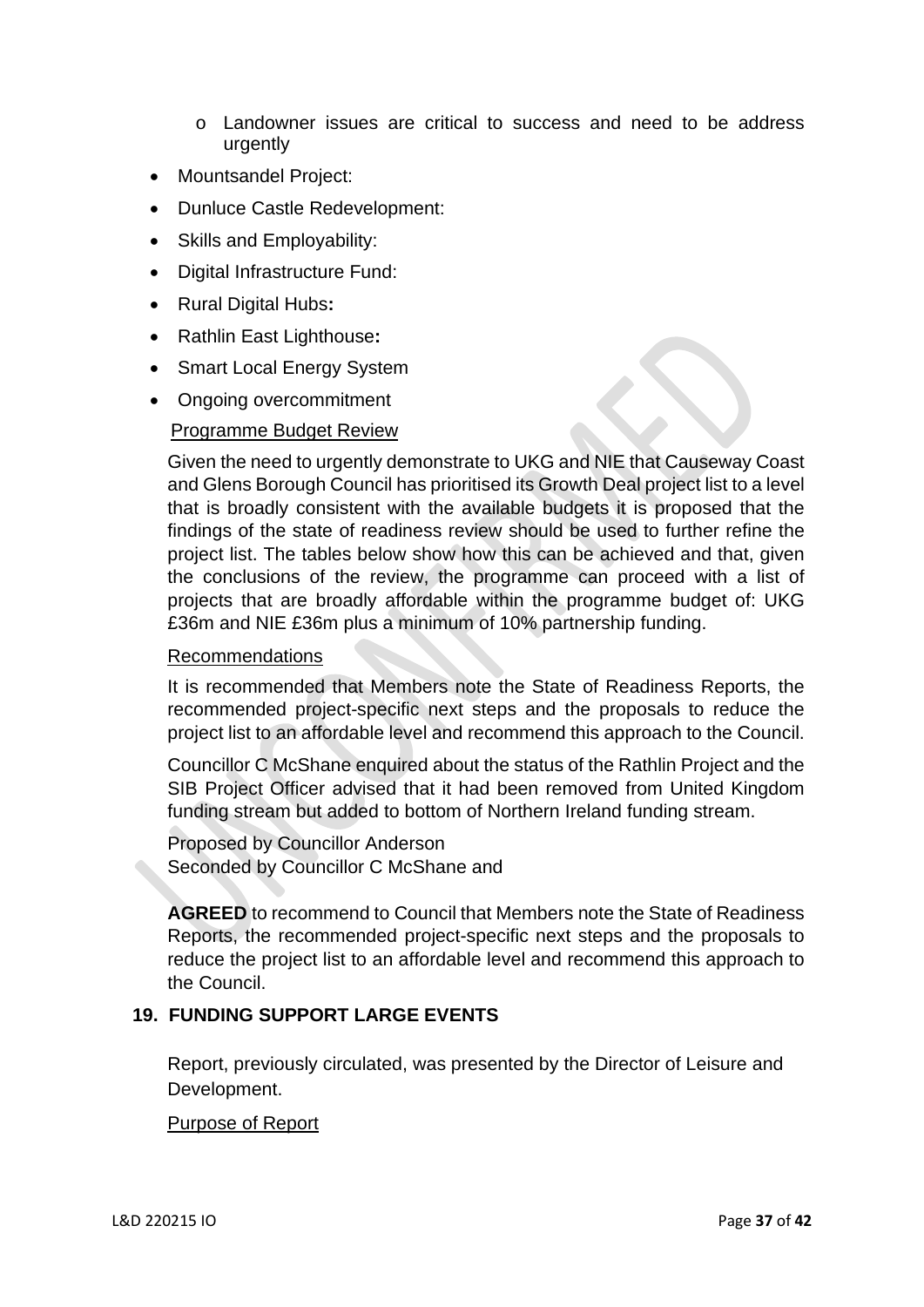- o Landowner issues are critical to success and need to be address urgently
- Mountsandel Project:
- Dunluce Castle Redevelopment:
- Skills and Employability:
- Digital Infrastructure Fund:
- Rural Digital Hubs**:**
- Rathlin East Lighthouse**:**
- Smart Local Energy System
- Ongoing overcommitment

# Programme Budget Review

Given the need to urgently demonstrate to UKG and NIE that Causeway Coast and Glens Borough Council has prioritised its Growth Deal project list to a level that is broadly consistent with the available budgets it is proposed that the findings of the state of readiness review should be used to further refine the project list. The tables below show how this can be achieved and that, given the conclusions of the review, the programme can proceed with a list of projects that are broadly affordable within the programme budget of: UKG £36m and NIE £36m plus a minimum of 10% partnership funding.

### Recommendations

It is recommended that Members note the State of Readiness Reports, the recommended project-specific next steps and the proposals to reduce the project list to an affordable level and recommend this approach to the Council.

Councillor C McShane enquired about the status of the Rathlin Project and the SIB Project Officer advised that it had been removed from United Kingdom funding stream but added to bottom of Northern Ireland funding stream.

Proposed by Councillor Anderson Seconded by Councillor C McShane and

**AGREED** to recommend to Council that Members note the State of Readiness Reports, the recommended project-specific next steps and the proposals to reduce the project list to an affordable level and recommend this approach to the Council.

# **19. FUNDING SUPPORT LARGE EVENTS**

Report, previously circulated, was presented by the Director of Leisure and Development.

# Purpose of Report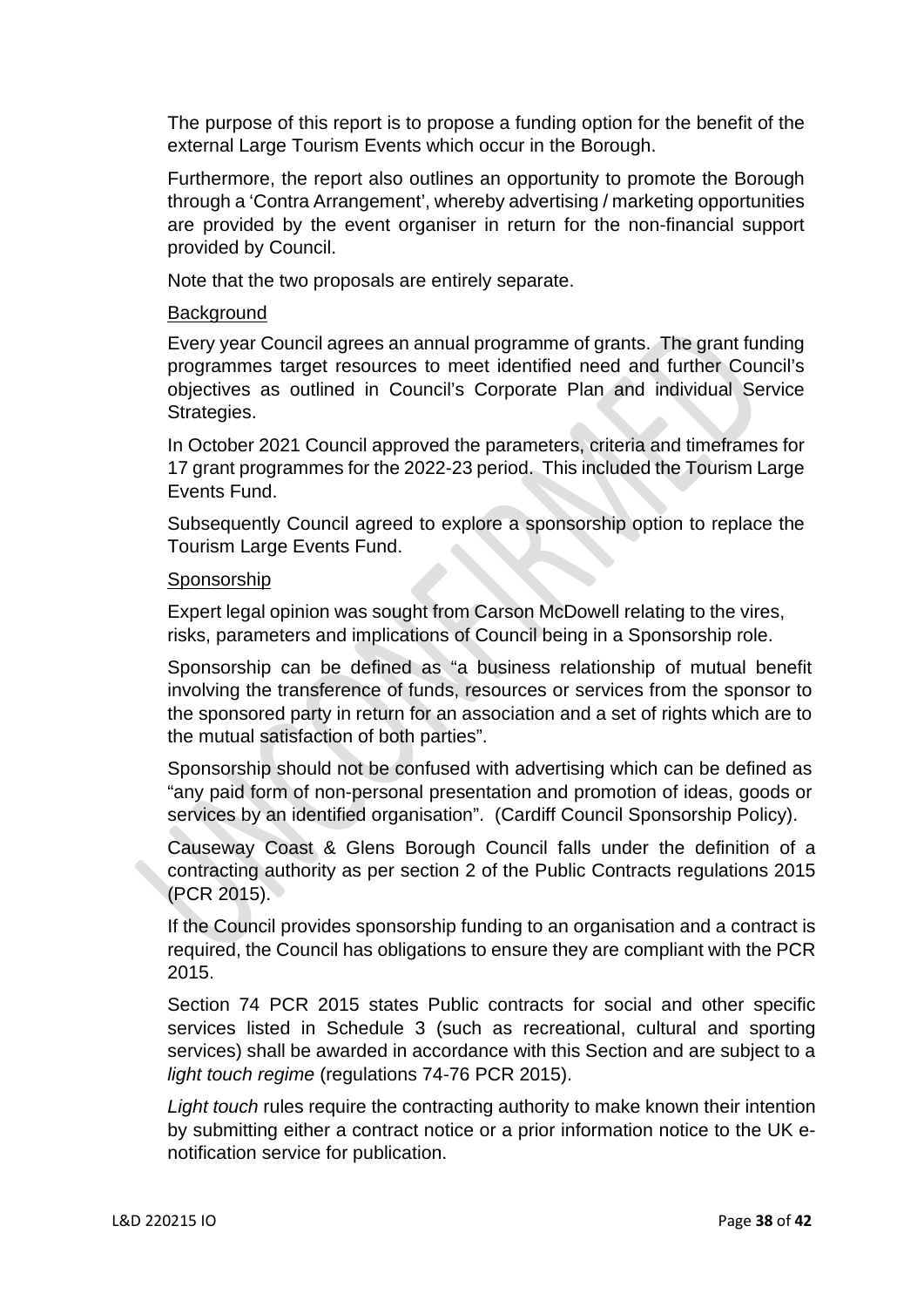The purpose of this report is to propose a funding option for the benefit of the external Large Tourism Events which occur in the Borough.

Furthermore, the report also outlines an opportunity to promote the Borough through a 'Contra Arrangement', whereby advertising / marketing opportunities are provided by the event organiser in return for the non-financial support provided by Council.

Note that the two proposals are entirely separate.

## **Background**

Every year Council agrees an annual programme of grants. The grant funding programmes target resources to meet identified need and further Council's objectives as outlined in Council's Corporate Plan and individual Service Strategies.

In October 2021 Council approved the parameters, criteria and timeframes for 17 grant programmes for the 2022-23 period. This included the Tourism Large Events Fund.

Subsequently Council agreed to explore a sponsorship option to replace the Tourism Large Events Fund.

## Sponsorship

Expert legal opinion was sought from Carson McDowell relating to the vires, risks, parameters and implications of Council being in a Sponsorship role.

Sponsorship can be defined as "a business relationship of mutual benefit involving the transference of funds, resources or services from the sponsor to the sponsored party in return for an association and a set of rights which are to the mutual satisfaction of both parties".

Sponsorship should not be confused with advertising which can be defined as "any paid form of non-personal presentation and promotion of ideas, goods or services by an identified organisation". (Cardiff Council Sponsorship Policy).

Causeway Coast & Glens Borough Council falls under the definition of a contracting authority as per section 2 of the Public Contracts regulations 2015 (PCR 2015).

If the Council provides sponsorship funding to an organisation and a contract is required, the Council has obligations to ensure they are compliant with the PCR 2015.

Section 74 PCR 2015 states Public contracts for social and other specific services listed in Schedule 3 (such as recreational, cultural and sporting services) shall be awarded in accordance with this Section and are subject to a *light touch regime* (regulations 74-76 PCR 2015).

*Light touch* rules require the contracting authority to make known their intention by submitting either a contract notice or a prior information notice to the UK enotification service for publication.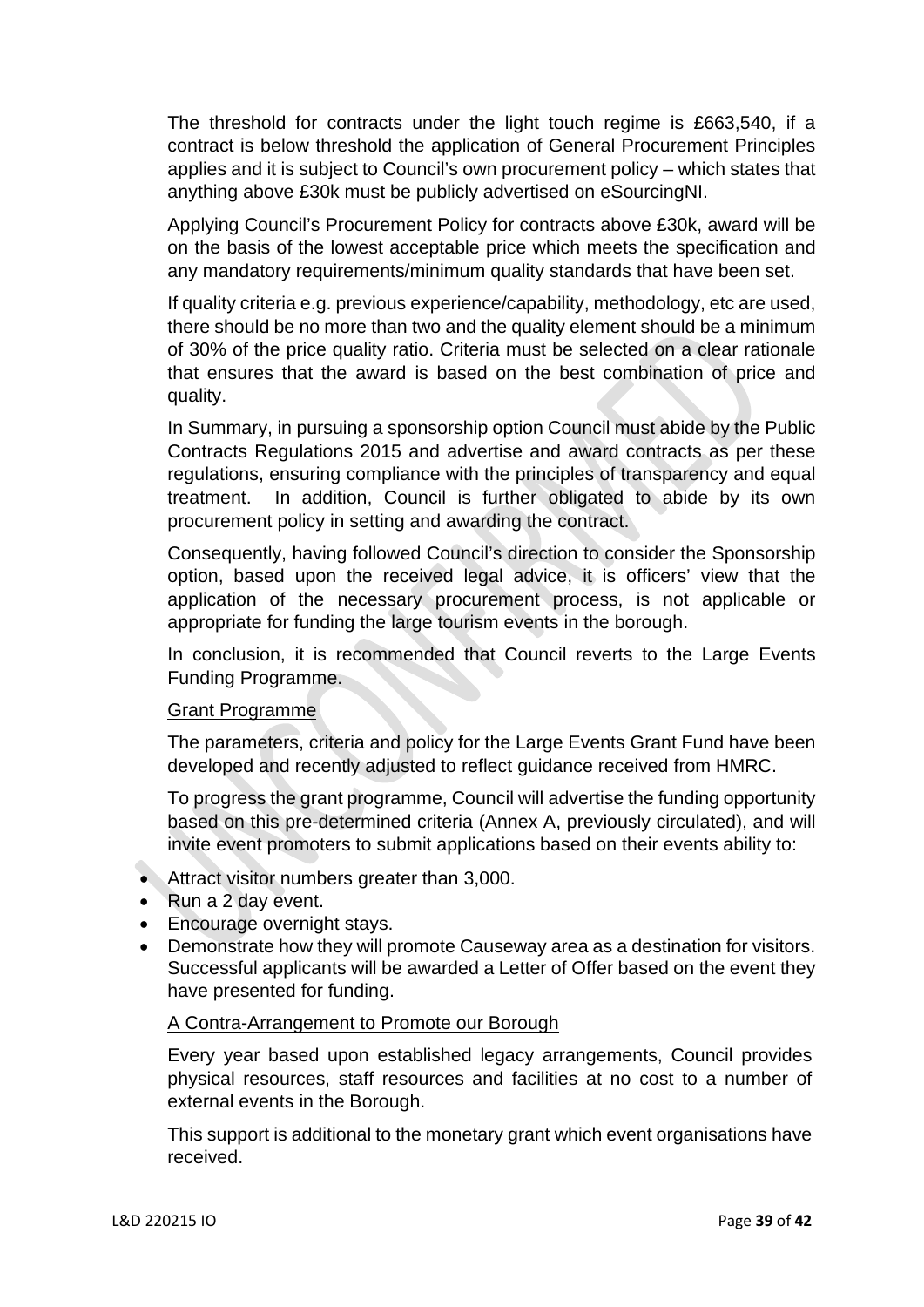The threshold for contracts under the light touch regime is £663,540, if a contract is below threshold the application of General Procurement Principles applies and it is subject to Council's own procurement policy – which states that anything above £30k must be publicly advertised on eSourcingNI.

Applying Council's Procurement Policy for contracts above £30k, award will be on the basis of the lowest acceptable price which meets the specification and any mandatory requirements/minimum quality standards that have been set.

If quality criteria e.g. previous experience/capability, methodology, etc are used, there should be no more than two and the quality element should be a minimum of 30% of the price quality ratio. Criteria must be selected on a clear rationale that ensures that the award is based on the best combination of price and quality.

In Summary, in pursuing a sponsorship option Council must abide by the Public Contracts Regulations 2015 and advertise and award contracts as per these regulations, ensuring compliance with the principles of transparency and equal treatment. In addition, Council is further obligated to abide by its own procurement policy in setting and awarding the contract.

Consequently, having followed Council's direction to consider the Sponsorship option, based upon the received legal advice, it is officers' view that the application of the necessary procurement process, is not applicable or appropriate for funding the large tourism events in the borough.

In conclusion, it is recommended that Council reverts to the Large Events Funding Programme.

### Grant Programme

The parameters, criteria and policy for the Large Events Grant Fund have been developed and recently adjusted to reflect guidance received from HMRC.

To progress the grant programme, Council will advertise the funding opportunity based on this pre-determined criteria (Annex A, previously circulated), and will invite event promoters to submit applications based on their events ability to:

- Attract visitor numbers greater than 3,000.
- Run a 2 day event.
- Encourage overnight stays.
- Demonstrate how they will promote Causeway area as a destination for visitors. Successful applicants will be awarded a Letter of Offer based on the event they have presented for funding.

# A Contra-Arrangement to Promote our Borough

Every year based upon established legacy arrangements, Council provides physical resources, staff resources and facilities at no cost to a number of external events in the Borough.

This support is additional to the monetary grant which event organisations have received.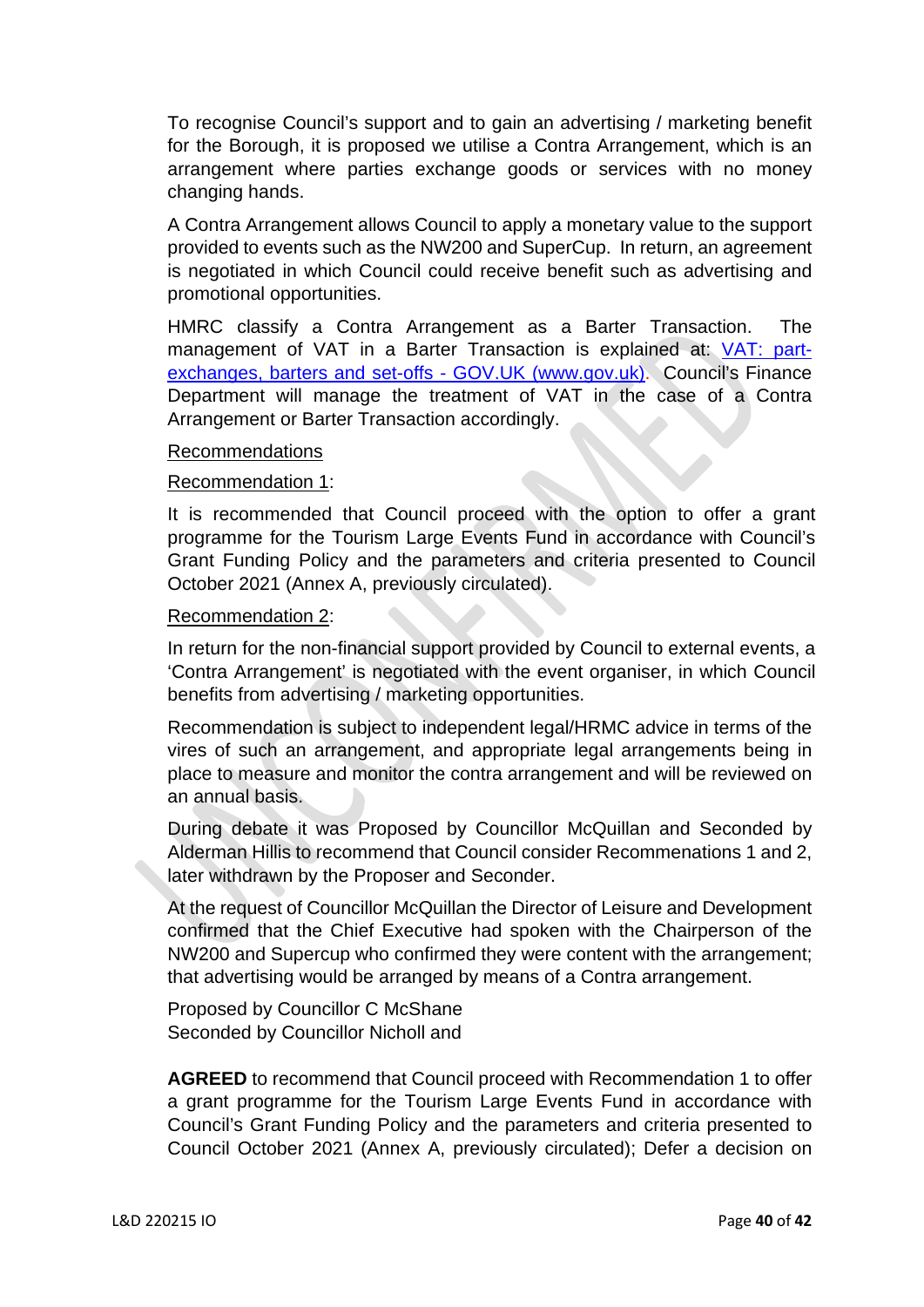To recognise Council's support and to gain an advertising / marketing benefit for the Borough, it is proposed we utilise a Contra Arrangement, which is an arrangement where parties exchange goods or services with no money changing hands.

A Contra Arrangement allows Council to apply a monetary value to the support provided to events such as the NW200 and SuperCup. In return, an agreement is negotiated in which Council could receive benefit such as advertising and promotional opportunities.

HMRC classify a Contra Arrangement as a Barter Transaction. The management of VAT in a Barter Transaction is explained at: [VAT: part](https://www.gov.uk/guidance/vat-part-exchanges-barters-and-set-offs)[exchanges, barters and set-offs - GOV.UK \(www.gov.uk\).](https://www.gov.uk/guidance/vat-part-exchanges-barters-and-set-offs) Council's Finance Department will manage the treatment of VAT in the case of a Contra Arrangement or Barter Transaction accordingly.

### Recommendations

#### Recommendation 1:

It is recommended that Council proceed with the option to offer a grant programme for the Tourism Large Events Fund in accordance with Council's Grant Funding Policy and the parameters and criteria presented to Council October 2021 (Annex A, previously circulated).

#### Recommendation 2:

In return for the non-financial support provided by Council to external events, a 'Contra Arrangement' is negotiated with the event organiser, in which Council benefits from advertising / marketing opportunities.

Recommendation is subject to independent legal/HRMC advice in terms of the vires of such an arrangement, and appropriate legal arrangements being in place to measure and monitor the contra arrangement and will be reviewed on an annual basis.

During debate it was Proposed by Councillor McQuillan and Seconded by Alderman Hillis to recommend that Council consider Recommenations 1 and 2, later withdrawn by the Proposer and Seconder.

At the request of Councillor McQuillan the Director of Leisure and Development confirmed that the Chief Executive had spoken with the Chairperson of the NW200 and Supercup who confirmed they were content with the arrangement; that advertising would be arranged by means of a Contra arrangement.

Proposed by Councillor C McShane Seconded by Councillor Nicholl and

**AGREED** to recommend that Council proceed with Recommendation 1 to offer a grant programme for the Tourism Large Events Fund in accordance with Council's Grant Funding Policy and the parameters and criteria presented to Council October 2021 (Annex A, previously circulated); Defer a decision on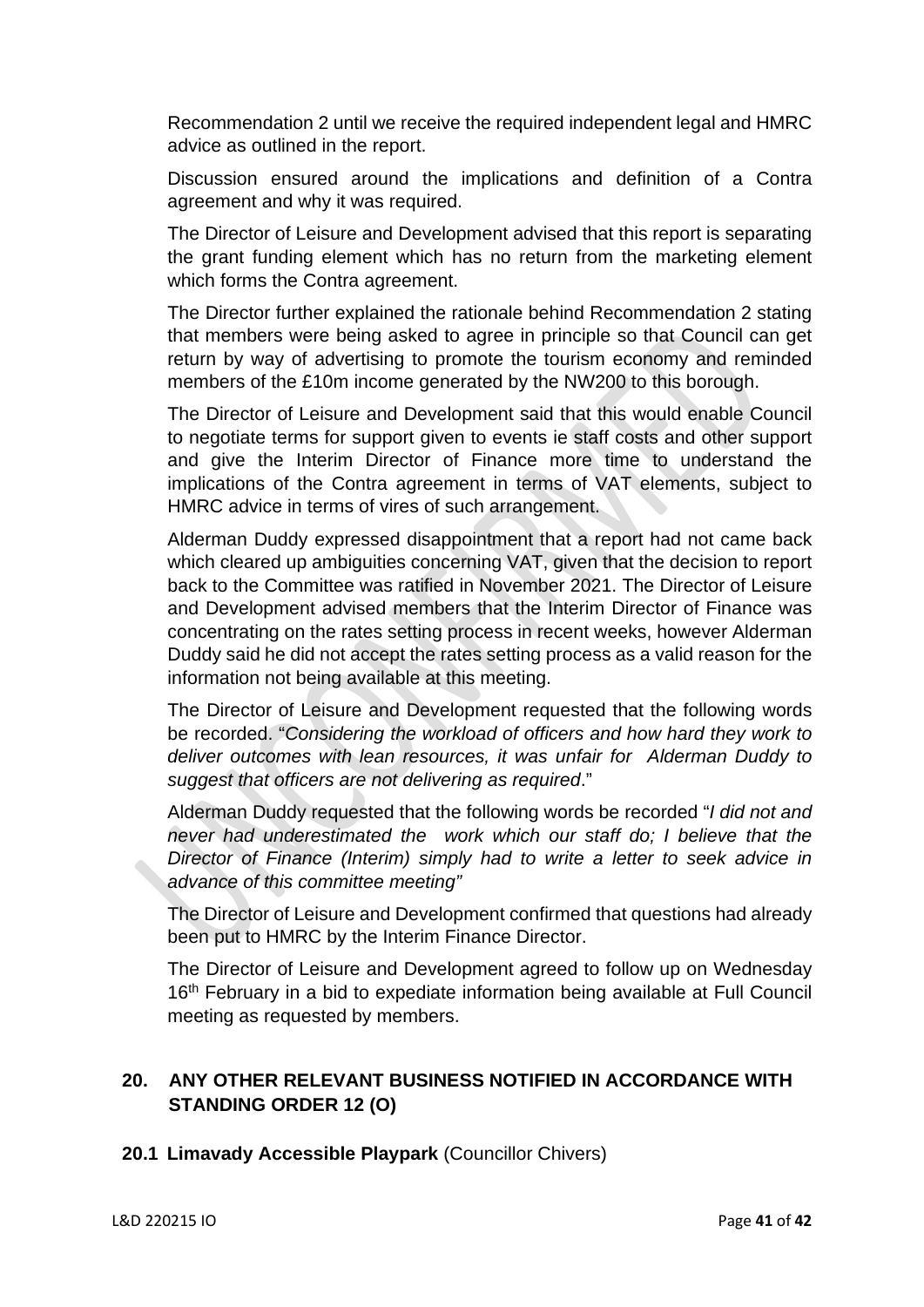Recommendation 2 until we receive the required independent legal and HMRC advice as outlined in the report.

Discussion ensured around the implications and definition of a Contra agreement and why it was required.

The Director of Leisure and Development advised that this report is separating the grant funding element which has no return from the marketing element which forms the Contra agreement.

The Director further explained the rationale behind Recommendation 2 stating that members were being asked to agree in principle so that Council can get return by way of advertising to promote the tourism economy and reminded members of the £10m income generated by the NW200 to this borough.

The Director of Leisure and Development said that this would enable Council to negotiate terms for support given to events ie staff costs and other support and give the Interim Director of Finance more time to understand the implications of the Contra agreement in terms of VAT elements, subject to HMRC advice in terms of vires of such arrangement.

Alderman Duddy expressed disappointment that a report had not came back which cleared up ambiguities concerning VAT, given that the decision to report back to the Committee was ratified in November 2021. The Director of Leisure and Development advised members that the Interim Director of Finance was concentrating on the rates setting process in recent weeks, however Alderman Duddy said he did not accept the rates setting process as a valid reason for the information not being available at this meeting.

The Director of Leisure and Development requested that the following words be recorded. "*Considering the workload of officers and how hard they work to deliver outcomes with lean resources, it was unfair for Alderman Duddy to suggest that officers are not delivering as required*."

Alderman Duddy requested that the following words be recorded "*I did not and never had underestimated the work which our staff do: I believe that the Director of Finance (Interim) simply had to write a letter to seek advice in advance of this committee meeting"*

The Director of Leisure and Development confirmed that questions had already been put to HMRC by the Interim Finance Director.

The Director of Leisure and Development agreed to follow up on Wednesday 16<sup>th</sup> February in a bid to expediate information being available at Full Council meeting as requested by members.

# **20. ANY OTHER RELEVANT BUSINESS NOTIFIED IN ACCORDANCE WITH STANDING ORDER 12 (O)**

# **20.1 Limavady Accessible Playpark** (Councillor Chivers)